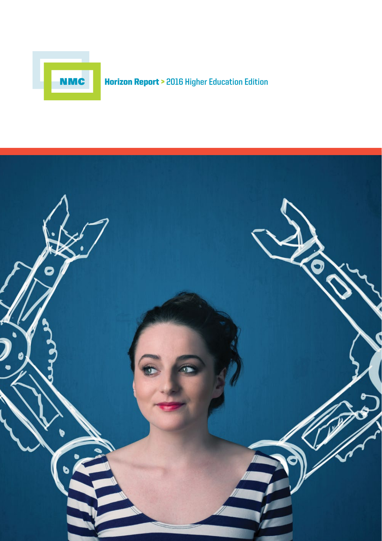

# Horizon Report > **2016 Higher Education Edition**

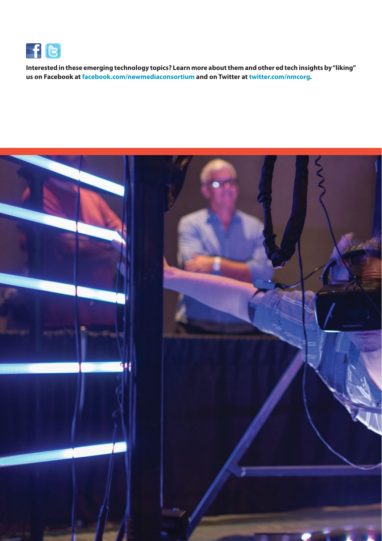

**Interested in these emerging technology topics? Learn more about them and other ed tech insights by "liking" us on Facebook at [facebook.com/newmediaconsortium](http://facebook.com/newmediaconsortium) and on Twitter at [twitter.com/nmcorg](http://twitter.com/nmcorg).**

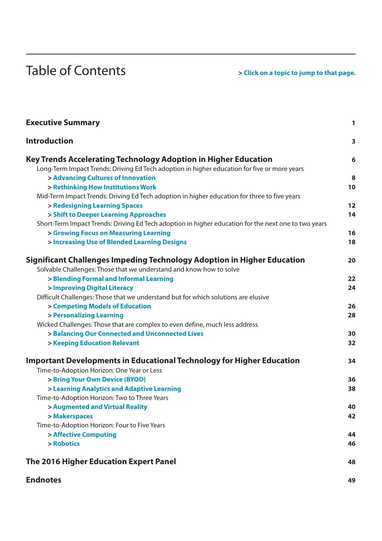# Table of Contents *Parameter of Contents*

| <b>Executive Summary</b>                                                                                                                      | 1  |
|-----------------------------------------------------------------------------------------------------------------------------------------------|----|
| <b>Introduction</b>                                                                                                                           | 3  |
| Key Trends Accelerating Technology Adoption in Higher Education                                                                               | 6  |
| Long-Term Impact Trends: Driving Ed Tech adoption in higher education for five or more years                                                  |    |
| > Advancing Cultures of Innovation                                                                                                            | 8  |
| > Rethinking How Institutions Work                                                                                                            | 10 |
| Mid-Term Impact Trends: Driving Ed Tech adoption in higher education for three to five years                                                  |    |
| > Redesigning Learning Spaces                                                                                                                 | 12 |
| > Shift to Deeper Learning Approaches                                                                                                         | 14 |
| Short-Term Impact Trends: Driving Ed Tech adoption in higher education for the next one to two years<br>> Growing Focus on Measuring Learning | 16 |
| > Increasing Use of Blended Learning Designs                                                                                                  | 18 |
|                                                                                                                                               |    |
| Significant Challenges Impeding Technology Adoption in Higher Education                                                                       | 20 |
| Solvable Challenges: Those that we understand and know how to solve                                                                           |    |
| > Blending Formal and Informal Learning                                                                                                       | 22 |
| > Improving Digital Literacy                                                                                                                  | 24 |
| Difficult Challenges: Those that we understand but for which solutions are elusive                                                            |    |
| > Competing Models of Education                                                                                                               | 26 |
| > Personalizing Learning                                                                                                                      | 28 |
| Wicked Challenges: Those that are complex to even define, much less address                                                                   |    |
| > Balancing Our Connected and Unconnected Lives                                                                                               | 30 |
| > Keeping Education Relevant                                                                                                                  | 32 |
| <b>Important Developments in Educational Technology for Higher Education</b>                                                                  | 34 |
| Time-to-Adoption Horizon: One Year or Less                                                                                                    |    |
| > Bring Your Own Device (BYOD)                                                                                                                | 36 |
| > Learning Analytics and Adaptive Learning                                                                                                    | 38 |
| Time-to-Adoption Horizon: Two to Three Years                                                                                                  |    |
| > Augmented and Virtual Reality                                                                                                               | 40 |
| > Makerspaces                                                                                                                                 | 42 |
| Time-to-Adoption Horizon: Four to Five Years                                                                                                  |    |
| > Affective Computing                                                                                                                         | 44 |
| > Robotics                                                                                                                                    | 46 |
| The 2016 Higher Education Expert Panel                                                                                                        | 48 |
| <b>Endnotes</b>                                                                                                                               | 49 |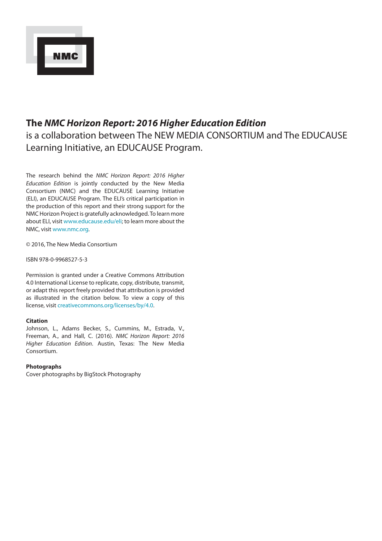

# **The** *NMC Horizon Report: 2016 Higher Education Edition* is a collaboration between The NEW MEDIA CONSORTIUM and The EDUCAUSE Learning Initiative, an EDUCAUSE Program.

The research behind the *NMC Horizon Report: 2016 Higher Education Edition* is jointly conducted by the New Media Consortium (NMC) and the EDUCAUSE Learning Initiative (ELI), an EDUCAUSE Program. The ELI's critical participation in the production of this report and their strong support for the NMC Horizon Project is gratefully acknowledged. To learn more about ELI, visit www.educause.edu/eli; to learn more about the NMC, visit www.nmc.org.

© 2016, The New Media Consortium

ISBN 978-0-9968527-5-3

Permission is granted under a Creative Commons Attribution 4.0 International License to replicate, copy, distribute, transmit, or adapt this report freely provided that attribution is provided as illustrated in the citation below. To view a copy of this license, visit [creativecommons.org/licenses/by/4.0](http://creativecommons.org/licenses/by/4.0).

#### **Citation**

Johnson, L., Adams Becker, S., Cummins, M., Estrada, V., Freeman, A., and Hall, C. (2016). *NMC Horizon Report: 2016 Higher Education Edition*. Austin, Texas: The New Media Consortium.

#### **Photographs**

Cover photographs by BigStock Photography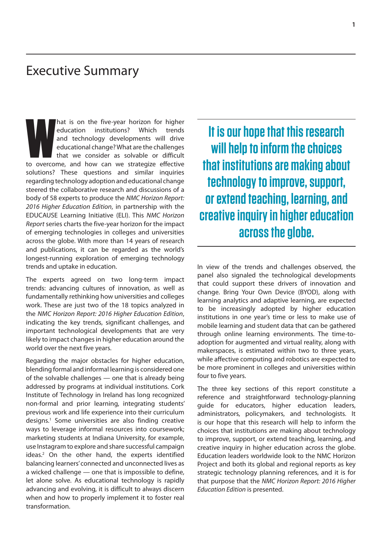# <span id="page-4-0"></span>Executive Summary

**Mateurity is on the five-year horizon for higher education institutions?** Which trends and technology developments will drive educational change? What are the challenges that we consider as solvable or difficult to overco hat is on the five-year horizon for higher education institutions? Which trends and technology developments will drive educational change? What are the challenges that we consider as solvable or difficult solutions? These questions and similar inquiries regarding technology adoption and educational change steered the collaborative research and discussions of a body of 58 experts to produce the *NMC Horizon Report: 2016 Higher Education Edition*, in partnership with the EDUCAUSE Learning Initiative (ELI). This *NMC Horizon Report* series charts the five-year horizon for the impact of emerging technologies in colleges and universities across the globe. With more than 14 years of research and publications, it can be regarded as the world's longest-running exploration of emerging technology trends and uptake in education.

The experts agreed on two long-term impact trends: advancing cultures of innovation, as well as fundamentally rethinking how universities and colleges work. These are just two of the 18 topics analyzed in the *NMC Horizon Report: 2016 Higher Education Edition*, indicating the key trends, significant challenges, and important technological developments that are very likely to impact changes in higher education around the world over the next five years.

Regarding the major obstacles for higher education, blending formal and informal learning is considered one of the solvable challenges — one that is already being addressed by programs at individual institutions. Cork Institute of Technology in Ireland has long recognized non-formal and prior learning, integrating students' previous work and life experience into their curriculum designs.<sup>1</sup> Some universities are also finding creative ways to leverage informal resources into coursework; marketing students at Indiana University, for example, use Instagram to explore and share successful campaign ideas.<sup>2</sup> On the other hand, the experts identified balancing learners' connected and unconnected lives as a wicked challenge — one that is impossible to define, let alone solve. As educational technology is rapidly advancing and evolving, it is difficult to always discern when and how to properly implement it to foster real transformation.

**It is our hope that this research will help to inform the choices that institutions are making about technology to improve, support, or extend teaching, learning, and creative inquiry in higher education across the globe.**

In view of the trends and challenges observed, the panel also signaled the technological developments that could support these drivers of innovation and change. Bring Your Own Device (BYOD), along with learning analytics and adaptive learning, are expected to be increasingly adopted by higher education institutions in one year's time or less to make use of mobile learning and student data that can be gathered through online learning environments. The time-toadoption for augmented and virtual reality, along with makerspaces, is estimated within two to three years, while affective computing and robotics are expected to be more prominent in colleges and universities within four to five years.

The three key sections of this report constitute a reference and straightforward technology-planning guide for educators, higher education leaders, administrators, policymakers, and technologists. It is our hope that this research will help to inform the choices that institutions are making about technology to improve, support, or extend teaching, learning, and creative inquiry in higher education across the globe. Education leaders worldwide look to the NMC Horizon Project and both its global and regional reports as key strategic technology planning references, and it is for that purpose that the *NMC Horizon Report: 2016 Higher Education Edition* is presented.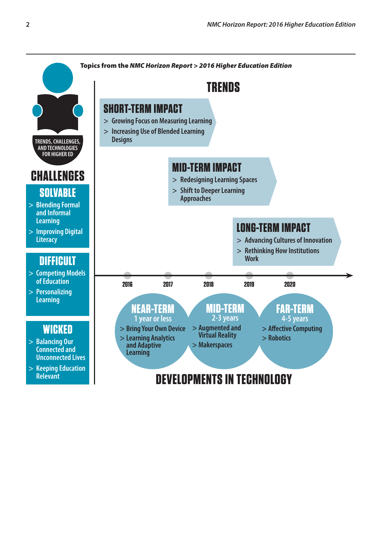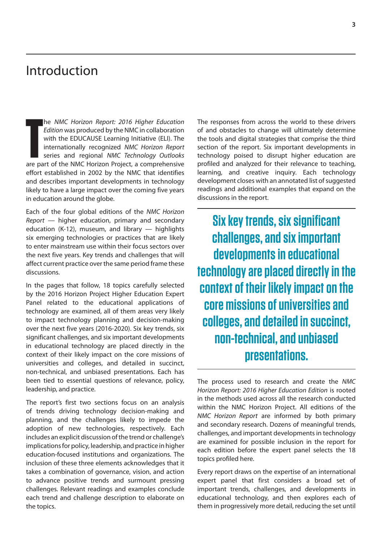# <span id="page-6-0"></span>Introduction

**THE MMC Horizon Report: 2016 Higher Education**<br> **The EDUCAUSE Learning Initiative (ELI). The internationally recognized NMC Horizon Report**<br>
series and regional NMC Technology Outlooks<br>
are part of the NMC Horizon Project he *NMC Horizon Report: 2016 Higher Education Edition* was produced by the NMC in collaboration with the EDUCAUSE Learning Initiative (ELI). The internationally recognized *NMC Horizon Report*  series and regional *NMC Technology Outlooks*  effort established in 2002 by the NMC that identifies and describes important developments in technology likely to have a large impact over the coming five years in education around the globe.

Each of the four global editions of the *NMC Horizon Report* — higher education, primary and secondary education (K-12), museum, and library  $-$  highlights six emerging technologies or practices that are likely to enter mainstream use within their focus sectors over the next five years. Key trends and challenges that will affect current practice over the same period frame these discussions.

In the pages that follow, 18 topics carefully selected by the 2016 Horizon Project Higher Education Expert Panel related to the educational applications of technology are examined, all of them areas very likely to impact technology planning and decision-making over the next five years (2016-2020). Six key trends, six significant challenges, and six important developments in educational technology are placed directly in the context of their likely impact on the core missions of universities and colleges, and detailed in succinct, non-technical, and unbiased presentations. Each has been tied to essential questions of relevance, policy, leadership, and practice.

The report's first two sections focus on an analysis of trends driving technology decision-making and planning, and the challenges likely to impede the adoption of new technologies, respectively. Each includes an explicit discussion of the trend or challenge's implications for policy, leadership, and practice in higher education-focused institutions and organizations. The inclusion of these three elements acknowledges that it takes a combination of governance, vision, and action to advance positive trends and surmount pressing challenges. Relevant readings and examples conclude each trend and challenge description to elaborate on the topics.

The responses from across the world to these drivers of and obstacles to change will ultimately determine the tools and digital strategies that comprise the third section of the report. Six important developments in technology poised to disrupt higher education are profiled and analyzed for their relevance to teaching, learning, and creative inquiry. Each technology development closes with an annotated list of suggested readings and additional examples that expand on the discussions in the report.

**Six key trends, six significant challenges, and six important developments in educational technology are placed directly in the context of their likely impact on the core missions of universities and colleges, and detailed in succinct, non-technical, and unbiased presentations.**

The process used to research and create the *NMC Horizon Report: 2016 Higher Education Edition* is rooted in the methods used across all the research conducted within the NMC Horizon Project. All editions of the *NMC Horizon Report* are informed by both primary and secondary research. Dozens of meaningful trends, challenges, and important developments in technology are examined for possible inclusion in the report for each edition before the expert panel selects the 18 topics profiled here.

Every report draws on the expertise of an international expert panel that first considers a broad set of important trends, challenges, and developments in educational technology, and then explores each of them in progressively more detail, reducing the set until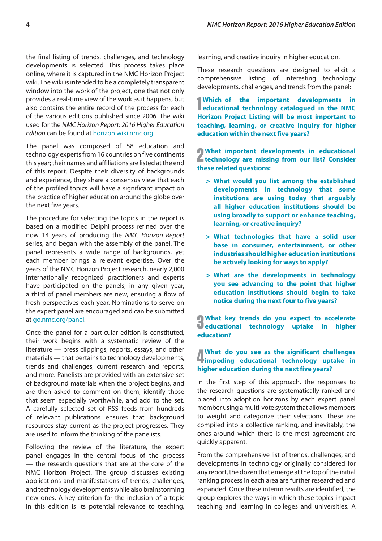the final listing of trends, challenges, and technology developments is selected. This process takes place online, where it is captured in the NMC Horizon Project wiki. The wiki is intended to be a completely transparent window into the work of the project, one that not only provides a real-time view of the work as it happens, but also contains the entire record of the process for each of the various editions published since 2006. The wiki used for the *NMC Horizon Report: 2016 Higher Education Edition* can be found at [horizon.wiki.nmc.org](http://horizon.wiki.nmc.org).

The panel was composed of 58 education and technology experts from 16 countries on five continents this year; their names and affiliations are listed at the end of this report. Despite their diversity of backgrounds and experience, they share a consensus view that each of the profiled topics will have a significant impact on the practice of higher education around the globe over the next five years.

The procedure for selecting the topics in the report is based on a modified Delphi process refined over the now 14 years of producing the *NMC Horizon Report* series, and began with the assembly of the panel. The panel represents a wide range of backgrounds, yet each member brings a relevant expertise. Over the years of the NMC Horizon Project research, nearly 2,000 internationally recognized practitioners and experts have participated on the panels; in any given year, a third of panel members are new, ensuring a flow of fresh perspectives each year. Nominations to serve on the expert panel are encouraged and can be submitted at [go.nmc.org/panel](http://go.nmc.org/panel).

Once the panel for a particular edition is constituted, their work begins with a systematic review of the literature — press clippings, reports, essays, and other materials — that pertains to technology developments, trends and challenges, current research and reports, and more. Panelists are provided with an extensive set of background materials when the project begins, and are then asked to comment on them, identify those that seem especially worthwhile, and add to the set. A carefully selected set of RSS feeds from hundreds of relevant publications ensures that background resources stay current as the project progresses. They are used to inform the thinking of the panelists.

Following the review of the literature, the expert panel engages in the central focus of the process — the research questions that are at the core of the NMC Horizon Project. The group discusses existing applications and manifestations of trends, challenges, and technology developments while also brainstorming new ones. A key criterion for the inclusion of a topic in this edition is its potential relevance to teaching, learning, and creative inquiry in higher education.

These research questions are designed to elicit a comprehensive listing of interesting technology developments, challenges, and trends from the panel:

**1** Which of the important developments in educational technology catalogued in the NMC **educational technology catalogued in the NMC Horizon Project Listing will be most important to teaching, learning, or creative inquiry for higher education within the next five years?**

**2** What important developments in educational **Letter the missing from our list? Consider What important developments in educational these related questions:**

- **> What would you list among the established developments in technology that some institutions are using today that arguably all higher education institutions should be using broadly to support or enhance teaching, learning, or creative inquiry?**
- **> What technologies that have a solid user base in consumer, entertainment, or other industries should higher education institutions be actively looking for ways to apply?**
- **> What are the developments in technology you see advancing to the point that higher education institutions should begin to take notice during the next four to five years?**

**1** What key trends do you expect to accelerate<br>**Deducational technology uptake in higher What key trends do you expect to accelerate education?**

# **4 impeding educational technology uptake in What do you see as the significant challenges higher education during the next five years?**

In the first step of this approach, the responses to the research questions are systematically ranked and placed into adoption horizons by each expert panel member using a multi-vote system that allows members to weight and categorize their selections. These are compiled into a collective ranking, and inevitably, the ones around which there is the most agreement are quickly apparent.

From the comprehensive list of trends, challenges, and developments in technology originally considered for any report, the dozen that emerge at the top of the initial ranking process in each area are further researched and expanded. Once these interim results are identified, the group explores the ways in which these topics impact teaching and learning in colleges and universities. A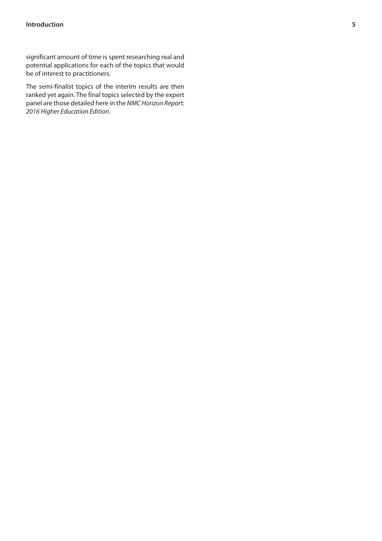significant amount of time is spent researching real and potential applications for each of the topics that would be of interest to practitioners.

The semi-finalist topics of the interim results are then ranked yet again. The final topics selected by the expert panel are those detailed here in the *NMC Horizon Report: 2016 Higher Education Edition*.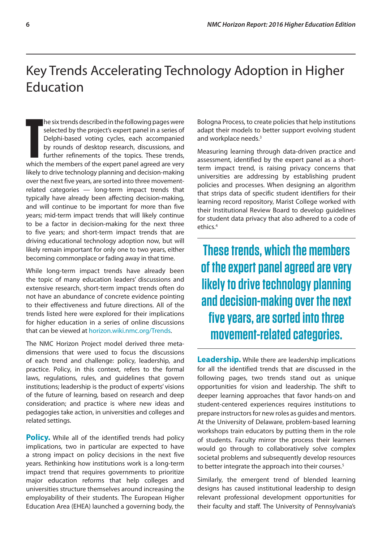# <span id="page-9-0"></span>Key Trends Accelerating Technology Adoption in Higher Education

**THE TE EXECTS CONCREDE AREA** the following pages were selected by the project's expert panel in a series of Delphi-based voting cycles, each accompanied by rounds of desktop research, discussions, and further refinements he six trends described in the following pages were selected by the project's expert panel in a series of Delphi-based voting cycles, each accompanied by rounds of desktop research, discussions, and further refinements of the topics. These trends, likely to drive technology planning and decision-making over the next five years, are sorted into three movementrelated categories — long-term impact trends that typically have already been affecting decision-making, and will continue to be important for more than five years; mid-term impact trends that will likely continue to be a factor in decision-making for the next three to five years; and short-term impact trends that are driving educational technology adoption now, but will likely remain important for only one to two years, either becoming commonplace or fading away in that time.

While long-term impact trends have already been the topic of many education leaders' discussions and extensive research, short-term impact trends often do not have an abundance of concrete evidence pointing to their effectiveness and future directions. All of the trends listed here were explored for their implications for higher education in a series of online discussions that can be viewed at [horizon.wiki.nmc.org/Trends](http://horizon.wiki.nmc.org/Trends).

The NMC Horizon Project model derived three metadimensions that were used to focus the discussions of each trend and challenge: policy, leadership, and practice. Policy, in this context, refers to the formal laws, regulations, rules, and guidelines that govern institutions; leadership is the product of experts' visions of the future of learning, based on research and deep consideration; and practice is where new ideas and pedagogies take action, in universities and colleges and related settings.

**Policy.** While all of the identified trends had policy implications, two in particular are expected to have a strong impact on policy decisions in the next five years. Rethinking how institutions work is a long-term impact trend that requires governments to prioritize major education reforms that help colleges and universities structure themselves around increasing the employability of their students. The European Higher Education Area (EHEA) launched a governing body, the Bologna Process, to create policies that help institutions adapt their models to better support evolving student and workplace needs.3

Measuring learning through data-driven practice and assessment, identified by the expert panel as a shortterm impact trend, is raising privacy concerns that universities are addressing by establishing prudent policies and processes. When designing an algorithm that strips data of specific student identifiers for their learning record repository, Marist College worked with their Institutional Review Board to develop guidelines for student data privacy that also adhered to a code of ethics.4

**These trends, which the members of the expert panel agreed are very likely to drive technology planning and decision-making over the next five years, are sorted into three movement-related categories.**

**Leadership.** While there are leadership implications for all the identified trends that are discussed in the following pages, two trends stand out as unique opportunities for vision and leadership. The shift to deeper learning approaches that favor hands-on and student-centered experiences requires institutions to prepare instructors for new roles as guides and mentors. At the University of Delaware, problem-based learning workshops train educators by putting them in the role of students. Faculty mirror the process their learners would go through to collaboratively solve complex societal problems and subsequently develop resources to better integrate the approach into their courses.<sup>5</sup>

Similarly, the emergent trend of blended learning designs has caused institutional leadership to design relevant professional development opportunities for their faculty and staff. The University of Pennsylvania's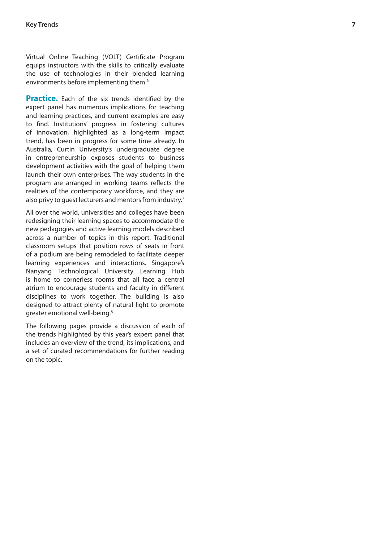Virtual Online Teaching (VOLT) Certificate Program equips instructors with the skills to critically evaluate the use of technologies in their blended learning environments before implementing them. 6

**Practice.** Each of the six trends identified by the expert panel has numerous implications for teaching and learning practices, and current examples are easy to find. Institutions' progress in fostering cultures of innovation, highlighted as a long-term impact trend, has been in progress for some time already. In Australia, Curtin University's undergraduate degree in entrepreneurship exposes students to business development activities with the goal of helping them launch their own enterprises. The way students in the program are arranged in working teams reflects the realities of the contemporary workforce, and they are also privy to guest lecturers and mentors from industry. 7

All over the world, universities and colleges have been redesigning their learning spaces to accommodate the new pedagogies and active learning models described across a number of topics in this report. Traditional classroom setups that position rows of seats in front of a podium are being remodeled to facilitate deeper learning experiences and interactions. Singapore's Nanyang Technological University Learning Hub is home to cornerless rooms that all face a central atrium to encourage students and faculty in different disciplines to work together. The building is also designed to attract plenty of natural light to promote greater emotional well-being.<sup>8</sup>

The following pages provide a discussion of each of the trends highlighted by this year's expert panel that includes an overview of the trend, its implications, and a set of curated recommendations for further reading on the topic.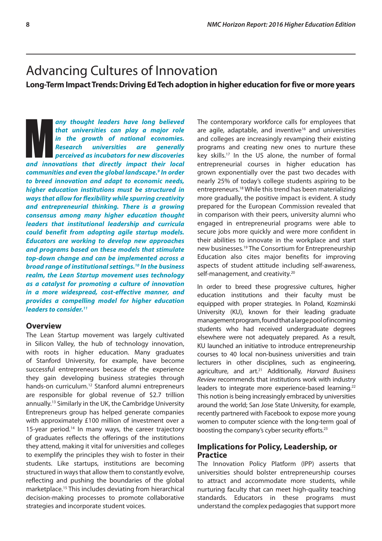# <span id="page-11-0"></span>Advancing Cultures of Innovation

**Long-Term Impact Trends: Driving Ed Tech adoption in higher education for five or more years**

any thought leaders have long believed<br>that universities can play a major role<br>in the growth of national economies.<br>Research universities are generally<br>perceived as incubators for new discoveries<br>and innovations that direc *any thought leaders have long believed that universities can play a major role in the growth of national economies. Research universities are generally perceived as incubators for new discoveries communities and even the global landscape.9 In order to breed innovation and adapt to economic needs, higher education institutions must be structured in ways that allow for flexibility while spurring creativity and entrepreneurial thinking. There is a growing consensus among many higher education thought leaders that institutional leadership and curricula could benefit from adopting agile startup models. Educators are working to develop new approaches and programs based on these models that stimulate top-down change and can be implemented across a broad range of institutional settings.10 In the business realm, the Lean Startup movement uses technology as a catalyst for promoting a culture of innovation in a more widespread, cost-effective manner, and provides a compelling model for higher education leaders to consider.11*

### **Overview**

The Lean Startup movement was largely cultivated in Silicon Valley, the hub of technology innovation, with roots in higher education. Many graduates of Stanford University, for example, have become successful entrepreneurs because of the experience they gain developing business strategies through hands-on curriculum.12 Stanford alumni entrepreneurs are responsible for global revenue of \$2.7 trillion annually.13 Similarly in the UK, the Cambridge University Entrepreneurs group has helped generate companies with approximately £100 million of investment over a 15-year period.<sup>14</sup> In many ways, the career trajectory of graduates reflects the offerings of the institutions they attend, making it vital for universities and colleges to exemplify the principles they wish to foster in their students. Like startups, institutions are becoming structured in ways that allow them to constantly evolve, reflecting and pushing the boundaries of the global marketplace.15 This includes deviating from hierarchical decision-making processes to promote collaborative strategies and incorporate student voices.

The contemporary workforce calls for employees that are agile, adaptable, and inventive<sup>16</sup> and universities and colleges are increasingly revamping their existing programs and creating new ones to nurture these key skills.17 In the US alone, the number of formal entrepreneurial courses in higher education has grown exponentially over the past two decades with nearly 25% of today's college students aspiring to be entrepreneurs.18 While this trend has been materializing more gradually, the positive impact is evident. A study prepared for the European Commission revealed that in comparison with their peers, university alumni who engaged in entrepreneurial programs were able to secure jobs more quickly and were more confident in their abilities to innovate in the workplace and start new businesses.19 The Consortium for Entrepreneurship Education also cites major benefits for improving aspects of student attitude including self-awareness, self-management, and creativity.<sup>20</sup>

In order to breed these progressive cultures, higher education institutions and their faculty must be equipped with proper strategies. In Poland, Kozminski University (KU), known for their leading graduate management program, found that a large pool of incoming students who had received undergraduate degrees elsewhere were not adequately prepared. As a result, KU launched an initiative to introduce entrepreneurship courses to 40 local non-business universities and train lecturers in other disciplines, such as engineering, agriculture, and art.21 Additionally, *Harvard Business Review* recommends that institutions work with industry leaders to integrate more experience-based learning.<sup>22</sup> This notion is being increasingly embraced by universities around the world; San Jose State University, for example, recently partnered with Facebook to expose more young women to computer science with the long-term goal of boosting the company's cyber security efforts.23

# **Implications for Policy, Leadership, or Practice**

The Innovation Policy Platform (IPP) asserts that universities should bolster entrepreneurship courses to attract and accommodate more students, while nurturing faculty that can meet high-quality teaching standards. Educators in these programs must understand the complex pedagogies that support more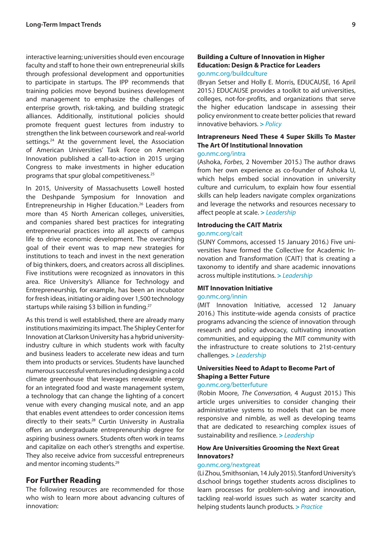interactive learning; universities should even encourage faculty and staff to hone their own entrepreneurial skills through professional development and opportunities to participate in startups. The IPP recommends that training policies move beyond business development and management to emphasize the challenges of enterprise growth, risk-taking, and building strategic alliances. Additionally, institutional policies should promote frequent guest lectures from industry to strengthen the link between coursework and real-world settings.<sup>24</sup> At the government level, the Association of American Universities' Task Force on American Innovation published a call-to-action in 2015 urging Congress to make investments in higher education programs that spur global competitiveness.25

In 2015, University of Massachusetts Lowell hosted the Deshpande Symposium for Innovation and Entrepreneurship in Higher Education.26 Leaders from more than 45 North American colleges, universities, and companies shared best practices for integrating entrepreneurial practices into all aspects of campus life to drive economic development. The overarching goal of their event was to map new strategies for institutions to teach and invest in the next generation of big thinkers, doers, and creators across all disciplines. Five institutions were recognized as innovators in this area. Rice University's Alliance for Technology and Entrepreneurship, for example, has been an incubator for fresh ideas, initiating or aiding over 1,500 technology startups while raising \$3 billion in funding.<sup>27</sup>

As this trend is well established, there are already many institutions maximizing its impact. The Shipley Center for Innovation at Clarkson University has a hybrid universityindustry culture in which students work with faculty and business leaders to accelerate new ideas and turn them into products or services. Students have launched numerous successful ventures including designing a cold climate greenhouse that leverages renewable energy for an integrated food and waste management system, a technology that can change the lighting of a concert venue with every changing musical note, and an app that enables event attendees to order concession items directly to their seats.28 Curtin University in Australia offers an undergraduate entrepreneurship degree for aspiring business owners. Students often work in teams and capitalize on each other's strengths and expertise. They also receive advice from successful entrepreneurs and mentor incoming students.<sup>29</sup>

# **For Further Reading**

The following resources are recommended for those who wish to learn more about advancing cultures of innovation:

#### **Building a Culture of Innovation in Higher Education: Design & Practice for Leaders**  [go.nmc.org/buildculture](http://go.nmc.org/buildculture)

(Bryan Setser and Holly E. Morris, EDUCAUSE, 16 April 2015.) EDUCAUSE provides a toolkit to aid universities, colleges, not-for-profits, and organizations that serve the higher education landscape in assessing their policy environment to create better policies that reward innovative behaviors. **>** *Policy*

# **Intrapreneurs Need These 4 Super Skills To Master The Art Of Institutional Innovation**

### [go.nmc.org/intra](http://go.nmc.org/intra)

(Ashoka, *Forbes*, 2 November 2015.) The author draws from her own experience as co-founder of Ashoka U, which helps embed social innovation in university culture and curriculum, to explain how four essential skills can help leaders navigate complex organizations and leverage the networks and resources necessary to affect people at scale. **>** *Leadership*

#### **Introducing the CAIT Matrix**

#### [go.nmc.org/cait](http://go.nmc.org/cait)

(SUNY Commons, accessed 15 January 2016.) Five universities have formed the Collective for Academic Innovation and Transformation (CAIT) that is creating a taxonomy to identify and share academic innovations across multiple institutions. **>** *Leadership*

#### **MIT Innovation Initiative**

#### [go.nmc.org/innin](http://go.nmc.org/innin)

(MIT Innovation Initiative, accessed 12 January 2016.) This institute-wide agenda consists of practice programs advancing the science of innovation through research and policy advocacy, cultivating innovation communities, and equipping the MIT community with the infrastructure to create solutions to 21st-century challenges. **>** *Leadership*

# **Universities Need to Adapt to Become Part of Shaping a Better Future**

### [go.nmc.org/betterfuture](http://go.nmc.org/betterfuture)

(Robin Moore, *The Conversation*, 4 August 2015.) This article urges universities to consider changing their administrative systems to models that can be more responsive and nimble, as well as developing teams that are dedicated to researching complex issues of sustainability and resilience. **>** *Leadership*

### **How Are Universities Grooming the Next Great Innovators?**

#### [go.nmc.org/nextgreat](http://go.nmc.org/nextgreat)

(Li Zhou, Smithsonian, 14 July 2015). Stanford University's d.school brings together students across disciplines to learn processes for problem-solving and innovation, tackling real-world issues such as water scarcity and helping students launch products. **>** *Practice*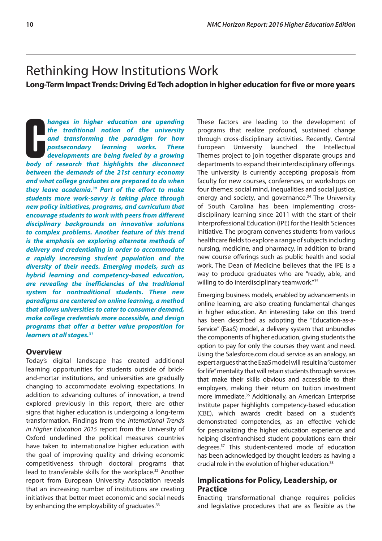# <span id="page-13-0"></span>Rethinking How Institutions Work

**Long-Term Impact Trends: Driving Ed Tech adoption in higher education for five or more years**

**COM**<br> **COM**<br> **COM**<br> **COM**<br> **COMP**<br> **COMP**<br> **COMP**<br> **COMP**<br> **COMP**<br> **COMP**<br> **COMP**<br> **COMP**<br> **COMP**<br> **COMP**<br> **COMP**<br> **COMP**<br> **COMP**<br> **COMP**<br> **COMP**<br> **COMP**<br> **COMP**<br> **COMP**<br> **COMP**<br> **COMP**<br> **COMP**<br> **COMP**<br> **COMP**<br> **COMP**<br> **C** *hanges in higher education are upending the traditional notion of the university and transforming the paradigm for how postsecondary learning works. These developments are being fueled by a growing between the demands of the 21st century economy and what college graduates are prepared to do when they leave academia.30 Part of the effort to make students more work-savvy is taking place through new policy initiatives, programs, and curriculum that encourage students to work with peers from different disciplinary backgrounds on innovative solutions to complex problems. Another feature of this trend is the emphasis on exploring alternate methods of delivery and credentialing in order to accommodate a rapidly increasing student population and the diversity of their needs. Emerging models, such as hybrid learning and competency-based education, are revealing the inefficiencies of the traditional system for nontraditional students. These new paradigms are centered on online learning, a method that allows universities to cater to consumer demand, make college credentials more accessible, and design programs that offer a better value proposition for learners at all stages.31*

# **Overview**

Today's digital landscape has created additional learning opportunities for students outside of brickand-mortar institutions, and universities are gradually changing to accommodate evolving expectations. In addition to advancing cultures of innovation, a trend explored previously in this report, there are other signs that higher education is undergoing a long-term transformation. Findings from the *International Trends in Higher Education 2015* report from the University of Oxford underlined the political measures countries have taken to internationalize higher education with the goal of improving quality and driving economic competitiveness through doctoral programs that lead to transferable skills for the workplace.<sup>32</sup> Another report from European University Association reveals that an increasing number of institutions are creating initiatives that better meet economic and social needs by enhancing the employability of graduates.<sup>33</sup>

These factors are leading to the development of programs that realize profound, sustained change through cross-disciplinary activities. Recently, Central European University launched the Intellectual Themes project to join together disparate groups and departments to expand their interdisciplinary offerings. The university is currently accepting proposals from faculty for new courses, conferences, or workshops on four themes: social mind, inequalities and social justice, energy and society, and governance.<sup>34</sup> The University of South Carolina has been implementing crossdisciplinary learning since 2011 with the start of their Interprofessional Education (IPE) for the Health Sciences Initiative. The program convenes students from various healthcare fields to explore a range of subjects including nursing, medicine, and pharmacy, in addition to brand new course offerings such as public health and social work. The Dean of Medicine believes that the IPE is a way to produce graduates who are "ready, able, and willing to do interdisciplinary teamwork."<sup>35</sup>

Emerging business models, enabled by advancements in online learning, are also creating fundamental changes in higher education. An interesting take on this trend has been described as adopting the "Education-as-a-Service" (EaaS) model, a delivery system that unbundles the components of higher education, giving students the option to pay for only the courses they want and need. Using the Salesforce.com cloud service as an analogy, an expert argues that the EaaS model will result in a "customer for life" mentality that will retain students through services that make their skills obvious and accessible to their employers, making their return on tuition investment more immediate.36 Additionally, an American Enterprise Institute paper highlights competency-based education (CBE), which awards credit based on a student's demonstrated competencies, as an effective vehicle for personalizing the higher education experience and helping disenfranchised student populations earn their degrees.37 This student-centered mode of education has been acknowledged by thought leaders as having a crucial role in the evolution of higher education.<sup>38</sup>

# **Implications for Policy, Leadership, or Practice**

Enacting transformational change requires policies and legislative procedures that are as flexible as the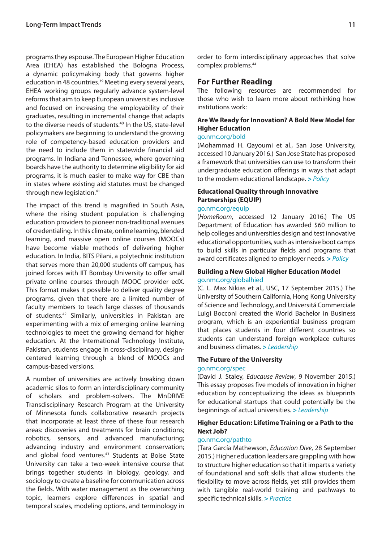programs they espouse. The European Higher Education Area (EHEA) has established the Bologna Process, a dynamic policymaking body that governs higher education in 48 countries.<sup>39</sup> Meeting every several years, EHEA working groups regularly advance system-level reforms that aim to keep European universities inclusive and focused on increasing the employability of their graduates, resulting in incremental change that adapts to the diverse needs of students.<sup>40</sup> In the US, state-level policymakers are beginning to understand the growing role of competency-based education providers and the need to include them in statewide financial aid programs. In Indiana and Tennessee, where governing boards have the authority to determine eligibility for aid programs, it is much easier to make way for CBE than in states where existing aid statutes must be changed through new legislation.<sup>41</sup>

The impact of this trend is magnified in South Asia, where the rising student population is challenging education providers to pioneer non-traditional avenues of credentialing. In this climate, online learning, blended learning, and massive open online courses (MOOCs) have become viable methods of delivering higher education. In India, BITS Pilani, a polytechnic institution that serves more than 20,000 students off campus, has joined forces with IIT Bombay University to offer small private online courses through MOOC provider edX. This format makes it possible to deliver quality degree programs, given that there are a limited number of faculty members to teach large classes of thousands of students.42 Similarly, universities in Pakistan are experimenting with a mix of emerging online learning technologies to meet the growing demand for higher education. At the International Technology Institute, Pakistan, students engage in cross-disciplinary, designcentered learning through a blend of MOOCs and campus-based versions.

A number of universities are actively breaking down academic silos to form an interdisciplinary community of scholars and problem-solvers. The MnDRIVE Transdisciplinary Research Program at the University of Minnesota funds collaborative research projects that incorporate at least three of these four research areas: discoveries and treatments for brain conditions; robotics, sensors, and advanced manufacturing; advancing industry and environment conservation; and global food ventures.<sup>43</sup> Students at Boise State University can take a two-week intensive course that brings together students in biology, geology, and sociology to create a baseline for communication across the fields. With water management as the overarching topic, learners explore differences in spatial and temporal scales, modeling options, and terminology in order to form interdisciplinary approaches that solve complex problems.44

# **For Further Reading**

The following resources are recommended for those who wish to learn more about rethinking how institutions work:

# **Are We Ready for Innovation? A Bold New Model for Higher Education**

#### [go.nmc.org/bold](http://go.nmc.org/bold)

(Mohammad H. Qayoumi et al., San Jose University, accessed 10 January 2016.) San Jose State has proposed a framework that universities can use to transform their undergraduate education offerings in ways that adapt to the modern educational landscape. **>** *Policy*

### **Educational Quality through Innovative Partnerships (EQUIP)**

#### [go.nmc.org/equip](http://go.nmc.org/equip)

(*HomeRoom*, accessed 12 January 2016.) The US Department of Education has awarded \$60 million to help colleges and universities design and test innovative educational opportunities, such as intensive boot camps to build skills in particular fields and programs that award certificates aligned to employer needs. **>** *Policy*

#### **Building a New Global Higher Education Model** [go.nmc.org/globalhied](http://go.nmc.org/globalhied)

(C. L. Max Nikias et al., USC, 17 September 2015.) The University of Southern California, Hong Kong University of Science and Technology, and Universitá Commerciale Luigi Bocconi created the World Bachelor in Business program, which is an experiential business program that places students in four different countries so students can understand foreign workplace cultures and business climates. **>** *Leadership*

## **The Future of the University**

#### [go.nmc.org/spec](http://go.nmc.org/spec)

(David J. Staley, *Educause Review*, 9 November 2015.) This essay proposes five models of innovation in higher education by conceptualizing the ideas as blueprints for educational startups that could potentially be the beginnings of actual universities. **>** *Leadership*

#### **Higher Education: Lifetime Training or a Path to the Next Job?**

#### [go.nmc.org/pathto](http://go.nmc.org/pathto)

(Tara García Mathewson, *Education Dive*, 28 September 2015.) Higher education leaders are grappling with how to structure higher education so that it imparts a variety of foundational and soft skills that allow students the flexibility to move across fields, yet still provides them with tangible real-world training and pathways to specific technical skills. **>** *Practice*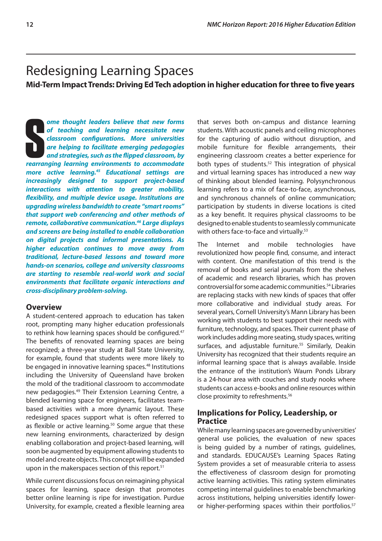# <span id="page-15-0"></span>Redesigning Learning Spaces

**Mid-Term Impact Trends: Driving Ed Tech adoption in higher education for three to five years**

**Solution** one thought leaders believe that new forms of teaching and learning necessitate new classroom configurations. More universities are helping to facilitate emerging pedagogies and strategies, such as the flipped c *ome thought leaders believe that new forms of teaching and learning necessitate new classroom configurations. More universities are helping to facilitate emerging pedagogies and strategies, such as the flipped classroom, by more active learning.45 Educational settings are increasingly designed to support project-based interactions with attention to greater mobility, flexibility, and multiple device usage. Institutions are upgrading wireless bandwidth to create "smart rooms" that support web conferencing and other methods of remote, collaborative communication.46 Large displays and screens are being installed to enable collaboration on digital projects and informal presentations. As higher education continues to move away from traditional, lecture-based lessons and toward more hands-on scenarios, college and university classrooms are starting to resemble real-world work and social environments that facilitate organic interactions and cross-disciplinary problem-solving.*

# **Overview**

A student-centered approach to education has taken root, prompting many higher education professionals to rethink how learning spaces should be configured.<sup>47</sup> The benefits of renovated learning spaces are being recognized; a three-year study at Ball State University, for example, found that students were more likely to be engaged in innovative learning spaces.<sup>48</sup> Institutions including the University of Queensland have broken the mold of the traditional classroom to accommodate new pedagogies.49 Their Extension Learning Centre, a blended learning space for engineers, facilitates teambased activities with a more dynamic layout. These redesigned spaces support what is often referred to as flexible or active learning.<sup>50</sup> Some argue that these new learning environments, characterized by design enabling collaboration and project-based learning, will soon be augmented by equipment allowing students to model and create objects. This concept will be expanded upon in the makerspaces section of this report.<sup>51</sup>

While current discussions focus on reimagining physical spaces for learning, space design that promotes better online learning is ripe for investigation. Purdue University, for example, created a flexible learning area that serves both on-campus and distance learning students. With acoustic panels and ceiling microphones for the capturing of audio without disruption, and mobile furniture for flexible arrangements, their engineering classroom creates a better experience for both types of students.<sup>52</sup> This integration of physical and virtual learning spaces has introduced a new way of thinking about blended learning. Polysynchronous learning refers to a mix of face-to-face, asynchronous, and synchronous channels of online communication; participation by students in diverse locations is cited as a key benefit. It requires physical classrooms to be designed to enable students to seamlessly communicate with others face-to-face and virtually.<sup>53</sup>

The Internet and mobile technologies have revolutionized how people find, consume, and interact with content. One manifestation of this trend is the removal of books and serial journals from the shelves of academic and research libraries, which has proven controversial for some academic communities.54 Libraries are replacing stacks with new kinds of spaces that offer more collaborative and individual study areas. For several years, Cornell University's Mann Library has been working with students to best support their needs with furniture, technology, and spaces. Their current phase of work includes adding more seating, study spaces, writing surfaces, and adjustable furniture.<sup>55</sup> Similarly, Deakin University has recognized that their students require an informal learning space that is always available. Inside the entrance of the institution's Waurn Ponds Library is a 24-hour area with couches and study nooks where students can access e-books and online resources within close proximity to refreshments.56

# **Implications for Policy, Leadership, or Practice**

While many learning spaces are governed by universities' general use policies, the evaluation of new spaces is being guided by a number of ratings, guidelines, and standards. EDUCAUSE's Learning Spaces Rating System provides a set of measurable criteria to assess the effectiveness of classroom design for promoting active learning activities. This rating system eliminates competing internal guidelines to enable benchmarking across institutions, helping universities identify loweror higher-performing spaces within their portfolios.<sup>57</sup>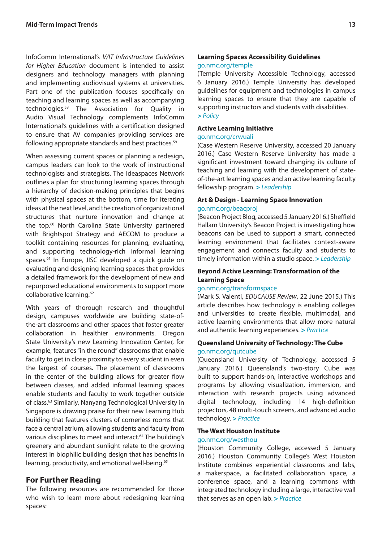InfoComm International's *V/IT Infrastructure Guidelines for Higher Education* document is intended to assist designers and technology managers with planning and implementing audiovisual systems at universities. Part one of the publication focuses specifically on teaching and learning spaces as well as accompanying technologies.58 The Association for Quality in Audio Visual Technology complements InfoComm International's guidelines with a certification designed to ensure that AV companies providing services are following appropriate standards and best practices.<sup>59</sup>

When assessing current spaces or planning a redesign, campus leaders can look to the work of instructional technologists and strategists. The Ideaspaces Network outlines a plan for structuring learning spaces through a hierarchy of decision-making principles that begins with physical spaces at the bottom, time for iterating ideas at the next level, and the creation of organizational structures that nurture innovation and change at the top.60 North Carolina State University partnered with Brightspot Strategy and AECOM to produce a toolkit containing resources for planning, evaluating, and supporting technology-rich informal learning spaces.<sup>61</sup> In Europe, JISC developed a quick quide on evaluating and designing learning spaces that provides a detailed framework for the development of new and repurposed educational environments to support more collaborative learning.<sup>62</sup>

With years of thorough research and thoughtful design, campuses worldwide are building state-ofthe-art classrooms and other spaces that foster greater collaboration in healthier environments. Oregon State University's new Learning Innovation Center, for example, features "in the round" classrooms that enable faculty to get in close proximity to every student in even the largest of courses. The placement of classrooms in the center of the building allows for greater flow between classes, and added informal learning spaces enable students and faculty to work together outside of class.63 Similarly, Nanyang Technological University in Singapore is drawing praise for their new Learning Hub building that features clusters of cornerless rooms that face a central atrium, allowing students and faculty from various disciplines to meet and interact.<sup>64</sup> The building's greenery and abundant sunlight relate to the growing interest in biophilic building design that has benefits in learning, productivity, and emotional well-being.<sup>65</sup>

# **For Further Reading**

The following resources are recommended for those who wish to learn more about redesigning learning spaces:

(Temple University Accessible Technology, accessed 6 January 2016.) Temple University has developed guidelines for equipment and technologies in campus learning spaces to ensure that they are capable of supporting instructors and students with disabilities. **>** *Policy*

#### **Active Learning Initiative**

#### [go.nmc.org/crwuali](http://go.nmc.org/crwuali)

(Case Western Reserve University, accessed 20 January 2016.) Case Western Reserve University has made a significant investment toward changing its culture of teaching and learning with the development of stateof-the-art learning spaces and an active learning faculty fellowship program. **>** *Leadership*

# **Art & Design - Learning Space Innovation**

# [go.nmc.org/beacproj](http://go.nmc.org/beacproj)

(Beacon Project Blog, accessed 5 January 2016.) Sheffield Hallam University's Beacon Project is investigating how beacons can be used to support a smart, connected learning environment that facilitates context-aware engagement and connects faculty and students to timely information within a studio space. **>** *Leadership*

#### **Beyond Active Learning: Transformation of the Learning Space**

#### [go.nmc.org/transformspace](http://go.nmc.org/transformspace)

(Mark S. Valenti, *EDUCAUSE Review*, 22 June 2015.) This article describes how technology is enabling colleges and universities to create flexible, multimodal, and active learning environments that allow more natural and authentic learning experiences. **>** *Practice*

# **Queensland University of Technology: The Cube** [go.nmc.org/qutcube](http://go.nmc.org/qutcube)

(Queensland University of Technology, accessed 5 January 2016.) Queensland's two-story Cube was built to support hands-on, interactive workshops and programs by allowing visualization, immersion, and interaction with research projects using advanced digital technology, including 14 high-definition projectors, 48 multi-touch screens, and advanced audio technology. **>** *Practice*

#### **The West Houston Institute**

#### [go.nmc.org/westhou](http://go.nmc.org/westhou)

(Houston Community College, accessed 5 January 2016.) Houston Community College's West Houston Institute combines experiential classrooms and labs, a makerspace, a facilitated collaboration space, a conference space, and a learning commons with integrated technology including a large, interactive wall that serves as an open lab. **>** *Practice*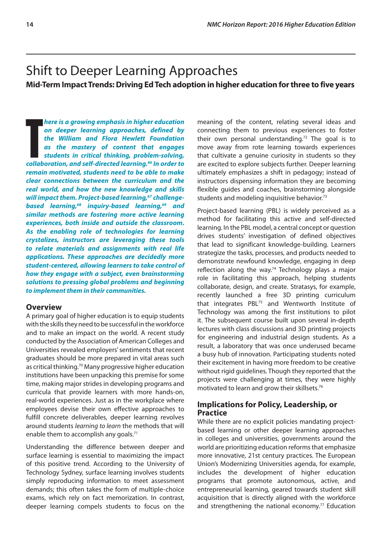# <span id="page-17-0"></span>Shift to Deeper Learning Approaches

**Mid-Term Impact Trends: Driving Ed Tech adoption in higher education for three to five years**

**There is a growing emphasis in higher education**<br>
on deeper learning approaches, defined by<br>
the William and Flora Hewlett Foundation<br>
as the mastery of content that engages<br>
students in critical thinking, problem-solving *here is a growing emphasis in higher education on deeper learning approaches, defined by the William and Flora Hewlett Foundation as the mastery of content that engages students in critical thinking, problem-solving, remain motivated, students need to be able to make clear connections between the curriculum and the real world, and how the new knowledge and skills*  will impact them. Project-based learning,<sup>67</sup> challenge*based learning,68 inquiry-based learning,69 and similar methods are fostering more active learning experiences, both inside and outside the classroom. As the enabling role of technologies for learning crystalizes, instructors are leveraging these tools to relate materials and assignments with real life applications. These approaches are decidedly more student-centered, allowing learners to take control of how they engage with a subject, even brainstorming solutions to pressing global problems and beginning to implement them in their communities.*

# **Overview**

A primary goal of higher education is to equip students with the skills they need to be successful in the workforce and to make an impact on the world. A recent study conducted by the Association of American Colleges and Universities revealed employers' sentiments that recent graduates should be more prepared in vital areas such as critical thinking.70 Many progressive higher education institutions have been unpacking this premise for some time, making major strides in developing programs and curricula that provide learners with more hands-on, real-world experiences. Just as in the workplace where employees devise their own effective approaches to fulfill concrete deliverables, deeper learning revolves around students *learning to learn* the methods that will enable them to accomplish any goals.<sup>71</sup>

Understanding the difference between deeper and surface learning is essential to maximizing the impact of this positive trend. According to the University of Technology Sydney, surface learning involves students simply reproducing information to meet assessment demands; this often takes the form of multiple-choice exams, which rely on fact memorization. In contrast, deeper learning compels students to focus on the

meaning of the content, relating several ideas and connecting them to previous experiences to foster their own personal understanding.<sup>72</sup> The goal is to move away from rote learning towards experiences that cultivate a genuine curiosity in students so they are excited to explore subjects further. Deeper learning ultimately emphasizes a shift in pedagogy; instead of instructors dispensing information they are becoming flexible guides and coaches, brainstorming alongside students and modeling inquisitive behavior.73

Project-based learning (PBL) is widely perceived as a method for facilitating this active and self-directed learning. In the PBL model, a central concept or question drives students' investigation of defined objectives that lead to significant knowledge-building. Learners strategize the tasks, processes, and products needed to demonstrate newfound knowledge, engaging in deep reflection along the way.<sup>74</sup> Technology plays a major role in facilitating this approach, helping students collaborate, design, and create. Stratasys, for example, recently launched a free 3D printing curriculum that integrates PBL<sup>75</sup> and Wentworth Institute of Technology was among the first institutions to pilot it. The subsequent course built upon several in-depth lectures with class discussions and 3D printing projects for engineering and industrial design students. As a result, a laboratory that was once underused became a busy hub of innovation. Participating students noted their excitement in having more freedom to be creative without rigid guidelines. Though they reported that the projects were challenging at times, they were highly motivated to learn and grow their skillsets.76

# **Implications for Policy, Leadership, or Practice**

While there are no explicit policies mandating projectbased learning or other deeper learning approaches in colleges and universities, governments around the world are prioritizing education reforms that emphasize more innovative, 21st century practices. The European Union's Modernizing Universities agenda, for example, includes the development of higher education programs that promote autonomous, active, and entrepreneurial learning, geared towards student skill acquisition that is directly aligned with the workforce and strengthening the national economy.<sup>77</sup> Education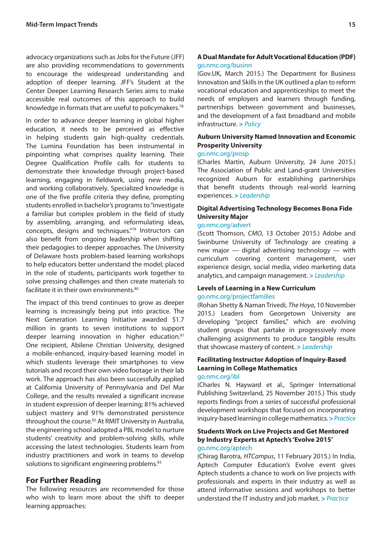advocacy organizations such as Jobs for the Future (JFF) are also providing recommendations to governments to encourage the widespread understanding and adoption of deeper learning. JFF's Student at the Center Deeper Learning Research Series aims to make accessible real outcomes of this approach to build knowledge in formats that are useful to policymakers.78

In order to advance deeper learning in global higher education, it needs to be perceived as effective in helping students gain high-quality credentials. The Lumina Foundation has been instrumental in pinpointing what comprises quality learning. Their Degree Qualification Profile calls for students to demonstrate their knowledge through project-based learning, engaging in fieldwork, using new media, and working collaboratively. Specialized knowledge is one of the five profile criteria they define, prompting students enrolled in bachelor's programs to "investigate a familiar but complex problem in the field of study by assembling, arranging, and reformulating ideas, concepts, designs and techniques."79 Instructors can also benefit from ongoing leadership when shifting their pedagogies to deeper approaches. The University of Delaware hosts problem-based learning workshops to help educators better understand the model; placed in the role of students, participants work together to solve pressing challenges and then create materials to facilitate it in their own environments.<sup>80</sup>

The impact of this trend continues to grow as deeper learning is increasingly being put into practice. The Next Generation Learning Initiative awarded \$1.7 million in grants to seven institutions to support deeper learning innovation in higher education.<sup>81</sup> One recipient, Abilene Christian University, designed a mobile-enhanced, inquiry-based learning model in which students leverage their smartphones to view tutorials and record their own video footage in their lab work. The approach has also been successfully applied at California University of Pennsylvania and Del Mar College, and the results revealed a significant increase in student expression of deeper learning; 81% achieved subject mastery and 91% demonstrated persistence throughout the course.82 At RMIT University in Australia, the engineering school adopted a PBL model to nurture students' creativity and problem-solving skills, while accessing the latest technologies. Students learn from industry practitioners and work in teams to develop solutions to significant engineering problems.<sup>83</sup>

# **For Further Reading**

The following resources are recommended for those who wish to learn more about the shift to deeper learning approaches:

# **A Dual Mandate for Adult Vocational Education (PDF)**  [go.nmc.org/businn](http://go.nmc.org/businn)

(Gov.UK, March 2015.) The Department for Business Innovation and Skills in the UK outlined a plan to reform vocational education and apprenticeships to meet the needs of employers and learners through funding, partnerships between government and businesses, and the development of a fast broadband and mobile infrastructure. **>** *Policy*

# **Auburn University Named Innovation and Economic Prosperity University**

#### [go.nmc.org/prosp](http://go.nmc.org/prosp)

(Charles Martin, Auburn University, 24 June 2015.) The Association of Public and Land-grant Universities recognized Auburn for establishing partnerships that benefit students through real-world learning experiences. **>** *Leadership*

# **Digital Advertising Technology Becomes Bona Fide University Major**

#### [go.nmc.org/advert](http://go.nmc.org/advert)

(Scott Thomson, *CMO*, 13 October 2015.) Adobe and Swinburne University of Technology are creating a new major — digital advertising technology — with curriculum covering content management, user experience design, social media, video marketing data analytics, and campaign management. **>** *Leadership*

#### **Levels of Learning in a New Curriculum**  [go.nmc.org/projectfamilies](http://go.nmc.org/projectfamilies)

(Rohan Shetty & Naman Trivedi, *The Hoya*, 10 November 2015.) Leaders from Georgetown University are developing "project families," which are evolving student groups that partake in progressively more challenging assignments to produce tangible results that showcase mastery of content. **>** *Leadership*

# **Facilitating Instructor Adoption of Inquiry-Based Learning in College Mathematics**

#### [go.nmc.org/ibl](http://go.nmc.org/ibl)

(Charles N. Hayward et al., Springer International Publishing Switzerland, 25 November 2015.) This study reports findings from a series of successful professional development workshops that focused on incorporating inquiry-based learning in college mathematics. **>** *Practice*

#### **Students Work on Live Projects and Get Mentored by Industry Experts at Aptech's 'Evolve 2015'** [go.nmc.org/aptech](http://go.nmc.org/aptech)

(Chirag Barotra, *HTCampus*, 11 February 2015.) In India, Aptech Computer Education's Evolve event gives Aptech students a chance to work on live projects with professionals and experts in their industry as well as attend informative sessions and workshops to better understand the IT industry and job market. **>** *Practice*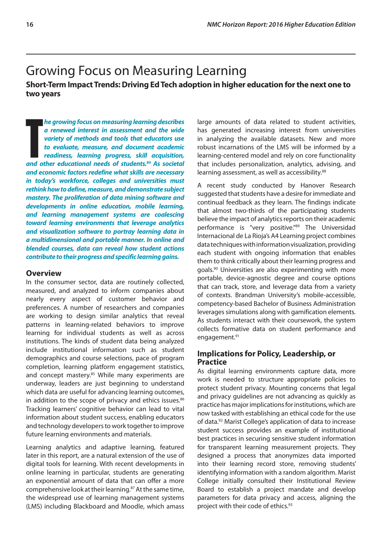# <span id="page-19-0"></span>Growing Focus on Measuring Learning

**Short-Term Impact Trends: Driving Ed Tech adoption in higher education for the next one to two years**

**The growing focus on measuring learning describes a renewed interest in assessment and the wide variety of methods and tools that educators use to evaluate, measure, and document academic readiness, learning progress, ski** *he growing focus on measuring learning describes a renewed interest in assessment and the wide variety of methods and tools that educators use to evaluate, measure, and document academic readiness, learning progress, skill acquisition, and economic factors redefine what skills are necessary in today's workforce, colleges and universities must rethink how to define, measure, and demonstrate subject mastery. The proliferation of data mining software and developments in online education, mobile learning, and learning management systems are coalescing toward learning environments that leverage analytics and visualization software to portray learning data in a multidimensional and portable manner. In online and blended courses, data can reveal how student actions contribute to their progress and specific learning gains.*

#### **Overview**

In the consumer sector, data are routinely collected, measured, and analyzed to inform companies about nearly every aspect of customer behavior and preferences. A number of researchers and companies are working to design similar analytics that reveal patterns in learning-related behaviors to improve learning for individual students as well as across institutions. The kinds of student data being analyzed include institutional information such as student demographics and course selections, pace of program completion, learning platform engagement statistics, and concept mastery.<sup>85</sup> While many experiments are underway, leaders are just beginning to understand which data are useful for advancing learning outcomes, in addition to the scope of privacy and ethics issues.<sup>86</sup> Tracking learners' cognitive behavior can lead to vital information about student success, enabling educators and technology developers to work together to improve future learning environments and materials.

Learning analytics and adaptive learning, featured later in this report, are a natural extension of the use of digital tools for learning. With recent developments in online learning in particular, students are generating an exponential amount of data that can offer a more comprehensive look at their learning.<sup>87</sup> At the same time, the widespread use of learning management systems (LMS) including Blackboard and Moodle, which amass large amounts of data related to student activities, has generated increasing interest from universities in analyzing the available datasets. New and more robust incarnations of the LMS will be informed by a learning-centered model and rely on core functionality that includes personalization, analytics, advising, and learning assessment, as well as accessibility.<sup>88</sup>

A recent study conducted by Hanover Research suggested that students have a desire for immediate and continual feedback as they learn. The findings indicate that almost two-thirds of the participating students believe the impact of analytics reports on their academic performance is "very positive."89 The Universidad Internacional de La Rioja's A4 Learning project combines data techniques with information visualization, providing each student with ongoing information that enables them to think critically about their learning progress and goals.90 Universities are also experimenting with more portable, device-agnostic degree and course options that can track, store, and leverage data from a variety of contexts. Brandman University's mobile-accessible, competency-based Bachelor of Business Administration leverages simulations along with gamification elements. As students interact with their coursework, the system collects formative data on student performance and engagement.<sup>91</sup>

# **Implications for Policy, Leadership, or Practice**

As digital learning environments capture data, more work is needed to structure appropriate policies to protect student privacy. Mounting concerns that legal and privacy guidelines are not advancing as quickly as practice has major implications for institutions, which are now tasked with establishing an ethical code for the use of data.92 Marist College's application of data to increase student success provides an example of institutional best practices in securing sensitive student information for transparent learning measurement projects. They designed a process that anonymizes data imported into their learning record store, removing students' identifying information with a random algorithm. Marist College initially consulted their Institutional Review Board to establish a project mandate and develop parameters for data privacy and access, aligning the project with their code of ethics.93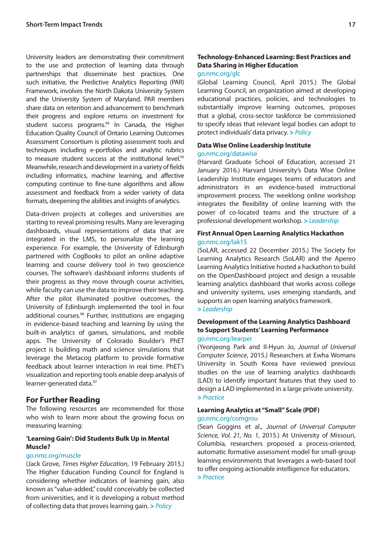University leaders are demonstrating their commitment to the use and protection of learning data through partnerships that disseminate best practices. One such initiative, the Predictive Analytics Reporting (PAR) Framework, involves the North Dakota University System and the University System of Maryland. PAR members share data on retention and advancement to benchmark their progress and explore returns on investment for student success programs.<sup>94</sup> In Canada, the Higher Education Quality Council of Ontario Learning Outcomes Assessment Consortium is piloting assessment tools and techniques including e-portfolios and analytic rubrics to measure student success at the institutional level.<sup>95</sup> Meanwhile, research and development in a variety of fields including informatics, machine learning, and affective computing continue to fine-tune algorithms and allow assessment and feedback from a wider variety of data formats, deepening the abilities and insights of analytics.

Data-driven projects at colleges and universities are starting to reveal promising results. Many are leveraging dashboards, visual representations of data that are integrated in the LMS, to personalize the learning experience. For example, the University of Edinburgh partnered with CogBooks to pilot an online adaptive learning and course delivery tool in two geoscience courses. The software's dashboard informs students of their progress as they move through course activities, while faculty can use the data to improve their teaching. After the pilot illuminated positive outcomes, the University of Edinburgh implemented the tool in four additional courses.<sup>96</sup> Further, institutions are engaging in evidence-based teaching and learning by using the built-in analytics of games, simulations, and mobile apps. The University of Colorado Boulder's PhET project is building math and science simulations that leverage the Metacog platform to provide formative feedback about learner interaction in real time. PhET's visualization and reporting tools enable deep analysis of learner-generated data.97

# **For Further Reading**

The following resources are recommended for those who wish to learn more about the growing focus on measuring learning:

# **'Learning Gain': Did Students Bulk Up in Mental Muscle?**

#### go.nmc.org/muscle

(Jack Grove, *Times Higher Education*, 19 February 2015.) The Higher Education Funding Council for England is considering whether indicators of learning gain, also known as "value-added," could conceivably be collected from universities, and it is developing a robust method of collecting data that proves learning gain. **>** *Policy*

# **Technology-Enhanced Learning: Best Practices and Data Sharing in Higher Education**

# [go.nmc.org/glc](http://go.nmc.org/glc)

(Global Learning Council, April 2015.) The Global Learning Council, an organization aimed at developing educational practices, policies, and technologies to substantially improve learning outcomes, proposes that a global, cross-sector taskforce be commissioned to specify ideas that relevant legal bodies can adopt to protect individuals' data privacy. **>** *Policy*

#### **Data Wise Online Leadership Institute** [go.nmc.org/datawise](http://go.nmc.org/datawise)

(Harvard Graduate School of Education, accessed 21 January 2016.) Harvard University's Data Wise Online Leadership Institute engages teams of educators and administrators in an evidence-based instructional improvement process. The weeklong online workshop integrates the flexibility of online learning with the power of co-located teams and the structure of a professional development workshop. **>** *Leadership*

#### **First Annual Open Learning Analytics Hackathon**  [go.nmc.org/lak15](http://go.nmc.org/lak15)

(SoLAR, accessed 22 December 2015.) The Society for Learning Analytics Research (SoLAR) and the Apereo Learning Analytics Initiative hosted a hackathon to build on the OpenDashboard project and design a reusable learning analytics dashboard that works across college and university systems, uses emerging standards, and supports an open learning analytics framework.

**>** *Leadership*

#### **Development of the Learning Analytics Dashboard to Support Students' Learning Performance**  [go.nmc.org/learper](http://go.nmc.org/learper)

(Yeonjeong Park and Il-Hyun Jo, *Journal of Universal Computer Science*, 2015.) Researchers at Ewha Womans University in South Korea have reviewed previous studies on the use of learning analytics dashboards (LAD) to identify important features that they used to design a LAD implemented in a large private university. **>** *Practice*

### **Learning Analytics at "Small" Scale (PDF)**  [go.nmc.org/comgrou](http://go.nmc.org/comgrou)

(Sean Goggins et al., *Journal of Universal Computer Science, Vol. 21, No. 1*, 2015.) At University of Missouri, Columbia, researchers proposed a process-oriented, automatic formative assessment model for small-group learning environments that leverages a web-based tool to offer ongoing actionable intelligence for educators.

```
> Practice
```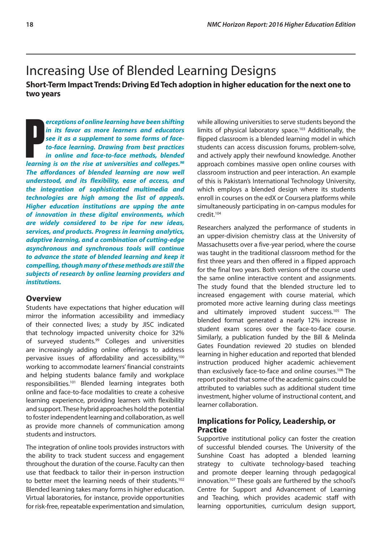# <span id="page-21-0"></span>Increasing Use of Blended Learning Designs

**Short-Term Impact Trends: Driving Ed Tech adoption in higher education for the next one to two years**

**Preceptions of online learning have been shifting**<br> **in its favor as more learners and educators**<br> **see it as a supplement to some forms of face-to-face learning. Drawing from best practices<br>
in online and face-to-face me** *erceptions of online learning have been shifting in its favor as more learners and educators see it as a supplement to some forms of faceto-face learning. Drawing from best practices in online and face-to-face methods, blended The affordances of blended learning are now well understood, and its flexibility, ease of access, and the integration of sophisticated multimedia and technologies are high among the list of appeals. Higher education institutions are upping the ante of innovation in these digital environments, which are widely considered to be ripe for new ideas, services, and products. Progress in learning analytics, adaptive learning, and a combination of cutting-edge asynchronous and synchronous tools will continue to advance the state of blended learning and keep it compelling, though many of these methods are still the subjects of research by online learning providers and institutions.*

# **Overview**

Students have expectations that higher education will mirror the information accessibility and immediacy of their connected lives; a study by JISC indicated that technology impacted university choice for 32% of surveyed students.99 Colleges and universities are increasingly adding online offerings to address pervasive issues of affordability and accessibility,<sup>100</sup> working to accommodate learners' financial constraints and helping students balance family and workplace responsibilities.101 Blended learning integrates both online and face-to-face modalities to create a cohesive learning experience, providing learners with flexibility and support. These hybrid approaches hold the potential to foster independent learning and collaboration, as well as provide more channels of communication among students and instructors.

The integration of online tools provides instructors with the ability to track student success and engagement throughout the duration of the course. Faculty can then use that feedback to tailor their in-person instruction to better meet the learning needs of their students.<sup>102</sup> Blended learning takes many forms in higher education. Virtual laboratories, for instance, provide opportunities for risk-free, repeatable experimentation and simulation, while allowing universities to serve students beyond the limits of physical laboratory space.<sup>103</sup> Additionally, the flipped classroom is a blended learning model in which students can access discussion forums, problem-solve, and actively apply their newfound knowledge. Another approach combines massive open online courses with classroom instruction and peer interaction. An example of this is Pakistan's International Technology University, which employs a blended design where its students enroll in courses on the edX or Coursera platforms while simultaneously participating in on-campus modules for credit.104

Researchers analyzed the performance of students in an upper-division chemistry class at the University of Massachusetts over a five-year period, where the course was taught in the traditional classroom method for the first three years and then offered in a flipped approach for the final two years. Both versions of the course used the same online interactive content and assignments. The study found that the blended structure led to increased engagement with course material, which promoted more active learning during class meetings and ultimately improved student success.<sup>105</sup> The blended format generated a nearly 12% increase in student exam scores over the face-to-face course. Similarly, a publication funded by the Bill & Melinda Gates Foundation reviewed 20 studies on blended learning in higher education and reported that blended instruction produced higher academic achievement than exclusively face-to-face and online courses.<sup>106</sup> The report posited that some of the academic gains could be attributed to variables such as additional student time investment, higher volume of instructional content, and learner collaboration.

# **Implications for Policy, Leadership, or Practice**

Supportive institutional policy can foster the creation of successful blended courses. The University of the Sunshine Coast has adopted a blended learning strategy to cultivate technology-based teaching and promote deeper learning through pedagogical innovation.107 These goals are furthered by the school's Centre for Support and Advancement of Learning and Teaching, which provides academic staff with learning opportunities, curriculum design support,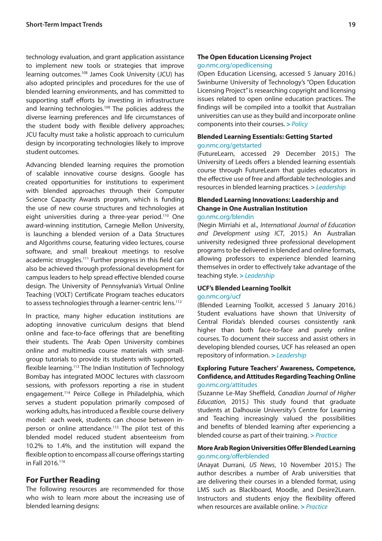technology evaluation, and grant application assistance to implement new tools or strategies that improve learning outcomes.108 James Cook University (JCU) has also adopted principles and procedures for the use of blended learning environments, and has committed to supporting staff efforts by investing in infrastructure and learning technologies.<sup>109</sup> The policies address the diverse learning preferences and life circumstances of the student body with flexible delivery approaches; JCU faculty must take a holistic approach to curriculum design by incorporating technologies likely to improve student outcomes.

Advancing blended learning requires the promotion of scalable innovative course designs. Google has created opportunities for institutions to experiment with blended approaches through their Computer Science Capacity Awards program, which is funding the use of new course structures and technologies at eight universities during a three-year period.<sup>110</sup> One award-winning institution, Carnegie Mellon University, is launching a blended version of a Data Structures and Algorithms course, featuring video lectures, course software, and small breakout meetings to resolve academic struggles.<sup>111</sup> Further progress in this field can also be achieved through professional development for campus leaders to help spread effective blended course design. The University of Pennsylvania's Virtual Online Teaching (VOLT) Certificate Program teaches educators to assess technologies through a learner-centric lens.112

In practice, many higher education institutions are adopting innovative curriculum designs that blend online and face-to-face offerings that are benefiting their students. The Arab Open University combines online and multimedia course materials with smallgroup tutorials to provide its students with supported, flexible learning.113 The Indian Institution of Technology Bombay has integrated MOOC lectures with classroom sessions, with professors reporting a rise in student engagement.114 Peirce College in Philadelphia, which serves a student population primarily composed of working adults, has introduced a flexible course delivery model: each week, students can choose between inperson or online attendance.<sup>115</sup> The pilot test of this blended model reduced student absenteeism from 10.2% to 1.4%, and the institution will expand the flexible option to encompass all course offerings starting in Fall 2016.116

# **For Further Reading**

The following resources are recommended for those who wish to learn more about the increasing use of blended learning designs:

#### **The Open Education Licensing Project**

#### [go.nmc.org/opedlicensing](http://go.nmc.org/opedlicensing)

(Open Education Licensing, accessed 5 January 2016.) Swinburne University of Technology's "Open Education Licensing Project" is researching copyright and licensing issues related to open online education practices. The findings will be compiled into a toolkit that Australian universities can use as they build and incorporate online components into their courses. **>** *Policy*

#### **Blended Learning Essentials: Getting Started** [go.nmc.org/getstarted](http://go.nmc.org/getstarted)

(FutureLearn, accessed 29 December 2015.) The University of Leeds offers a blended learning essentials course through FutureLearn that guides educators in the effective use of free and affordable technologies and resources in blended learning practices. **>** *Leadership*

# **Blended Learning Innovations: Leadership and Change in One Australian Institution**

#### [go.nmc.org/blendin](http://go.nmc.org/blendin)

(Negin Mirriahi et al., *International Journal of Education and Development using ICT*, 2015.) An Australian university redesigned three professional development programs to be delivered in blended and online formats, allowing professors to experience blended learning themselves in order to effectively take advantage of the teaching style. **>** *Leadership*

#### **UCF's Blended Learning Toolkit**

#### [go.nmc.org/ucf](http://go.nmc.org/ucf)

(Blended Learning Toolkit, accessed 5 January 2016.) Student evaluations have shown that University of Central Florida's blended courses consistently rank higher than both face-to-face and purely online courses. To document their success and assist others in developing blended courses, UCF has released an open repository of information. **>** *Leadership*

#### **Exploring Future Teachers' Awareness, Competence, Confidence, and Attitudes Regarding Teaching Online**  [go.nmc.org/attitudes](http://go.nmc.org/attitudes)

(Suzanne Le-May Sheffield, *Canadian Journal of Higher Education*, 2015.) This study found that graduate students at Dalhousie University's Centre for Learning and Teaching increasingly valued the possibilities and benefits of blended learning after experiencing a blended course as part of their training. **>** *Practice*

#### **More Arab Region Universities Offer Blended Learning** [go.nmc.org/offerblended](http://go.nmc.org/offerblended)

(Anayat Durrani, *US News*, 10 November 2015.) The author describes a number of Arab universities that are delivering their courses in a blended format, using LMS such as Blackboard, Moodle, and Desire2Learn. Instructors and students enjoy the flexibility offered when resources are available online. **>** *Practice*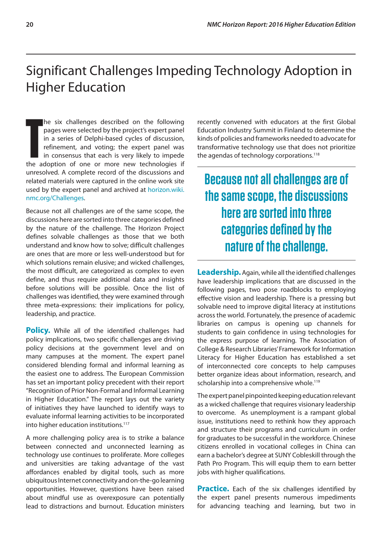# <span id="page-23-0"></span>Significant Challenges Impeding Technology Adoption in Higher Education

he six challenges described on the following<br>
pages were selected by the project's expert panel<br>
in a series of Delphi-based cycles of discussion,<br>
refinement, and voting; the expert panel was<br>
in consensus that each is ve he six challenges described on the following pages were selected by the project's expert panel in a series of Delphi-based cycles of discussion, refinement, and voting; the expert panel was in consensus that each is very likely to impede unresolved. A complete record of the discussions and related materials were captured in the online work site used by the expert panel and archived at [horizon.wiki.](http://horizon.wiki.nmc.org/Challenges) [nmc.org/Challenges.](http://horizon.wiki.nmc.org/Challenges)

Because not all challenges are of the same scope, the discussions here are sorted into three categories defined by the nature of the challenge. The Horizon Project defines solvable challenges as those that we both understand and know how to solve; difficult challenges are ones that are more or less well-understood but for which solutions remain elusive; and wicked challenges, the most difficult, are categorized as complex to even define, and thus require additional data and insights before solutions will be possible. Once the list of challenges was identified, they were examined through three meta-expressions: their implications for policy, leadership, and practice.

**Policy.** While all of the identified challenges had policy implications, two specific challenges are driving policy decisions at the government level and on many campuses at the moment. The expert panel considered blending formal and informal learning as the easiest one to address. The European Commission has set an important policy precedent with their report "Recognition of Prior Non-Formal and Informal Learning in Higher Education." The report lays out the variety of initiatives they have launched to identify ways to evaluate informal learning activities to be incorporated into higher education institutions.117

A more challenging policy area is to strike a balance between connected and unconnected learning as technology use continues to proliferate. More colleges and universities are taking advantage of the vast affordances enabled by digital tools, such as more ubiquitous Internet connectivity and on-the-go learning opportunities. However, questions have been raised about mindful use as overexposure can potentially lead to distractions and burnout. Education ministers

recently convened with educators at the first Global Education Industry Summit in Finland to determine the kinds of policies and frameworks needed to advocate for transformative technology use that does not prioritize the agendas of technology corporations.<sup>118</sup>

**Because not all challenges are of the same scope, the discussions here are sorted into three categories defined by the nature of the challenge.**

**Leadership.** Again, while all the identified challenges have leadership implications that are discussed in the following pages, two pose roadblocks to employing effective vision and leadership. There is a pressing but solvable need to improve digital literacy at institutions across the world. Fortunately, the presence of academic libraries on campus is opening up channels for students to gain confidence in using technologies for the express purpose of learning. The Association of College & Research Libraries' Framework for Information Literacy for Higher Education has established a set of interconnected core concepts to help campuses better organize ideas about information, research, and scholarship into a comprehensive whole.<sup>119</sup>

The expert panel pinpointed keeping education relevant as a wicked challenge that requires visionary leadership to overcome. As unemployment is a rampant global issue, institutions need to rethink how they approach and structure their programs and curriculum in order for graduates to be successful in the workforce. Chinese citizens enrolled in vocational colleges in China can earn a bachelor's degree at SUNY Cobleskill through the Path Pro Program. This will equip them to earn better jobs with higher qualifications.

**Practice.** Each of the six challenges identified by the expert panel presents numerous impediments for advancing teaching and learning, but two in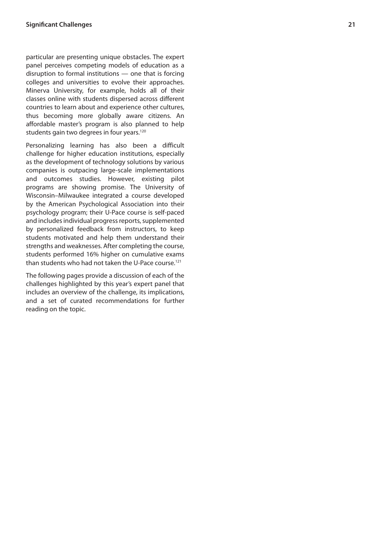particular are presenting unique obstacles. The expert panel perceives competing models of education as a disruption to formal institutions — one that is forcing colleges and universities to evolve their approaches. Minerva University, for example, holds all of their classes online with students dispersed across different countries to learn about and experience other cultures, thus becoming more globally aware citizens. An affordable master's program is also planned to help students gain two degrees in four years.<sup>120</sup>

Personalizing learning has also been a difficult challenge for higher education institutions, especially as the development of technology solutions by various companies is outpacing large-scale implementations and outcomes studies. However, existing pilot programs are showing promise. The University of Wisconsin–Milwaukee integrated a course developed by the American Psychological Association into their psychology program; their U-Pace course is self-paced and includes individual progress reports, supplemented by personalized feedback from instructors, to keep students motivated and help them understand their strengths and weaknesses. After completing the course, students performed 16% higher on cumulative exams than students who had not taken the U-Pace course.<sup>121</sup>

The following pages provide a discussion of each of the challenges highlighted by this year's expert panel that includes an overview of the challenge, its implications, and a set of curated recommendations for further reading on the topic.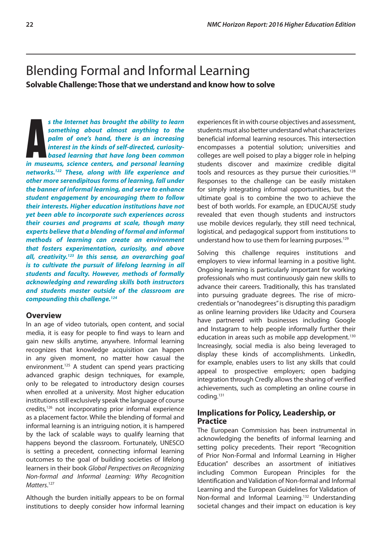# <span id="page-25-0"></span>Blending Formal and Informal Learning **Solvable Challenge: Those that we understand and know how to solve**

**A** a *s* the Internet has brought the ability to learn something about almost anything to the palm of one's hand, there is an increasing interest in the kinds of self-directed, curiosity-based learning that have long been *s the Internet has brought the ability to learn something about almost anything to the palm of one's hand, there is an increasing interest in the kinds of self-directed, curiositybased learning that have long been common networks.122 These, along with life experience and other more serendipitous forms of learning, fall under the banner of informal learning, and serve to enhance student engagement by encouraging them to follow their interests. Higher education institutions have not yet been able to incorporate such experiences across their courses and programs at scale, though many experts believe that a blending of formal and informal methods of learning can create an environment that fosters experimentation, curiosity, and above all, creativity.123 In this sense, an overarching goal is to cultivate the pursuit of lifelong learning in all students and faculty. However, methods of formally acknowledging and rewarding skills both instructors and students master outside of the classroom are compounding this challenge.124*

#### **Overview**

In an age of video tutorials, open content, and social media, it is easy for people to find ways to learn and gain new skills anytime, anywhere. Informal learning recognizes that knowledge acquisition can happen in any given moment, no matter how casual the environment.125 A student can spend years practicing advanced graphic design techniques, for example, only to be relegated to introductory design courses when enrolled at a university. Most higher education institutions still exclusively speak the language of course credits,126 not incorporating prior informal experience as a placement factor. While the blending of formal and informal learning is an intriguing notion, it is hampered by the lack of scalable ways to qualify learning that happens beyond the classroom. Fortunately, UNESCO is setting a precedent, connecting informal learning outcomes to the goal of building societies of lifelong learners in their book *Global Perspectives on Recognizing Non-formal and Informal Learning: Why Recognition Matters*. 127

Although the burden initially appears to be on formal institutions to deeply consider how informal learning experiences fit in with course objectives and assessment, students must also better understand what characterizes beneficial informal learning resources. This intersection encompasses a potential solution; universities and colleges are well poised to play a bigger role in helping students discover and maximize credible digital tools and resources as they pursue their curiosities.<sup>128</sup> Responses to the challenge can be easily mistaken for simply integrating informal opportunities, but the ultimate goal is to combine the two to achieve the best of both worlds. For example, an EDUCAUSE study revealed that even though students and instructors use mobile devices regularly, they still need technical, logistical, and pedagogical support from institutions to understand how to use them for learning purposes.<sup>129</sup>

Solving this challenge requires institutions and employers to view informal learning in a positive light. Ongoing learning is particularly important for working professionals who must continuously gain new skills to advance their careers. Traditionally, this has translated into pursuing graduate degrees. The rise of microcredentials or "nanodegrees" is disrupting this paradigm as online learning providers like Udacity and Coursera have partnered with businesses including Google and Instagram to help people informally further their education in areas such as mobile app development.<sup>130</sup> Increasingly, social media is also being leveraged to display these kinds of accomplishments. LinkedIn, for example, enables users to list any skills that could appeal to prospective employers; open badging integration through Credly allows the sharing of verified achievements, such as completing an online course in coding.131

# **Implications for Policy, Leadership, or Practice**

The European Commission has been instrumental in acknowledging the benefits of informal learning and setting policy precedents. Their report "Recognition of Prior Non-Formal and Informal Learning in Higher Education" describes an assortment of initiatives including Common European Principles for the Identification and Validation of Non-formal and Informal Learning and the European Guidelines for Validation of Non-formal and Informal Learning.<sup>132</sup> Understanding societal changes and their impact on education is key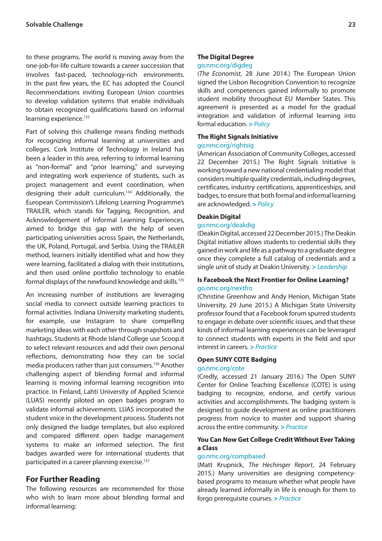to these programs. The world is moving away from the one-job-for-life culture towards a career succession that involves fast-paced, technology-rich environments. In the past few years, the EC has adopted the Council Recommendations inviting European Union countries to develop validation systems that enable individuals to obtain recognized qualifications based on informal learning experience.<sup>133</sup>

Part of solving this challenge means finding methods for recognizing informal learning at universities and colleges. Cork Institute of Technology in Ireland has been a leader in this area, referring to informal learning as "non-formal" and "prior learning," and surveying and integrating work experience of students, such as project management and event coordination, when designing their adult curriculum.134 Additionally, the European Commission's Lifelong Learning Programme's TRAILER, which stands for Tagging, Recognition, and Acknowledgement of Informal Learning Experiences, aimed to bridge this gap with the help of seven participating universities across Spain, the Netherlands, the UK, Poland, Portugal, and Serbia. Using the TRAILER method, learners initially identified what and how they were learning, facilitated a dialog with their institutions, and then used online portfolio technology to enable formal displays of the newfound knowledge and skills.135

An increasing number of institutions are leveraging social media to connect outside learning practices to formal activities. Indiana University marketing students, for example, use Instagram to share compelling marketing ideas with each other through snapshots and hashtags. Students at Rhode Island College use Scoop.it to select relevant resources and add their own personal reflections, demonstrating how they can be social media producers rather than just consumers.136 Another challenging aspect of blending formal and informal learning is moving informal learning recognition into practice. In Finland, Lahti University of Applied Science (LUAS) recently piloted an open badges program to validate informal achievements. LUAS incorporated the student voice in the development process. Students not only designed the badge templates, but also explored and compared different open badge management systems to make an informed selection. The first badges awarded were for international students that participated in a career planning exercise.<sup>137</sup>

# **For Further Reading**

The following resources are recommended for those who wish to learn more about blending formal and informal learning:

#### **The Digital Degree**

#### [go.nmc.org/digdeg](http://go.nmc.org/digdeg)

(*The Economist*, 28 June 2014.) The European Union signed the Lisbon Recognition Convention to recognize skills and competences gained informally to promote student mobility throughout EU Member States. This agreement is presented as a model for the gradual integration and validation of informal learning into formal education. **>** *Policy*

#### **The Right Signals Initiative**

#### [go.nmc.org/rightsig](http://go.nmc.org/rightsig)

(American Association of Community Colleges, accessed 22 December 2015.) The Right Signals Initiative is working toward a new national credentialing model that considers multiple quality credentials, including degrees, certificates, industry certifications, apprenticeships, and badges, to ensure that both formal and informal learning are acknowledged. **>** *Policy*

#### **Deakin Digital**

#### [go.nmc.org/deakdig](http://go.nmc.org/deakdig)

(Deakin Digital, accessed 22 December 2015.) The Deakin Digital initiative allows students to credential skills they gained in work and life as a pathway to a graduate degree once they complete a full catalog of credentials and a single unit of study at Deakin University. **>** *Leadership*

#### **Is Facebook the Next Frontier for Online Learning?** [go.nmc.org/nextfro](http://go.nmc.org/nextfro)

(Christine Greenhow and Andy Henion, Michigan State University, 29 June 2015.) A Michigan State University professor found that a Facebook forum spurred students to engage in debate over scientific issues, and that these kinds of informal learning experiences can be leveraged to connect students with experts in the field and spur interest in careers. **>** *Practice*

# **Open SUNY COTE Badging**

### [go.nmc.org/cote](http://go.nmc.org/cote)

(Credly, accessed 21 January 2016.) The Open SUNY Center for Online Teaching Excellence (COTE) is using badging to recognize, endorse, and certify various activities and accomplishments. The badging system is designed to guide development as online practitioners progress from novice to master and support sharing across the entire community. **>** *Practice*

### **You Can Now Get College Credit Without Ever Taking a Class**

#### [go.nmc.org/compbased](http://go.nmc.org/compbased)

(Matt Krupnick, *The Hechinger Report*, 24 February 2015.) Many universities are designing competencybased programs to measure whether what people have already learned informally in life is enough for them to forgo prerequisite courses. **>** *Practice*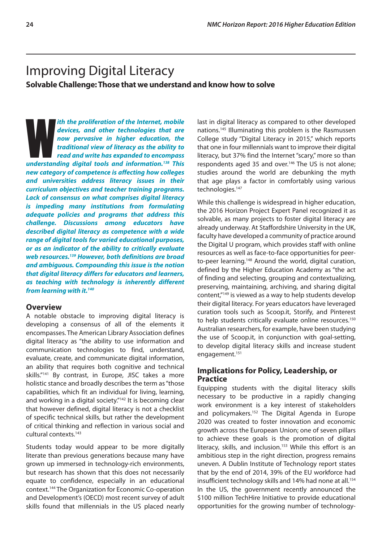# <span id="page-27-0"></span>Improving Digital Literacy

**Solvable Challenge: Those that we understand and know how to solve**

*uth the proliferation of the Internet, mobile devices, and other technologies that are now pervasive in higher education, the traditional view of literacy as the ability to read and write has expanded to encompass underst ith the proliferation of the Internet, mobile devices, and other technologies that are now pervasive in higher education, the traditional view of literacy as the ability to read and write has expanded to encompass new category of competence is affecting how colleges and universities address literacy issues in their curriculum objectives and teacher training programs. Lack of consensus on what comprises digital literacy is impeding many institutions from formulating adequate policies and programs that address this challenge. Discussions among educators have described digital literacy as competence with a wide range of digital tools for varied educational purposes, or as an indicator of the ability to critically evaluate web resources.139 However, both definitions are broad and ambiguous. Compounding this issue is the notion that digital literacy differs for educators and learners, as teaching with technology is inherently different from learning with it.140*

# **Overview**

A notable obstacle to improving digital literacy is developing a consensus of all of the elements it encompasses. The American Library Association defines digital literacy as "the ability to use information and communication technologies to find, understand, evaluate, create, and communicate digital information, an ability that requires both cognitive and technical skills."141 By contrast, in Europe, JISC takes a more holistic stance and broadly describes the term as "those capabilities, which fit an individual for living, learning, and working in a digital society."<sup>142</sup> It is becoming clear that however defined, digital literacy is not a checklist of specific technical skills, but rather the development of critical thinking and reflection in various social and cultural contexts.<sup>143</sup>

Students today would appear to be more digitally literate than previous generations because many have grown up immersed in technology-rich environments, but research has shown that this does not necessarily equate to confidence, especially in an educational context.144 The Organization for Economic Co-operation and Development's (OECD) most recent survey of adult skills found that millennials in the US placed nearly last in digital literacy as compared to other developed nations.145 Illuminating this problem is the Rasmussen College study "Digital Literacy in 2015," which reports that one in four millennials want to improve their digital literacy, but 37% find the Internet "scary," more so than respondents aged 35 and over.<sup>146</sup> The US is not alone; studies around the world are debunking the myth that age plays a factor in comfortably using various technologies.<sup>147</sup>

While this challenge is widespread in higher education, the 2016 Horizon Project Expert Panel recognized it as solvable, as many projects to foster digital literacy are already underway. At Staffordshire University in the UK, faculty have developed a community of practice around the Digital U program, which provides staff with online resources as well as face-to-face opportunities for peerto-peer learning.148 Around the world, digital curation, defined by the Higher Education Academy as "the act of finding and selecting, grouping and contextualizing, preserving, maintaining, archiving, and sharing digital content,"149 is viewed as a way to help students develop their digital literacy. For years educators have leveraged curation tools such as Scoop.it, Storify, and Pinterest to help students critically evaluate online resources.150 Australian researchers, for example, have been studying the use of Scoop.it, in conjunction with goal-setting, to develop digital literacy skills and increase student engagement.151

# **Implications for Policy, Leadership, or Practice**

Equipping students with the digital literacy skills necessary to be productive in a rapidly changing work environment is a key interest of stakeholders and policymakers.<sup>152</sup> The Digital Agenda in Europe 2020 was created to foster innovation and economic growth across the European Union; one of seven pillars to achieve these goals is the promotion of digital literacy, skills, and inclusion.<sup>153</sup> While this effort is an ambitious step in the right direction, progress remains uneven. A Dublin Institute of Technology report states that by the end of 2014, 39% of the EU workforce had insufficient technology skills and 14% had none at all.<sup>154</sup> In the US, the government recently announced the \$100 million TechHire Initiative to provide educational opportunities for the growing number of technology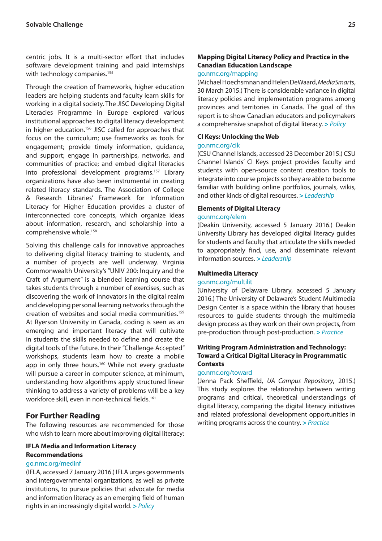centric jobs. It is a multi-sector effort that includes software development training and paid internships with technology companies.<sup>155</sup>

Through the creation of frameworks, higher education leaders are helping students and faculty learn skills for working in a digital society. The JISC Developing Digital Literacies Programme in Europe explored various institutional approaches to digital literacy development in higher education.156 JISC called for approaches that focus on the curriculum; use frameworks as tools for engagement; provide timely information, guidance, and support; engage in partnerships, networks, and communities of practice; and embed digital literacies into professional development programs.157 Library organizations have also been instrumental in creating related literacy standards. The Association of College & Research Libraries' Framework for Information Literacy for Higher Education provides a cluster of interconnected core concepts, which organize ideas about information, research, and scholarship into a comprehensive whole.<sup>158</sup>

Solving this challenge calls for innovative approaches to delivering digital literacy training to students, and a number of projects are well underway. Virginia Commonwealth University's "UNIV 200: Inquiry and the Craft of Argument" is a blended learning course that takes students through a number of exercises, such as discovering the work of innovators in the digital realm and developing personal learning networks through the creation of websites and social media communities.159 At Ryerson University in Canada, coding is seen as an emerging and important literacy that will cultivate in students the skills needed to define and create the digital tools of the future. In their "Challenge Accepted" workshops, students learn how to create a mobile app in only three hours.<sup>160</sup> While not every graduate will pursue a career in computer science, at minimum, understanding how algorithms apply structured linear thinking to address a variety of problems will be a key workforce skill, even in non-technical fields.<sup>161</sup>

# **For Further Reading**

The following resources are recommended for those who wish to learn more about improving digital literacy:

#### **IFLA Media and Information Literacy Recommendations**

#### [go.nmc.org/medinf](http://go.nmc.org/medinf)

(IFLA, accessed 7 January 2016.) IFLA urges governments and intergovernmental organizations, as well as private institutions, to pursue policies that advocate for media and information literacy as an emerging field of human rights in an increasingly digital world. **>** *Policy*

# **Mapping Digital Literacy Policy and Practice in the Canadian Education Landscape**

### [go.nmc.org/mapping](http://go.nmc.org/mapping)

(Michael Hoechsmnan and Helen DeWaard, *MediaSmarts*, 30 March 2015.) There is considerable variance in digital literacy policies and implementation programs among provinces and territories in Canada. The goal of this report is to show Canadian educators and policymakers a comprehensive snapshot of digital literacy. **>** *Policy*

#### **CI Keys: Unlocking the Web**

#### [go.nmc.org/cik](http://go.nmc.org/cik)

(CSU Channel Islands, accessed 23 December 2015.) CSU Channel Islands' CI Keys project provides faculty and students with open-source content creation tools to integrate into course projects so they are able to become familiar with building online portfolios, journals, wikis, and other kinds of digital resources. **>** *Leadership*

### **Elements of Digital Literacy**

### [go.nmc.org/elem](http://go.nmc.org/elem)

(Deakin University, accessed 5 January 2016.) Deakin University Library has developed digital literacy guides for students and faculty that articulate the skills needed to appropriately find, use, and disseminate relevant information sources. **>** *Leadership*

#### **Multimedia Literacy**

#### [go.nmc.org/multilit](http://go.nmc.org/multilit)

(University of Delaware Library, accessed 5 January 2016.) The University of Delaware's Student Multimedia Design Center is a space within the library that houses resources to guide students through the multimedia design process as they work on their own projects, from pre-production through post-production. **>** *Practice*

#### **Writing Program Administration and Technology: Toward a Critical Digital Literacy in Programmatic Contexts**

#### [go.nmc.org/toward](http://go.nmc.org/toward)

(Jenna Pack Sheffield, *UA Campus Repository*, 2015.) This study explores the relationship between writing programs and critical, theoretical understandings of digital literacy, comparing the digital literacy initiatives and related professional development opportunities in writing programs across the country. **>** *Practice*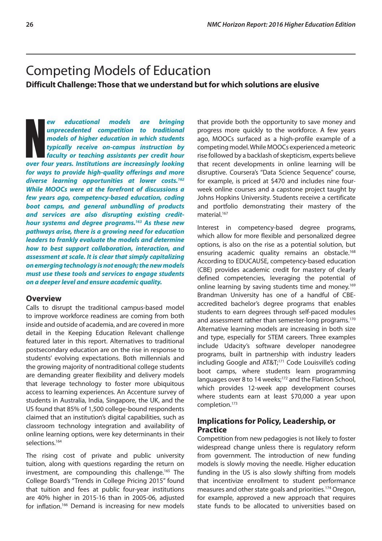# <span id="page-29-0"></span>Competing Models of Education **Difficult Challenge: Those that we understand but for which solutions are elusive**

**EXECUTE:**<br> **NOMEGINE IN THE UP TO SERVING INTERENT AND MODEL SUPPRESS AND MODEL SUPPRESS AND FACT AND MOREOVERT AND A FACT AND MOREOVERT AND A FACT AND MOREOVERT AND MOREOVERT AND MOREOVERT AND MOREOVERT AND MOREOVERT AND** *ew educational models are bringing unprecedented competition to traditional models of higher education in which students typically receive on-campus instruction by faculty or teaching assistants per credit hour for ways to provide high-quality offerings and more diverse learning opportunities at lower costs.162 While MOOCs were at the forefront of discussions a few years ago, competency-based education, coding boot camps, and general unbundling of products and services are also disrupting existing credithour systems and degree programs.163 As these new pathways arise, there is a growing need for education leaders to frankly evaluate the models and determine how to best support collaboration, interaction, and assessment at scale. It is clear that simply capitalizing on emerging technology is not enough; the new models must use these tools and services to engage students on a deeper level and ensure academic quality.*

#### **Overview**

Calls to disrupt the traditional campus-based model to improve workforce readiness are coming from both inside and outside of academia, and are covered in more detail in the Keeping Education Relevant challenge featured later in this report. Alternatives to traditional postsecondary education are on the rise in response to students' evolving expectations. Both millennials and the growing majority of nontraditional college students are demanding greater flexibility and delivery models that leverage technology to foster more ubiquitous access to learning experiences. An Accenture survey of students in Australia, India, Singapore, the UK, and the US found that 85% of 1,500 college-bound respondents claimed that an institution's digital capabilities, such as classroom technology integration and availability of online learning options, were key determinants in their selections.<sup>164</sup>

The rising cost of private and public university tuition, along with questions regarding the return on investment, are compounding this challenge.165 The College Board's "Trends in College Pricing 2015" found that tuition and fees at public four-year institutions are 40% higher in 2015-16 than in 2005-06, adjusted for inflation.166 Demand is increasing for new models that provide both the opportunity to save money and progress more quickly to the workforce. A few years ago, MOOCs surfaced as a high-profile example of a competing model. While MOOCs experienced a meteoric rise followed by a backlash of skepticism, experts believe that recent developments in online learning will be disruptive. Coursera's "Data Science Sequence" course, for example, is priced at \$470 and includes nine fourweek online courses and a capstone project taught by Johns Hopkins University. Students receive a certificate and portfolio demonstrating their mastery of the material.<sup>167</sup>

Interest in competency-based degree programs, which allow for more flexible and personalized degree options, is also on the rise as a potential solution, but ensuring academic quality remains an obstacle.<sup>168</sup> According to EDUCAUSE, competency-based education (CBE) provides academic credit for mastery of clearly defined competencies, leveraging the potential of online learning by saving students time and money.169 Brandman University has one of a handful of CBEaccredited bachelor's degree programs that enables students to earn degrees through self-paced modules and assessment rather than semester-long programs.170 Alternative learning models are increasing in both size and type, especially for STEM careers. Three examples include Udacity's software developer nanodegree programs, built in partnership with industry leaders including Google and AT&T;<sup>171</sup> Code Louisville's coding boot camps, where students learn programming languages over 8 to 14 weeks;<sup>172</sup> and the Flatiron School, which provides 12-week app development courses where students earn at least \$70,000 a year upon completion.173

# **Implications for Policy, Leadership, or Practice**

Competition from new pedagogies is not likely to foster widespread change unless there is regulatory reform from government. The introduction of new funding models is slowly moving the needle. Higher education funding in the US is also slowly shifting from models that incentivize enrollment to student performance measures and other state goals and priorities.174 Oregon, for example, approved a new approach that requires state funds to be allocated to universities based on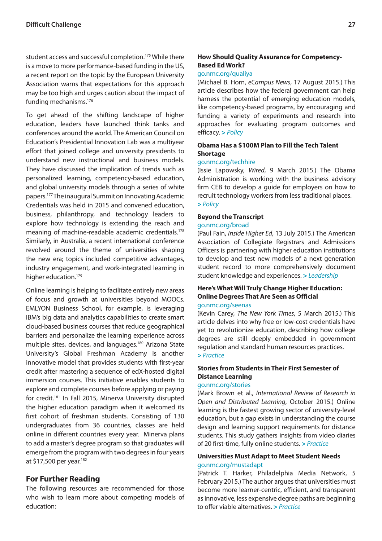student access and successful completion.175 While there is a move to more performance-based funding in the US, a recent report on the topic by the European University Association warns that expectations for this approach may be too high and urges caution about the impact of funding mechanisms.176

To get ahead of the shifting landscape of higher education, leaders have launched think tanks and conferences around the world. The American Council on Education's Presidential Innovation Lab was a multiyear effort that joined college and university presidents to understand new instructional and business models. They have discussed the implication of trends such as personalized learning, competency-based education, and global university models through a series of white papers.177 The inaugural Summit on Innovating Academic Credentials was held in 2015 and convened education, business, philanthropy, and technology leaders to explore how technology is extending the reach and meaning of machine-readable academic credentials.178 Similarly, in Australia, a recent international conference revolved around the theme of universities shaping the new era; topics included competitive advantages, industry engagement, and work-integrated learning in higher education.<sup>179</sup>

Online learning is helping to facilitate entirely new areas of focus and growth at universities beyond MOOCs. EMLYON Business School, for example, is leveraging IBM's big data and analytics capabilities to create smart cloud-based business courses that reduce geographical barriers and personalize the learning experience across multiple sites, devices, and languages.180 Arizona State University's Global Freshman Academy is another innovative model that provides students with first-year credit after mastering a sequence of edX-hosted digital immersion courses. This initiative enables students to explore and complete courses before applying or paying for credit.181 In Fall 2015, Minerva University disrupted the higher education paradigm when it welcomed its first cohort of freshman students. Consisting of 130 undergraduates from 36 countries, classes are held online in different countries every year. Minerva plans to add a master's degree program so that graduates will emerge from the program with two degrees in four years at \$17,500 per year.182

# **For Further Reading**

The following resources are recommended for those who wish to learn more about competing models of education:

# **How Should Quality Assurance for Competency-Based Ed Work?**

#### [go.nmc.org/qualiya](http://go.nmc.org/qualiya)

(Michael B. Horn, *eCampus News*, 17 August 2015.) This article describes how the federal government can help harness the potential of emerging education models, like competency-based programs, by encouraging and funding a variety of experiments and research into approaches for evaluating program outcomes and efficacy. **>** *Policy*

### **Obama Has a \$100M Plan to Fill the Tech Talent Shortage**

### [go.nmc.org/techhire](http://go.nmc.org/techhire)

(Issie Lapowsky, *Wired*, 9 March 2015.) The Obama Administration is working with the business advisory firm CEB to develop a guide for employers on how to recruit technology workers from less traditional places. **>** *Policy*

#### **Beyond the Transcript**

#### [go.nmc.org/broad](http://go.nmc.org/broad)

(Paul Fain, *Inside Higher Ed*, 13 July 2015.) The American Association of Collegiate Registrars and Admissions Officers is partnering with higher education institutions to develop and test new models of a next generation student record to more comprehensively document student knowledge and experiences. **>** *Leadership*

# **Here's What Will Truly Change Higher Education: Online Degrees That Are Seen as Official**

#### [go.nmc.org/seenas](http://go.nmc.org/seenas)

(Kevin Carey, *The New York Times*, 5 March 2015.) This article delves into why free or low-cost credentials have yet to revolutionize education, describing how college degrees are still deeply embedded in government regulation and standard human resources practices. **>** *Practice*

# **Stories from Students in Their First Semester of Distance Learning**

#### [go.nmc.org/stories](http://go.nmc.org/stories)

(Mark Brown et al., *International Review of Research in Open and Distributed Learning*, October 2015.) Online learning is the fastest growing sector of university-level education, but a gap exists in understanding the course design and learning support requirements for distance students. This study gathers insights from video diaries of 20 first-time, fully online students. **>** *Practice*

# **Universities Must Adapt to Meet Student Needs**  [go.nmc.org/mustadapt](http://go.nmc.org/mustadapt)

(Patrick T. Harker, Philadelphia Media Network, 5 February 2015.) The author argues that universities must become more learner-centric, efficient, and transparent as innovative, less expensive degree paths are beginning to offer viable alternatives. **>** *Practice*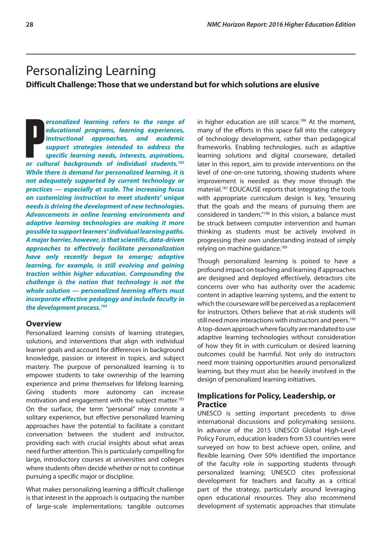# <span id="page-31-0"></span>Personalizing Learning

**Difficult Challenge: Those that we understand but for which solutions are elusive**

**Propositive and according tend of the cultural backgrounds of individual students.**<br> **Propositive and according of the specific learning needs, interests, aspirations,**<br> **Propositive and according tend of the specific lea** *ersonalized learning refers to the range of educational programs, learning experiences, instructional approaches, and academic support strategies intended to address the specific learning needs, interests, aspirations, While there is demand for personalized learning, it is not adequately supported by current technology or practices — especially at scale. The increasing focus on customizing instruction to meet students' unique needs is driving the development of new technologies. Advancements in online learning environments and adaptive learning technologies are making it more possible to support learners' individual learning paths. A major barrier, however, is that scientific, data-driven approaches to effectively facilitate personalization have only recently begun to emerge; adaptive learning, for example, is still evolving and gaining traction within higher education. Compounding the challenge is the notion that technology is not the whole solution — personalized learning efforts must incorporate effective pedagogy and include faculty in the development process.184*

# **Overview**

Personalized learning consists of learning strategies, solutions, and interventions that align with individual learner goals and account for differences in background knowledge, passion or interest in topics, and subject mastery. The purpose of personalized learning is to empower students to take ownership of the learning experience and prime themselves for lifelong learning. Giving students more autonomy can increase motivation and engagement with the subject matter.185 On the surface, the term "personal" may connote a solitary experience, but effective personalized learning approaches have the potential to facilitate a constant conversation between the student and instructor, providing each with crucial insights about what areas need further attention. This is particularly compelling for large, introductory courses at universities and colleges where students often decide whether or not to continue pursuing a specific major or discipline.

What makes personalizing learning a difficult challenge is that interest in the approach is outpacing the number of large-scale implementations; tangible outcomes in higher education are still scarce.<sup>186</sup> At the moment, many of the efforts in this space fall into the category of technology development, rather than pedagogical frameworks. Enabling technologies, such as adaptive learning solutions and digital courseware, detailed later in this report, aim to provide interventions on the level of one-on-one tutoring, showing students where improvement is needed as they move through the material.187 EDUCAUSE reports that integrating the tools with appropriate curriculum design is key, "ensuring that the goals and the means of pursuing them are considered in tandem."188 In this vision, a balance must be struck between computer intervention and human thinking as students must be actively involved in progressing their own understanding instead of simply relying on machine guidance.189

Though personalized learning is poised to have a profound impact on teaching and learning if approaches are designed and deployed effectively, detractors cite concerns over who has authority over the academic content in adaptive learning systems, and the extent to which the courseware will be perceived as a replacement for instructors. Others believe that at-risk students will still need more interactions with instructors and peers.<sup>190</sup> A top-down approach where faculty are mandated to use adaptive learning technologies without consideration of how they fit in with curriculum or desired learning outcomes could be harmful. Not only do instructors need more training opportunities around personalized learning, but they must also be heavily involved in the design of personalized learning initiatives.

### **Implications for Policy, Leadership, or Practice**

UNESCO is setting important precedents to drive international discussions and policymaking sessions. In advance of the 2015 UNESCO Global High-Level Policy Forum, education leaders from 53 countries were surveyed on how to best achieve open, online, and flexible learning. Over 50% identified the importance of the faculty role in supporting students through personalized learning; UNESCO cites professional development for teachers and faculty as a critical part of the strategy, particularly around leveraging open educational resources. They also recommend development of systematic approaches that stimulate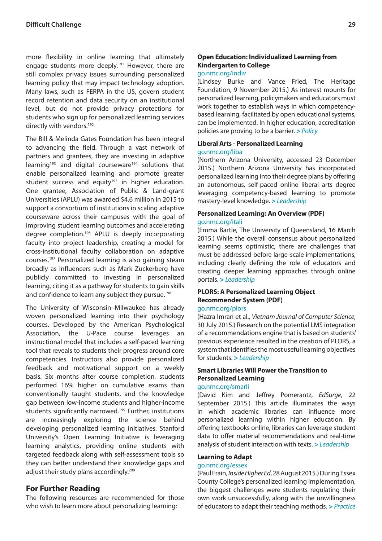more flexibility in online learning that ultimately engage students more deeply.<sup>191</sup> However, there are still complex privacy issues surrounding personalized learning policy that may impact technology adoption. Many laws, such as FERPA in the US, govern student record retention and data security on an institutional level, but do not provide privacy protections for students who sign up for personalized learning services directly with vendors.<sup>192</sup>

The Bill & Melinda Gates Foundation has been integral to advancing the field. Through a vast network of partners and grantees, they are investing in adaptive learning<sup>193</sup> and digital courseware<sup>194</sup> solutions that enable personalized learning and promote greater student success and equity<sup>195</sup> in higher education. One grantee, Association of Public & Land-grant Universities (APLU) was awarded \$4.6 million in 2015 to support a consortium of institutions in scaling adaptive courseware across their campuses with the goal of improving student learning outcomes and accelerating degree completion.196 APLU is deeply incorporating faculty into project leadership, creating a model for cross-institutional faculty collaboration on adaptive courses.197 Personalized learning is also gaining steam broadly as influencers such as Mark Zuckerberg have publicly committed to investing in personalized learning, citing it as a pathway for students to gain skills and confidence to learn any subject they pursue.<sup>198</sup>

The University of Wisconsin–Milwaukee has already woven personalized learning into their psychology courses. Developed by the American Psychological Association, the U-Pace course leverages an instructional model that includes a self-paced learning tool that reveals to students their progress around core competencies. Instructors also provide personalized feedback and motivational support on a weekly basis. Six months after course completion, students performed 16% higher on cumulative exams than conventionally taught students, and the knowledge gap between low-income students and higher-income students significantly narrowed.199 Further, institutions are increasingly exploring the science behind developing personalized learning initiatives. Stanford University's Open Learning Initiative is leveraging learning analytics, providing online students with targeted feedback along with self-assessment tools so they can better understand their knowledge gaps and adjust their study plans accordingly.<sup>200</sup>

# **For Further Reading**

The following resources are recommended for those who wish to learn more about personalizing learning:

# **Open Education: Individualized Learning from Kindergarten to College**

# [go.nmc.org/indiv](http://go.nmc.org/indiv)

(Lindsey Burke and Vance Fried, The Heritage Foundation, 9 November 2015.) As interest mounts for personalized learning, policymakers and educators must work together to establish ways in which competencybased learning, facilitated by open educational systems, can be implemented. In higher education, accreditation policies are proving to be a barrier. **>** *Policy*

# **Liberal Arts - Personalized Learning**

#### [go.nmc.org/liba](http://go.nmc.org/liba)

(Northern Arizona University, accessed 23 December 2015.) Northern Arizona University has incorporated personalized learning into their degree plans by offering an autonomous, self-paced online liberal arts degree leveraging competency-based learning to promote mastery-level knowledge. **>** *Leadership*

#### **Personalized Learning: An Overview (PDF)** [go.nmc.org/itali](http://go.nmc.org/itali)

(Emma Bartle, The University of Queensland, 16 March 2015.) While the overall consensus about personalized learning seems optimistic, there are challenges that must be addressed before large-scale implementations, including clearly defining the role of educators and creating deeper learning approaches through online portals. **>** *Leadership*

### **PLORS: A Personalized Learning Object Recommender System (PDF)**

#### [go.nmc.org/plors](http://go.nmc.org/plors)

(Hazra Imran et al., *Vietnam Journal of Computer Science*, 30 July 2015.) Research on the potential LMS integration of a recommendations engine that is based on students' previous experience resulted in the creation of PLORS, a system that identifies the most useful learning objectives for students. **>** *Leadership*

### **Smart Libraries Will Power the Transition to Personalized Learning**

#### [go.nmc.org/smarli](http://go.nmc.org/smarli)

(David Kim and Jeffrey Pomerantz, *EdSurge*, 22 September 2015.) This article illuminates the ways in which academic libraries can influence more personalized learning within higher education. By offering textbooks online, libraries can leverage student data to offer material recommendations and real-time analysis of student interaction with texts. **>** *Leadership*

#### **Learning to Adapt**

#### [go.nmc.org/essex](http://go.nmc.org/essex)

(Paul Frain, *Inside Higher Ed*, 28 August 2015.) During Essex County College's personalized learning implementation, the biggest challenges were students regulating their own work unsuccessfully, along with the unwillingness of educators to adapt their teaching methods. **>** *Practice*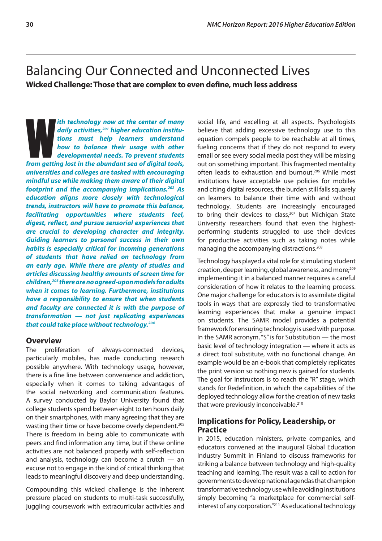# <span id="page-33-0"></span>Balancing Our Connected and Unconnected Lives **Wicked Challenge: Those that are complex to even define, much less address**

*fth technology now at the center of many daily activities,<sup>201</sup> higher education institutions must help learners understand how to balance their usage with other developmental needs. To prevent students from getting lost ith technology now at the center of many daily activities,201 higher education institutions must help learners understand how to balance their usage with other developmental needs. To prevent students universities and colleges are tasked with encouraging mindful use while making them aware of their digital footprint and the accompanying implications.202 As education aligns more closely with technological trends, instructors will have to promote this balance, facilitating opportunities where students feel, digest, reflect, and pursue sensorial experiences that are crucial to developing character and integrity. Guiding learners to personal success in their own habits is especially critical for incoming generations of students that have relied on technology from an early age. While there are plenty of studies and articles discussing healthy amounts of screen time for children,203 there are no agreed-upon models for adults when it comes to learning. Furthermore, institutions have a responsibility to ensure that when students and faculty are connected it is with the purpose of transformation — not just replicating experiences that could take place without technology.204*

#### **Overview**

The proliferation of always-connected devices, particularly mobiles, has made conducting research possible anywhere. With technology usage, however, there is a fine line between convenience and addiction, especially when it comes to taking advantages of the social networking and communication features. A survey conducted by Baylor University found that college students spend between eight to ten hours daily on their smartphones, with many agreeing that they are wasting their time or have become overly dependent.<sup>205</sup> There is freedom in being able to communicate with peers and find information any time, but if these online activities are not balanced properly with self-reflection and analysis, technology can become a crutch — an excuse not to engage in the kind of critical thinking that leads to meaningful discovery and deep understanding.

Compounding this wicked challenge is the inherent pressure placed on students to multi-task successfully, juggling coursework with extracurricular activities and social life, and excelling at all aspects. Psychologists believe that adding excessive technology use to this equation compels people to be reachable at all times, fueling concerns that if they do not respond to every email or see every social media post they will be missing out on something important. This fragmented mentality often leads to exhaustion and burnout.<sup>206</sup> While most institutions have acceptable use policies for mobiles and citing digital resources, the burden still falls squarely on learners to balance their time with and without technology. Students are increasingly encouraged to bring their devices to class, $207$  but Michigan State University researchers found that even the highestperforming students struggled to use their devices for productive activities such as taking notes while managing the accompanying distractions.<sup>208</sup>

Technology has played a vital role for stimulating student creation, deeper learning, global awareness, and more;<sup>209</sup> implementing it in a balanced manner requires a careful consideration of how it relates to the learning process. One major challenge for educators is to assimilate digital tools in ways that are expressly tied to transformative learning experiences that make a genuine impact on students. The SAMR model provides a potential framework for ensuring technology is used with purpose. In the SAMR acronym, "S" is for Substitution — the most basic level of technology integration — where it acts as a direct tool substitute, with no functional change. An example would be an e-book that completely replicates the print version so nothing new is gained for students. The goal for instructors is to reach the "R" stage, which stands for Redefinition, in which the capabilities of the deployed technology allow for the creation of new tasks that were previously inconceivable.<sup>210</sup>

# **Implications for Policy, Leadership, or Practice**

In 2015, education ministers, private companies, and educators convened at the inaugural Global Education Industry Summit in Finland to discuss frameworks for striking a balance between technology and high-quality teaching and learning. The result was a call to action for governments to develop national agendas that champion transformative technology use while avoiding institutions simply becoming "a marketplace for commercial selfinterest of any corporation."211 As educational technology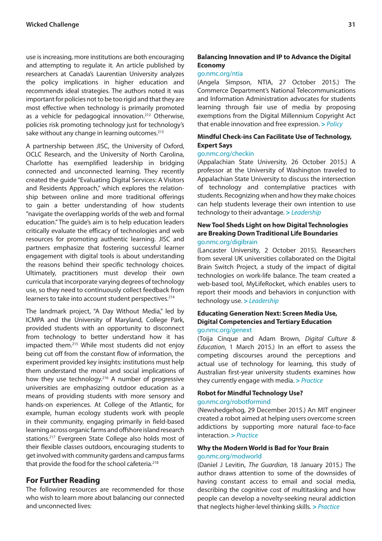use is increasing, more institutions are both encouraging and attempting to regulate it. An article published by researchers at Canada's Laurentian University analyzes the policy implications in higher education and recommends ideal strategies. The authors noted it was important for policies not to be too rigid and that they are most effective when technology is primarily promoted as a vehicle for pedagogical innovation.<sup>212</sup> Otherwise, policies risk promoting technology just for technology's sake without any change in learning outcomes.<sup>213</sup>

A partnership between JISC, the University of Oxford, OCLC Research, and the University of North Carolina, Charlotte has exemplified leadership in bridging connected and unconnected learning. They recently created the guide "Evaluating Digital Services: A Visitors and Residents Approach," which explores the relationship between online and more traditional offerings to gain a better understanding of how students "navigate the overlapping worlds of the web and formal education." The guide's aim is to help education leaders critically evaluate the efficacy of technologies and web resources for promoting authentic learning. JISC and partners emphasize that fostering successful learner engagement with digital tools is about understanding the reasons behind their specific technology choices. Ultimately, practitioners must develop their own curricula that incorporate varying degrees of technology use, so they need to continuously collect feedback from learners to take into account student perspectives.<sup>214</sup>

The landmark project, "A Day Without Media," led by ICMPA and the University of Maryland, College Park, provided students with an opportunity to disconnect from technology to better understand how it has impacted them.215 While most students did not enjoy being cut off from the constant flow of information, the experiment provided key insights: institutions must help them understand the moral and social implications of how they use technology.<sup>216</sup> A number of progressive universities are emphasizing outdoor education as a means of providing students with more sensory and hands-on experiences. At College of the Atlantic, for example, human ecology students work with people in their community, engaging primarily in field-based learning across organic farms and offshore island research stations.217 Evergreen State College also holds most of their flexible classes outdoors, encouraging students to get involved with community gardens and campus farms that provide the food for the school cafeteria.<sup>218</sup>

# **For Further Reading**

The following resources are recommended for those who wish to learn more about balancing our connected and unconnected lives:

# **Balancing Innovation and IP to Advance the Digital Economy**

### [go.nmc.org/ntia](http://go.nmc.org/ntia)

(Angela Simpson, NTIA, 27 October 2015.) The Commerce Department's National Telecommunications and Information Administration advocates for students learning through fair use of media by proposing exemptions from the Digital Millennium Copyright Act that enable innovation and free expression. **>** *Policy*

### **Mindful Check-ins Can Facilitate Use of Technology, Expert Says**

#### [go.nmc.org/checkin](http://go.nmc.org/checkin)

(Appalachian State University, 26 October 2015.) A professor at the University of Washington traveled to Appalachian State University to discuss the intersection of technology and contemplative practices with students. Recognizing when and how they make choices can help students leverage their own intention to use technology to their advantage. **>** *Leadership*

#### **New Tool Sheds Light on how Digital Technologies are Breaking Down Traditional Life Boundaries** [go.nmc.org/digibrain](http://go.nmc.org/digibrain)

(Lancaster University, 2 October 2015). Researchers from several UK universities collaborated on the Digital Brain Switch Project, a study of the impact of digital technologies on work-life balance. The team created a web-based tool, MyLifeRocket, which enables users to report their moods and behaviors in conjunction with technology use. **>** *Leadership*

# **Educating Generation Next: Screen Media Use, Digital Competencies and Tertiary Education**

#### [go.nmc.org/genext](http://go.nmc.org/genext)

(Toija Cinque and Adam Brown, *Digital Culture & Education*, 1 March 2015.) In an effort to assess the competing discourses around the perceptions and actual use of technology for learning, this study of Australian first-year university students examines how they currently engage with media. **>** *Practice*

# **Robot for Mindful Technology Use?**

#### [go.nmc.org/robotformind](http://go.nmc.org/robotformind)

(Newshedgehog, 29 December 2015.) An MIT engineer created a robot aimed at helping users overcome screen addictions by supporting more natural face-to-face interaction. **>** *Practice*

# **Why the Modern World is Bad for Your Brain** [go.nmc.org/modworld](http://go.nmc.org/modworld)

(Daniel J Levitin, *The Guardian*, 18 January 2015.) The author draws attention to some of the downsides of having constant access to email and social media, describing the cognitive cost of multitasking and how people can develop a novelty-seeking neural addiction that neglects higher-level thinking skills. **>** *Practice*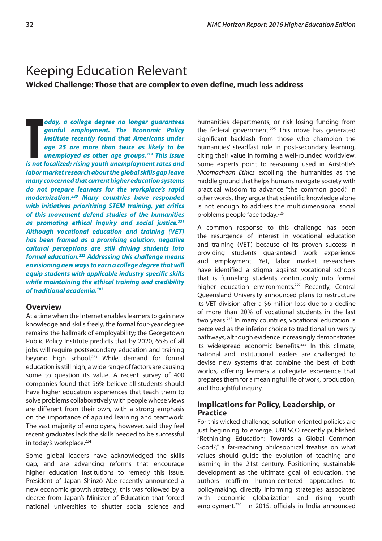# <span id="page-35-0"></span>Keeping Education Relevant

**Wicked Challenge: Those that are complex to even define, much less address**

oday, a college degree no longer guarantees<br>gainful employment. The Economic Policy<br>Institute recently found that Americans under<br>age 25 are more than twice as likely to be<br>unemployed as other age groups.<sup>219</sup> This issue<br>i *oday, a college degree no longer guarantees gainful employment. The Economic Policy Institute recently found that Americans under age 25 are more than twice as likely to be unemployed as other age groups.219 This issue labor market research about the global skills gap leave many concerned that current higher education systems do not prepare learners for the workplace's rapid modernization.220 Many countries have responded with initiatives prioritizing STEM training, yet critics of this movement defend studies of the humanities as promoting ethical inquiry and social justice.221 Although vocational education and training (VET) has been framed as a promising solution, negative cultural perceptions are still driving students into formal education.222 Addressing this challenge means envisioning new ways to earn a college degree that will equip students with applicable industry-specific skills while maintaining the ethical training and credibility of traditional academia.182*

# **Overview**

At a time when the Internet enables learners to gain new knowledge and skills freely, the formal four-year degree remains the hallmark of employability; the Georgetown Public Policy Institute predicts that by 2020, 65% of all jobs will require postsecondary education and training beyond high school.<sup>223</sup> While demand for formal education is still high, a wide range of factors are causing some to question its value. A recent survey of 400 companies found that 96% believe all students should have higher education experiences that teach them to solve problems collaboratively with people whose views are different from their own, with a strong emphasis on the importance of applied learning and teamwork. The vast majority of employers, however, said they feel recent graduates lack the skills needed to be successful in today's workplace.<sup>224</sup>

Some global leaders have acknowledged the skills gap, and are advancing reforms that encourage higher education institutions to remedy this issue. President of Japan Shinzō Abe recently announced a new economic growth strategy; this was followed by a decree from Japan's Minister of Education that forced national universities to shutter social science and humanities departments, or risk losing funding from the federal government.<sup>225</sup> This move has generated significant backlash from those who champion the humanities' steadfast role in post-secondary learning, citing their value in forming a well-rounded worldview. Some experts point to reasoning used in Aristotle's *Nicomachean Ethics* extolling the humanities as the middle ground that helps humans navigate society with practical wisdom to advance "the common good." In other words, they argue that scientific knowledge alone is not enough to address the multidimensional social problems people face today.<sup>226</sup>

A common response to this challenge has been the resurgence of interest in vocational education and training (VET) because of its proven success in providing students guaranteed work experience and employment. Yet, labor market researchers have identified a stigma against vocational schools that is funneling students continuously into formal higher education environments.<sup>227</sup> Recently, Central Queensland University announced plans to restructure its VET division after a \$6 million loss due to a decline of more than 20% of vocational students in the last two years.228 In many countries, vocational education is perceived as the inferior choice to traditional university pathways, although evidence increasingly demonstrates its widespread economic benefits.<sup>229</sup> In this climate, national and institutional leaders are challenged to devise new systems that combine the best of both worlds, offering learners a collegiate experience that prepares them for a meaningful life of work, production, and thoughtful inquiry.

# **Implications for Policy, Leadership, or Practice**

For this wicked challenge, solution-oriented policies are just beginning to emerge. UNESCO recently published "Rethinking Education: Towards a Global Common Good?," a far-reaching philosophical treatise on what values should guide the evolution of teaching and learning in the 21st century. Positioning sustainable development as the ultimate goal of education, the authors reaffirm human-centered approaches to policymaking, directly informing strategies associated with economic globalization and rising youth employment.230 In 2015, officials in India announced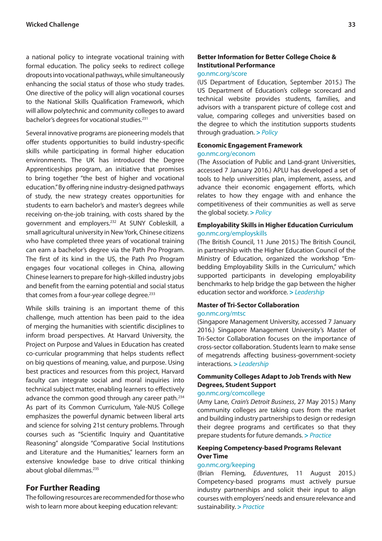a national policy to integrate vocational training with formal education. The policy seeks to redirect college dropouts into vocational pathways, while simultaneously enhancing the social status of those who study trades. One directive of the policy will align vocational courses to the National Skills Qualification Framework, which will allow polytechnic and community colleges to award bachelor's degrees for vocational studies.231

Several innovative programs are pioneering models that offer students opportunities to build industry-specific skills while participating in formal higher education environments. The UK has introduced the Degree Apprenticeships program, an initiative that promises to bring together "the best of higher and vocational education." By offering nine industry-designed pathways of study, the new strategy creates opportunities for students to earn bachelor's and master's degrees while receiving on-the-job training, with costs shared by the government and employers.232 At SUNY Cobleskill, a small agricultural university in New York, Chinese citizens who have completed three years of vocational training can earn a bachelor's degree via the Path Pro Program. The first of its kind in the US, the Path Pro Program engages four vocational colleges in China, allowing Chinese learners to prepare for high-skilled industry jobs and benefit from the earning potential and social status that comes from a four-year college degree.<sup>233</sup>

While skills training is an important theme of this challenge, much attention has been paid to the idea of merging the humanities with scientific disciplines to inform broad perspectives. At Harvard University, the Project on Purpose and Values in Education has created co-curricular programming that helps students reflect on big questions of meaning, value, and purpose. Using best practices and resources from this project, Harvard faculty can integrate social and moral inquiries into technical subject matter, enabling learners to effectively advance the common good through any career path.234 As part of its Common Curriculum, Yale-NUS College emphasizes the powerful dynamic between liberal arts and science for solving 21st century problems. Through courses such as "Scientific Inquiry and Quantitative Reasoning" alongside "Comparative Social Institutions and Literature and the Humanities," learners form an extensive knowledge base to drive critical thinking about global dilemmas.<sup>235</sup>

### **For Further Reading**

The following resources are recommended for those who wish to learn more about keeping education relevant:

# **Better Information for Better College Choice & Institutional Performance**

### [go.nmc.org/score](http://go.nmc.org/score)

(US Department of Education, September 2015.) The US Department of Education's college scorecard and technical website provides students, families, and advisors with a transparent picture of college cost and value, comparing colleges and universities based on the degree to which the institution supports students through graduation. **>** *Policy*

#### **Economic Engagement Framework** [go.nmc.org/econom](http://go.nmc.org/econom)

(The Association of Public and Land-grant Universities, accessed 7 January 2016.) APLU has developed a set of tools to help universities plan, implement, assess, and advance their economic engagement efforts, which relates to how they engage with and enhance the competitiveness of their communities as well as serve the global society. **>** *Policy*

#### **Employability Skills in Higher Education Curriculum** [go.nmc.org/employskills](http://go.nmc.org/employskills)

(The British Council, 11 June 2015.) The British Council, in partnership with the Higher Education Council of the Ministry of Education, organized the workshop "Embedding Employability Skills in the Curriculum," which supported participants in developing employability benchmarks to help bridge the gap between the higher education sector and workforce. **>** *Leadership*

#### **Master of Tri-Sector Collaboration** [go.nmc.org/mtsc](http://go.nmc.org/mtsc)

(Singapore Management University, accessed 7 January 2016.) Singapore Management University's Master of Tri-Sector Collaboration focuses on the importance of cross-sector collaboration. Students learn to make sense of megatrends affecting business-government-society interactions. **>** *Leadership*

### **Community Colleges Adapt to Job Trends with New Degrees, Student Support**

#### [go.nmc.org/comcollege](http://go.nmc.org/comcollege)

(Amy Lane, *Crain's Detroit Business*, 27 May 2015.) Many community colleges are taking cues from the market and building industry partnerships to design or redesign their degree programs and certificates so that they prepare students for future demands. **>** *Practice*

### **Keeping Competency-based Programs Relevant Over Time**

#### [go.nmc.org/keeping](http://go.nmc.org/keeping)

(Brian Fleming, *Eduventures*, 11 August 2015.) Competency-based programs must actively pursue industry partnerships and solicit their input to align courses with employers' needs and ensure relevance and sustainability. **>** *Practice*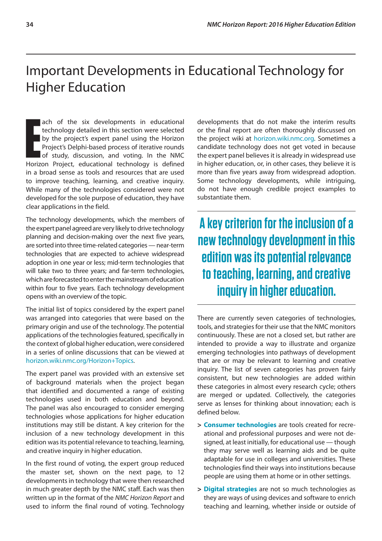# <span id="page-37-0"></span>Important Developments in Educational Technology for Higher Education

**Exercise 15 and the six developments in educational technology detailed in this section were selected by the project's expert panel using the Horizon Project's Delphi-based process of iterative rounds of study, discussion** ach of the six developments in educational technology detailed in this section were selected by the project's expert panel using the Horizon Project's Delphi-based process of iterative rounds of study, discussion, and voting. In the NMC in a broad sense as tools and resources that are used to improve teaching, learning, and creative inquiry. While many of the technologies considered were not developed for the sole purpose of education, they have clear applications in the field.

The technology developments, which the members of the expert panel agreed are very likely to drive technology planning and decision-making over the next five years, are sorted into three time-related categories — near-term technologies that are expected to achieve widespread adoption in one year or less; mid-term technologies that will take two to three years; and far-term technologies, which are forecasted to enter the mainstream of education within four to five years. Each technology development opens with an overview of the topic.

The initial list of topics considered by the expert panel was arranged into categories that were based on the primary origin and use of the technology. The potential applications of the technologies featured, specifically in the context of global higher education, were considered in a series of online discussions that can be viewed at [horizon.wiki.nmc.org/Horizon+Topics](http://horizon.wiki.nmc.org/Horizon+Topics).

The expert panel was provided with an extensive set of background materials when the project began that identified and documented a range of existing technologies used in both education and beyond. The panel was also encouraged to consider emerging technologies whose applications for higher education institutions may still be distant. A key criterion for the inclusion of a new technology development in this edition was its potential relevance to teaching, learning, and creative inquiry in higher education.

In the first round of voting, the expert group reduced the master set, shown on the next page, to 12 developments in technology that were then researched in much greater depth by the NMC staff. Each was then written up in the format of the *NMC Horizon Report* and used to inform the final round of voting. Technology developments that do not make the interim results or the final report are often thoroughly discussed on the project wiki at [horizon.wiki.nmc.org](http://horizon.wiki.nmc.org). Sometimes a candidate technology does not get voted in because the expert panel believes it is already in widespread use in higher education, or, in other cases, they believe it is more than five years away from widespread adoption. Some technology developments, while intriguing, do not have enough credible project examples to substantiate them.

**A key criterion for the inclusion of a new technology development in this edition was its potential relevance to teaching, learning, and creative inquiry in higher education.**

There are currently seven categories of technologies, tools, and strategies for their use that the NMC monitors continuously. These are not a closed set, but rather are intended to provide a way to illustrate and organize emerging technologies into pathways of development that are or may be relevant to learning and creative inquiry. The list of seven categories has proven fairly consistent, but new technologies are added within these categories in almost every research cycle; others are merged or updated. Collectively, the categories serve as lenses for thinking about innovation; each is defined below.

- **> Consumer technologies** are tools created for recreational and professional purposes and were not designed, at least initially, for educational use — though they may serve well as learning aids and be quite adaptable for use in colleges and universities. These technologies find their ways into institutions because people are using them at home or in other settings.
- **> Digital strategies** are not so much technologies as they are ways of using devices and software to enrich teaching and learning, whether inside or outside of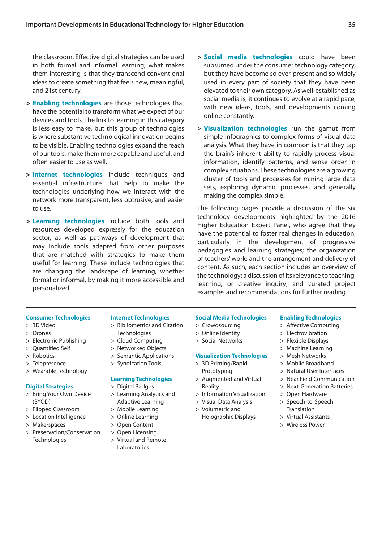the classroom. Effective digital strategies can be used in both formal and informal learning; what makes them interesting is that they transcend conventional ideas to create something that feels new, meaningful, and 21st century.

- **> Enabling technologies** are those technologies that have the potential to transform what we expect of our devices and tools. The link to learning in this category is less easy to make, but this group of technologies is where substantive technological innovation begins to be visible. Enabling technologies expand the reach of our tools, make them more capable and useful, and often easier to use as well.
- **> Internet technologies** include techniques and essential infrastructure that help to make the technologies underlying how we interact with the network more transparent, less obtrusive, and easier to use.
- **> Learning technologies** include both tools and resources developed expressly for the education sector, as well as pathways of development that may include tools adapted from other purposes that are matched with strategies to make them useful for learning. These include technologies that are changing the landscape of learning, whether formal or informal, by making it more accessible and personalized.
- **> Social media technologies** could have been subsumed under the consumer technology category, but they have become so ever-present and so widely used in every part of society that they have been elevated to their own category. As well-established as social media is, it continues to evolve at a rapid pace, with new ideas, tools, and developments coming online constantly.
- **> Visualization technologies** run the gamut from simple infographics to complex forms of visual data analysis. What they have in common is that they tap the brain's inherent ability to rapidly process visual information, identify patterns, and sense order in complex situations. These technologies are a growing cluster of tools and processes for mining large data sets, exploring dynamic processes, and generally making the complex simple.

The following pages provide a discussion of the six technology developments highlighted by the 2016 Higher Education Expert Panel, who agree that they have the potential to foster real changes in education, particularly in the development of progressive pedagogies and learning strategies; the organization of teachers' work; and the arrangement and delivery of content. As such, each section includes an overview of the technology; a discussion of its relevance to teaching, learning, or creative inquiry; and curated project examples and recommendations for further reading.

#### **Consumer Technologies**

- > 3D Video
- > Drones
- > Electronic Publishing
- > Quantified Self
- > Robotics
- > Telepresence
- > Wearable Technology

#### **Digital Strategies**

- > Bring Your Own Device (BYOD)
- > Flipped Classroom
- > Location Intelligence
- > Makerspaces
- > Preservation/Conservation **Technologies**

#### **Internet Technologies**

- > Bibliometrics and Citation **Technologies**
- > Cloud Computing
- > Networked Objects
- > Semantic Applications
- > Syndication Tools

#### **Learning Technologies**

- > Digital Badges
- > Learning Analytics and Adaptive Learning
- > Mobile Learning
- > Online Learning
- > Open Content
- > Open Licensing
- > Virtual and Remote Laboratories

#### **Social Media Technologies**

> Online Identity > Social Networks

Reality

# > Crowdsourcing

**Visualization Technologies** > 3D Printing/Rapid Prototyping > Augmented and Virtual

> Information Visualization > Visual Data Analysis > Volumetric and Holographic Displays

- > Affective Computing
	- > Electrovibration

**Enabling Technologies**

- > Flexible Displays
- > Machine Learning
- > Mesh Networks
- > Mobile Broadband
- > Natural User Interfaces
- > Near Field Communication
- > Next-Generation Batteries
- > Open Hardware
- > Speech-to-Speech Translation
- > Virtual Assistants
- > Wireless Power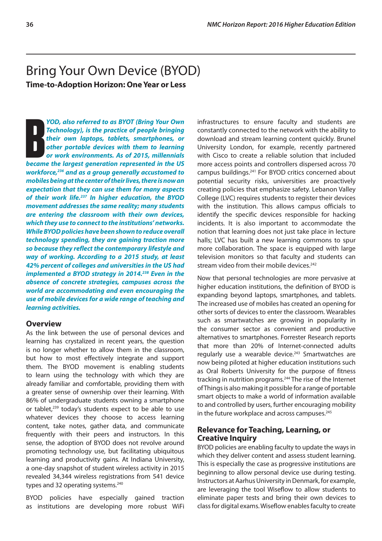# <span id="page-39-0"></span>Bring Your Own Device (BYOD) **Time-to-Adoption Horizon: One Year or Less**

**FRANCE CONSISTED FRANCE CONSISTED FRANCE CONSISTENT**<br> **BECAME THE LARGE FRANCE CONSISTENT**<br> **BECAME FRANCE POTABLE GENERATION**<br> **BECAME FRANCE CONSISTENT**<br> **BECAME POTABLE PRANCE CONSISTENT**<br> **BECAME THE US CONSISTENT PRE** *YOD, also referred to as BYOT (Bring Your Own Technology), is the practice of people bringing their own laptops, tablets, smartphones, or other portable devices with them to learning or work environments. As of 2015, millennials workforce,236 and as a group generally accustomed to mobiles being at the center of their lives, there is now an expectation that they can use them for many aspects of their work life.237 In higher education, the BYOD movement addresses the same reality; many students are entering the classroom with their own devices, which they use to connect to the institutions' networks. While BYOD policies have been shown to reduce overall technology spending, they are gaining traction more so because they reflect the contemporary lifestyle and way of working. According to a 2015 study, at least 42% percent of colleges and universities in the US had implemented a BYOD strategy in 2014.238 Even in the absence of concrete strategies, campuses across the world are accommodating and even encouraging the use of mobile devices for a wide range of teaching and learning activities.*

# **Overview**

As the link between the use of personal devices and learning has crystalized in recent years, the question is no longer whether to allow them in the classroom, but how to most effectively integrate and support them. The BYOD movement is enabling students to learn using the technology with which they are already familiar and comfortable, providing them with a greater sense of ownership over their learning. With 86% of undergraduate students owning a smartphone or tablet,<sup>239</sup> today's students expect to be able to use whatever devices they choose to access learning content, take notes, gather data, and communicate frequently with their peers and instructors. In this sense, the adoption of BYOD does not revolve around promoting technology use, but facilitating ubiquitous learning and productivity gains. At Indiana University, a one-day snapshot of student wireless activity in 2015 revealed 34,344 wireless registrations from 541 device types and 32 operating systems.<sup>240</sup>

BYOD policies have especially gained traction as institutions are developing more robust WiFi infrastructures to ensure faculty and students are constantly connected to the network with the ability to download and stream learning content quickly. Brunel University London, for example, recently partnered with Cisco to create a reliable solution that included more access points and controllers dispersed across 70 campus buildings.241 For BYOD critics concerned about potential security risks, universities are proactively creating policies that emphasize safety. Lebanon Valley College (LVC) requires students to register their devices with the institution. This allows campus officials to identify the specific devices responsible for hacking incidents. It is also important to accommodate the notion that learning does not just take place in lecture halls; LVC has built a new learning commons to spur more collaboration. The space is equipped with large television monitors so that faculty and students can stream video from their mobile devices.<sup>242</sup>

Now that personal technologies are more pervasive at higher education institutions, the definition of BYOD is expanding beyond laptops, smartphones, and tablets. The increased use of mobiles has created an opening for other sorts of devices to enter the classroom. Wearables such as smartwatches are growing in popularity in the consumer sector as convenient and productive alternatives to smartphones. Forrester Research reports that more than 20% of Internet-connected adults regularly use a wearable device.<sup>243</sup> Smartwatches are now being piloted at higher education institutions such as Oral Roberts University for the purpose of fitness tracking in nutrition programs.<sup>244</sup> The rise of the Internet of Things is also making it possible for a range of portable smart objects to make a world of information available to and controlled by users, further encouraging mobility in the future workplace and across campuses.<sup>245</sup>

### **Relevance for Teaching, Learning, or Creative Inquiry**

BYOD policies are enabling faculty to update the ways in which they deliver content and assess student learning. This is especially the case as progressive institutions are beginning to allow personal device use during testing. Instructors at Aarhus University in Denmark, for example, are leveraging the tool Wiseflow to allow students to eliminate paper tests and bring their own devices to class for digital exams. Wiseflow enables faculty to create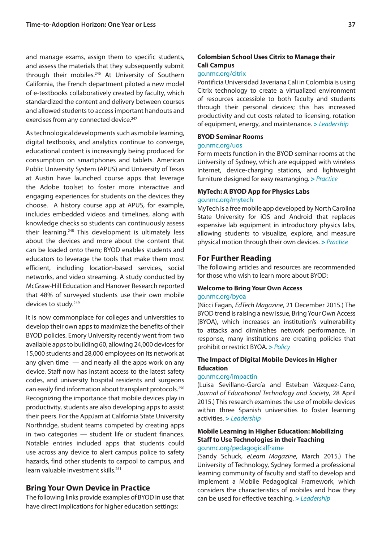and manage exams, assign them to specific students, and assess the materials that they subsequently submit through their mobiles.<sup>246</sup> At University of Southern California, the French department piloted a new model of e-textbooks collaboratively created by faculty, which standardized the content and delivery between courses and allowed students to access important handouts and exercises from any connected device.<sup>247</sup>

As technological developments such as mobile learning, digital textbooks, and analytics continue to converge, educational content is increasingly being produced for consumption on smartphones and tablets. American Public University System (APUS) and University of Texas at Austin have launched course apps that leverage the Adobe toolset to foster more interactive and engaging experiences for students on the devices they choose. A history course app at APUS, for example, includes embedded videos and timelines, along with knowledge checks so students can continuously assess their learning.<sup>248</sup> This development is ultimately less about the devices and more about the content that can be loaded onto them; BYOD enables students and educators to leverage the tools that make them most efficient, including location-based services, social networks, and video streaming. A study conducted by McGraw-Hill Education and Hanover Research reported that 48% of surveyed students use their own mobile devices to study.<sup>249</sup>

It is now commonplace for colleges and universities to develop their own apps to maximize the benefits of their BYOD policies. Emory University recently went from two available apps to building 60, allowing 24,000 devices for 15,000 students and 28,000 employees on its network at any given time  $-$  and nearly all the apps work on any device. Staff now has instant access to the latest safety codes, and university hospital residents and surgeons can easily find information about transplant protocols.250 Recognizing the importance that mobile devices play in productivity, students are also developing apps to assist their peers. For the AppJam at California State University Northridge, student teams competed by creating apps in two categories — student life or student finances. Notable entries included apps that students could use across any device to alert campus police to safety hazards, find other students to carpool to campus, and learn valuable investment skills.251

# **Bring Your Own Device in Practice**

The following links provide examples of BYOD in use that have direct implications for higher education settings:

# **Colombian School Uses Citrix to Manage their Cali Campus**

### [go.nmc.org/citrix](http://go.nmc.org/citrix)

Pontificia Universidad Javeriana Cali in Colombia is using Citrix technology to create a virtualized environment of resources accessible to both faculty and students through their personal devices; this has increased productivity and cut costs related to licensing, rotation of equipment, energy, and maintenance. **>** *Leadership*

#### **BYOD Seminar Rooms**

#### [go.nmc.org/uos](http://go.nmc.org/uos)

Form meets function in the BYOD seminar rooms at the University of Sydney, which are equipped with wireless Internet, device-charging stations, and lightweight furniture designed for easy rearranging. **>** *Practice*

# **MyTech: A BYOD App for Physics Labs**

### [go.nmc.org/mytech](http://go.nmc.org/mytech)

MyTech is a free mobile app developed by North Carolina State University for iOS and Android that replaces expensive lab equipment in introductory physics labs, allowing students to visualize, explore, and measure physical motion through their own devices. **>** *Practice*

### **For Further Reading**

The following articles and resources are recommended for those who wish to learn more about BYOD:

# **Welcome to Bring Your Own Access**

#### [go.nmc.org/byoa](http://go.nmc.org/byoa)

(Nicci Fagan, *EdTech Magazine*, 21 December 2015.) The BYOD trend is raising a new issue, Bring Your Own Access (BYOA), which increases an institution's vulnerability to attacks and diminishes network performance. In response, many institutions are creating policies that prohibit or restrict BYOA. **>** *Policy*

### **The Impact of Digital Mobile Devices in Higher Education**

#### [go.nmc.org/impactin](http://go.nmc.org/impactin)

(Luisa Sevillano-García and Esteban Vázquez-Cano, *Journal of Educational Technology and Society*, 28 April 2015.) This research examines the use of mobile devices within three Spanish universities to foster learning activities. **>** *Leadership*

# **Mobile Learning in Higher Education: Mobilizing Staff to Use Technologies in their Teaching**

# [go.nmc.org/pedagogicalframe](http://go.nmc.org/pedagogicalframe)

(Sandy Schuck, *eLearn Magazine*, March 2015.) The University of Technology, Sydney formed a professional learning community of faculty and staff to develop and implement a Mobile Pedagogical Framework, which considers the characteristics of mobiles and how they can be used for effective teaching. **>** *Leadership*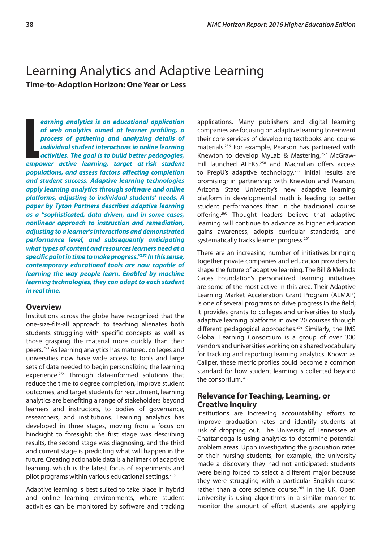# <span id="page-41-0"></span>Learning Analytics and Adaptive Learning **Time-to-Adoption Horizon: One Year or Less**

earning analytics is an educational application<br>of web analytics aimed at learner profiling, a<br>process of gathering and analyzing details of<br>individual student interactions in online learning<br>activities. The goal is to bui *earning analytics is an educational application of web analytics aimed at learner profiling, a process of gathering and analyzing details of individual student interactions in online learning activities. The goal is to build better pedagogies, populations, and assess factors affecting completion and student success. Adaptive learning technologies apply learning analytics through software and online platforms, adjusting to individual students' needs. A paper by Tyton Partners describes adaptive learning as a "sophisticated, data-driven, and in some cases, nonlinear approach to instruction and remediation, adjusting to a learner's interactions and demonstrated performance level, and subsequently anticipating what types of content and resources learners need at a specific point in time to make progress."252 In this sense, contemporary educational tools are now capable of learning the way people learn. Enabled by machine learning technologies, they can adapt to each student in real time.*

### **Overview**

Institutions across the globe have recognized that the one-size-fits-all approach to teaching alienates both students struggling with specific concepts as well as those grasping the material more quickly than their peers.253 As learning analytics has matured, colleges and universities now have wide access to tools and large sets of data needed to begin personalizing the learning experience.254 Through data-informed solutions that reduce the time to degree completion, improve student outcomes, and target students for recruitment, learning analytics are benefiting a range of stakeholders beyond learners and instructors, to bodies of governance, researchers, and institutions. Learning analytics has developed in three stages, moving from a focus on hindsight to foresight; the first stage was describing results, the second stage was diagnosing, and the third and current stage is predicting what will happen in the future. Creating actionable data is a hallmark of adaptive learning, which is the latest focus of experiments and pilot programs within various educational settings.255

Adaptive learning is best suited to take place in hybrid and online learning environments, where student activities can be monitored by software and tracking applications. Many publishers and digital learning companies are focusing on adaptive learning to reinvent their core services of developing textbooks and course materials.256 For example, Pearson has partnered with Knewton to develop MyLab & Mastering,<sup>257</sup> McGraw-Hill launched ALEKS,<sup>258</sup> and Macmillan offers access to PrepU's adaptive technology.<sup>259</sup> Initial results are promising; in partnership with Knewton and Pearson, Arizona State University's new adaptive learning platform in developmental math is leading to better student performances than in the traditional course offering.<sup>260</sup> Thought leaders believe that adaptive learning will continue to advance as higher education gains awareness, adopts curricular standards, and systematically tracks learner progress.<sup>261</sup>

There are an increasing number of initiatives bringing together private companies and education providers to shape the future of adaptive learning. The Bill & Melinda Gates Foundation's personalized learning initiatives are some of the most active in this area. Their Adaptive Learning Market Acceleration Grant Program (ALMAP) is one of several programs to drive progress in the field; it provides grants to colleges and universities to study adaptive learning platforms in over 20 courses through different pedagogical approaches.<sup>262</sup> Similarly, the IMS Global Learning Consortium is a group of over 300 vendors and universities working on a shared vocabulary for tracking and reporting learning analytics. Known as Caliper, these metric profiles could become a common standard for how student learning is collected beyond the consortium.263

#### **Relevance for Teaching, Learning, or Creative Inquiry**

Institutions are increasing accountability efforts to improve graduation rates and identify students at risk of dropping out. The University of Tennessee at Chattanooga is using analytics to determine potential problem areas. Upon investigating the graduation rates of their nursing students, for example, the university made a discovery they had not anticipated; students were being forced to select a different major because they were struggling with a particular English course rather than a core science course.<sup>264</sup> In the UK, Open University is using algorithms in a similar manner to monitor the amount of effort students are applying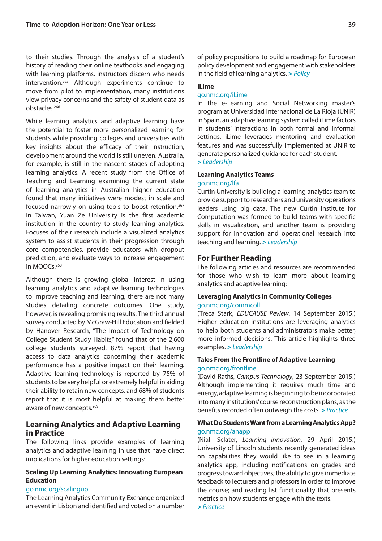to their studies. Through the analysis of a student's history of reading their online textbooks and engaging with learning platforms, instructors discern who needs intervention.265 Although experiments continue to move from pilot to implementation, many institutions view privacy concerns and the safety of student data as obstacles.266

While learning analytics and adaptive learning have the potential to foster more personalized learning for students while providing colleges and universities with key insights about the efficacy of their instruction, development around the world is still uneven. Australia, for example, is still in the nascent stages of adopting learning analytics. A recent study from the Office of Teaching and Learning examining the current state of learning analytics in Australian higher education found that many initiatives were modest in scale and focused narrowly on using tools to boost retention.<sup>267</sup> In Taiwan, Yuan Ze University is the first academic institution in the country to study learning analytics. Focuses of their research include a visualized analytics system to assist students in their progression through core competencies, provide educators with dropout prediction, and evaluate ways to increase engagement in MOOCs.<sup>268</sup>

Although there is growing global interest in using learning analytics and adaptive learning technologies to improve teaching and learning, there are not many studies detailing concrete outcomes. One study, however, is revealing promising results. The third annual survey conducted by McGraw-Hill Education and fielded by Hanover Research, "The Impact of Technology on College Student Study Habits," found that of the 2,600 college students surveyed, 87% report that having access to data analytics concerning their academic performance has a positive impact on their learning. Adaptive learning technology is reported by 75% of students to be very helpful or extremely helpful in aiding their ability to retain new concepts, and 68% of students report that it is most helpful at making them better aware of new concepts.<sup>269</sup>

# **Learning Analytics and Adaptive Learning in Practice**

The following links provide examples of learning analytics and adaptive learning in use that have direct implications for higher education settings:

### **Scaling Up Learning Analytics: Innovating European Education**

#### [go.nmc.org/scalingup](http://go.nmc.org/scalingup)

The Learning Analytics Community Exchange organized an event in Lisbon and identified and voted on a number of policy propositions to build a roadmap for European policy development and engagement with stakeholders in the field of learning analytics. **>** *Policy*

#### **iLime**

#### [go.nmc.org/iLime](http://go.nmc.org/iLime)

In the e-Learning and Social Networking master's program at Universidad Internacional de La Rioja (UNIR) in Spain, an adaptive learning system called iLime factors in students' interactions in both formal and informal settings. iLime leverages mentoring and evaluation features and was successfully implemented at UNIR to generate personalized guidance for each student.

**>** *Leadership*

# **Learning Analytics Teams**

#### [go.nmc.org/lfa](http://go.nmc.org/lfa)

Curtin University is building a learning analytics team to provide support to researchers and university operations leaders using big data. The new Curtin Institute for Computation was formed to build teams with specific skills in visualization, and another team is providing support for innovation and operational research into teaching and learning. **>** *Leadership*

### **For Further Reading**

The following articles and resources are recommended for those who wish to learn more about learning analytics and adaptive learning:

#### **Leveraging Analytics in Community Colleges**  [go.nmc.org/commcoll](http://go.nmc.org/commcoll)

(Treca Stark, *EDUCAUSE Review*, 14 September 2015.) Higher education institutions are leveraging analytics to help both students and administrators make better, more informed decisions. This article highlights three examples. **>** *Leadership*

### **Tales From the Frontline of Adaptive Learning** [go.nmc.org/frontline](http://go.nmc.org/frontline)

(David Raths, *Campus Technology*, 23 September 2015.) Although implementing it requires much time and energy, adaptive learning is beginning to be incorporated into many institutions' course reconstruction plans, as the benefits recorded often outweigh the costs. **>** *Practice*

#### **What Do Students Want from a Learning Analytics App?** [go.nmc.org/anapp](http://go.nmc.org/anapp)

(Niall Sclater, *Learning Innovation*, 29 April 2015.) University of Lincoln students recently generated ideas on capabilities they would like to see in a learning analytics app, including notifications on grades and progress toward objectives; the ability to give immediate feedback to lecturers and professors in order to improve the course; and reading list functionality that presents metrics on how students engage with the texts. **>** *Practice*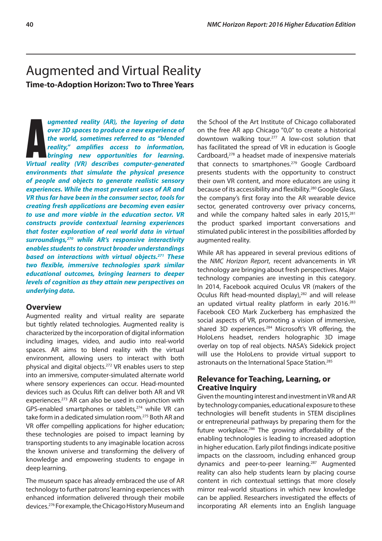# <span id="page-43-0"></span>Augmented and Virtual Reality **Time-to-Adoption Horizon: Two to Three Years**

**ARE 1999 UP and ST UP 100 UP 100 UP 100 UP 100 UP 100 UP 100 UP 100 UP 100 UP 100 UP 100 UP 100 UP 100 UP 100 UP 100 UP 100 UP 100 UP 100 UP 100 UP 100 UP 100 UP 100 UP 100 UP 100 UP 100 UP 100 UP 100 UP 100 UP 100 UP 100** *ugmented reality (AR), the layering of data over 3D spaces to produce a new experience of the world, sometimes referred to as "blended reality," amplifies access to information, bringing new opportunities for learning. environments that simulate the physical presence of people and objects to generate realistic sensory experiences. While the most prevalent uses of AR and VR thus far have been in the consumer sector, tools for creating fresh applications are becoming even easier to use and more viable in the education sector. VR constructs provide contextual learning experiences that foster exploration of real world data in virtual surroundings,270 while AR's responsive interactivity enables students to construct broader understandings based on interactions with virtual objects.271 These two flexible, immersive technologies spark similar educational outcomes, bringing learners to deeper levels of cognition as they attain new perspectives on underlying data.*

# **Overview**

Augmented reality and virtual reality are separate but tightly related technologies. Augmented reality is characterized by the incorporation of digital information including images, video, and audio into real-world spaces. AR aims to blend reality with the virtual environment, allowing users to interact with both physical and digital objects.272 VR enables users to step into an immersive, computer-simulated alternate world where sensory experiences can occur. Head-mounted devices such as Oculus Rift can deliver both AR and VR experiences.273 AR can also be used in conjunction with GPS-enabled smartphones or tablets,<sup>274</sup> while VR can take form in a dedicated simulation room.275 Both AR and VR offer compelling applications for higher education; these technologies are poised to impact learning by transporting students to any imaginable location across the known universe and transforming the delivery of knowledge and empowering students to engage in deep learning.

The museum space has already embraced the use of AR technology to further patrons' learning experiences with enhanced information delivered through their mobile devices.276 For example, the Chicago History Museum and the School of the Art Institute of Chicago collaborated on the free AR app Chicago "0,0" to create a historical downtown walking tour.277 A low-cost solution that has facilitated the spread of VR in education is Google Cardboard,<sup>278</sup> a headset made of inexpensive materials that connects to smartphones.<sup>279</sup> Google Cardboard presents students with the opportunity to construct their own VR content, and more educators are using it because of its accessibility and flexibility.<sup>280</sup> Google Glass, the company's first foray into the AR wearable device sector, generated controversy over privacy concerns, and while the company halted sales in early 2015,<sup>281</sup> the product sparked important conversations and stimulated public interest in the possibilities afforded by augmented reality.

While AR has appeared in several previous editions of the *NMC Horizon Report*, recent advancements in VR technology are bringing about fresh perspectives. Major technology companies are investing in this category. In 2014, Facebook acquired Oculus VR (makers of the Oculus Rift head-mounted display),<sup>282</sup> and will release an updated virtual reality platform in early 2016.<sup>283</sup> Facebook CEO Mark Zuckerberg has emphasized the social aspects of VR, promoting a vision of immersive, shared 3D experiences.<sup>284</sup> Microsoft's VR offering, the HoloLens headset, renders holographic 3D image overlay on top of real objects. NASA's Sidekick project will use the HoloLens to provide virtual support to astronauts on the International Space Station.285

# **Relevance for Teaching, Learning, or Creative Inquiry**

Given the mounting interest and investment in VR and AR by technology companies, educational exposure to these technologies will benefit students in STEM disciplines or entrepreneurial pathways by preparing them for the future workplace.286 The growing affordability of the enabling technologies is leading to increased adoption in higher education. Early pilot findings indicate positive impacts on the classroom, including enhanced group dynamics and peer-to-peer learning.287 Augmented reality can also help students learn by placing course content in rich contextual settings that more closely mirror real-world situations in which new knowledge can be applied. Researchers investigated the effects of incorporating AR elements into an English language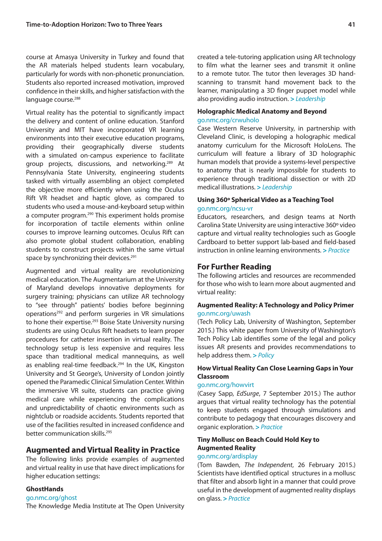course at Amasya University in Turkey and found that the AR materials helped students learn vocabulary, particularly for words with non-phonetic pronunciation. Students also reported increased motivation, improved confidence in their skills, and higher satisfaction with the language course.<sup>288</sup>

Virtual reality has the potential to significantly impact the delivery and content of online education. Stanford University and MIT have incorporated VR learning environments into their executive education programs, providing their geographically diverse students with a simulated on-campus experience to facilitate group projects, discussions, and networking.<sup>289</sup> At Pennsylvania State University, engineering students tasked with virtually assembling an object completed the objective more efficiently when using the Oculus Rift VR headset and haptic glove, as compared to students who used a mouse-and-keyboard setup within a computer program.<sup>290</sup> This experiment holds promise for incorporation of tactile elements within online courses to improve learning outcomes. Oculus Rift can also promote global student collaboration, enabling students to construct projects within the same virtual space by synchronizing their devices.<sup>291</sup>

Augmented and virtual reality are revolutionizing medical education. The Augmentarium at the University of Maryland develops innovative deployments for surgery training; physicians can utilize AR technology to "see through" patients' bodies before beginning operations292 and perform surgeries in VR simulations to hone their expertise.<sup>293</sup> Boise State University nursing students are using Oculus Rift headsets to learn proper procedures for catheter insertion in virtual reality. The technology setup is less expensive and requires less space than traditional medical mannequins, as well as enabling real-time feedback.<sup>294</sup> In the UK, Kingston University and St George's, University of London jointly opened the Paramedic Clinical Simulation Center. Within the immersive VR suite, students can practice giving medical care while experiencing the complications and unpredictability of chaotic environments such as nightclub or roadside accidents. Students reported that use of the facilities resulted in increased confidence and better communication skills.295

### **Augmented and Virtual Reality in Practice**

The following links provide examples of augmented and virtual reality in use that have direct implications for higher education settings:

#### **GhostHands**

#### [go.nmc.org/ghost](http://go.nmc.org/ghost)

The Knowledge Media Institute at The Open University

created a tele-tutoring application using AR technology to film what the learner sees and transmit it online to a remote tutor. The tutor then leverages 3D handscanning to transmit hand movement back to the learner, manipulating a 3D finger puppet model while also providing audio instruction. **>** *Leadership*

#### **Holographic Medical Anatomy and Beyond**  [go.nmc.org/crwuholo](http://go.nmc.org/crwuholo)

Case Western Reserve University, in partnership with Cleveland Clinic, is developing a holographic medical anatomy curriculum for the Microsoft HoloLens. The curriculum will feature a library of 3D holographic human models that provide a systems-level perspective to anatomy that is nearly impossible for students to experience through traditional dissection or with 2D medical illustrations. **>** *Leadership*

#### **Using 360º Spherical Video as a Teaching Tool**  [go.nmc.org/ncsu-vr](http://go.nmc.org/ncsu-vr)

Educators, researchers, and design teams at North Carolina State University are using interactive 360º video capture and virtual reality technologies such as Google Cardboard to better support lab-based and field-based instruction in online learning environments. **>** *Practice*

#### **For Further Reading**

The following articles and resources are recommended for those who wish to learn more about augmented and virtual reality:

#### **Augmented Reality: A Technology and Policy Primer**  [go.nmc.org/uwash](http://go.nmc.org/uwash)

(Tech Policy Lab, University of Washington, September 2015.) This white paper from University of Washington's Tech Policy Lab identifies some of the legal and policy issues AR presents and provides recommendations to help address them. **>** *Policy*

# **How Virtual Reality Can Close Learning Gaps in Your Classroom**

#### [go.nmc.org/howvirt](http://go.nmc.org/howvirt)

(Casey Sapp, *EdSurge*, 7 September 2015.) The author argues that virtual reality technology has the potential to keep students engaged through simulations and contribute to pedagogy that encourages discovery and organic exploration. **>** *Practice*

# **Tiny Mollusc on Beach Could Hold Key to Augmented Reality**

# [go.nmc.org/ardisplay](http://go.nmc.org/ardisplay)

(Tom Bawden, *The Independent*, 26 February 2015.) Scientists have identified optical structures in a mollusc that filter and absorb light in a manner that could prove useful in the development of augmented reality displays on glass. **>** *Practice*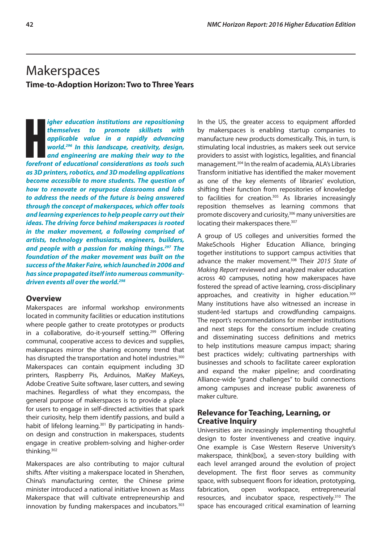# <span id="page-45-0"></span>**Makerspaces Time-to-Adoption Horizon: Two to Three Years**

**Hemselves** to promote skillsets with<br>applicable value in a rapidly advancing<br>world.<sup>296</sup> In this landscape, creativity, design,<br>and engineering are making their way to the<br>forefront of educational considerations as tools *igher education institutions are repositioning themselves to promote skillsets with applicable value in a rapidly advancing world.296 In this landscape, creativity, design, and engineering are making their way to the as 3D printers, robotics, and 3D modeling applications become accessible to more students. The question of how to renovate or repurpose classrooms and labs to address the needs of the future is being answered through the concept of makerspaces, which offer tools and learning experiences to help people carry out their ideas. The driving force behind makerspaces is rooted in the maker movement, a following comprised of artists, technology enthusiasts, engineers, builders, and people with a passion for making things.297 The foundation of the maker movement was built on the success of the Maker Faire, which launched in 2006 and has since propagated itself into numerous communitydriven events all over the world.298*

# **Overview**

Makerspaces are informal workshop environments located in community facilities or education institutions where people gather to create prototypes or products in a collaborative, do-it-yourself setting.<sup>299</sup> Offering communal, cooperative access to devices and supplies, makerspaces mirror the sharing economy trend that has disrupted the transportation and hotel industries.<sup>300</sup> Makerspaces can contain equipment including 3D printers, Raspberry Pis, Arduinos, MaKey MaKeys, Adobe Creative Suite software, laser cutters, and sewing machines. Regardless of what they encompass, the general purpose of makerspaces is to provide a place for users to engage in self-directed activities that spark their curiosity, help them identify passions, and build a habit of lifelong learning.<sup>301</sup> By participating in handson design and construction in makerspaces, students engage in creative problem-solving and higher-order thinking.302

Makerspaces are also contributing to major cultural shifts. After visiting a makerspace located in Shenzhen, China's manufacturing center, the Chinese prime minister introduced a national initiative known as Mass Makerspace that will cultivate entrepreneurship and innovation by funding makerspaces and incubators.<sup>303</sup> In the US, the greater access to equipment afforded by makerspaces is enabling startup companies to manufacture new products domestically. This, in turn, is stimulating local industries, as makers seek out service providers to assist with logistics, legalities, and financial management.304 In the realm of academia, ALA's Libraries Transform initiative has identified the maker movement as one of the key elements of libraries' evolution, shifting their function from repositories of knowledge to facilities for creation.<sup>305</sup> As libraries increasingly reposition themselves as learning commons that promote discovery and curiosity,<sup>306</sup> many universities are locating their makerspaces there.<sup>307</sup>

A group of US colleges and universities formed the MakeSchools Higher Education Alliance, bringing together institutions to support campus activities that advance the maker movement.308 Their *2015 State of Making Report* reviewed and analyzed maker education across 40 campuses, noting how makerspaces have fostered the spread of active learning, cross-disciplinary approaches, and creativity in higher education.<sup>309</sup> Many institutions have also witnessed an increase in student-led startups and crowdfunding campaigns. The report's recommendations for member institutions and next steps for the consortium include creating and disseminating success definitions and metrics to help institutions measure campus impact; sharing best practices widely; cultivating partnerships with businesses and schools to facilitate career exploration and expand the maker pipeline; and coordinating Alliance-wide "grand challenges" to build connections among campuses and increase public awareness of maker culture.

# **Relevance for Teaching, Learning, or Creative Inquiry**

Universities are increasingly implementing thoughtful design to foster inventiveness and creative inquiry. One example is Case Western Reserve University's makerspace, think[box], a seven-story building with each level arranged around the evolution of project development. The first floor serves as community space, with subsequent floors for ideation, prototyping, fabrication, open workspace, entrepreneurial resources, and incubator space, respectively.<sup>310</sup> The space has encouraged critical examination of learning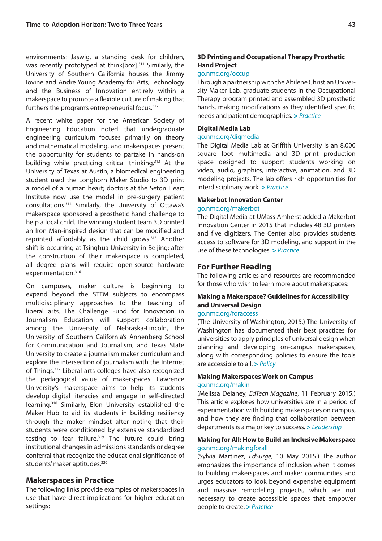environments: Jaswig, a standing desk for children, was recently prototyped at think[box].<sup>311</sup> Similarly, the University of Southern California houses the Jimmy Iovine and Andre Young Academy for Arts, Technology and the Business of Innovation entirely within a makerspace to promote a flexible culture of making that furthers the program's entrepreneurial focus.<sup>312</sup>

A recent white paper for the American Society of Engineering Education noted that undergraduate engineering curriculum focuses primarily on theory and mathematical modeling, and makerspaces present the opportunity for students to partake in hands-on building while practicing critical thinking.313 At the University of Texas at Austin, a biomedical engineering student used the Longhorn Maker Studio to 3D print a model of a human heart; doctors at the Seton Heart Institute now use the model in pre-surgery patient consultations.314 Similarly, the University of Ottawa's makerspace sponsored a prosthetic hand challenge to help a local child. The winning student team 3D printed an Iron Man-inspired design that can be modified and reprinted affordably as the child grows.315 Another shift is occurring at Tsinghua University in Beijing; after the construction of their makerspace is completed, all degree plans will require open-source hardware experimentation.<sup>316</sup>

On campuses, maker culture is beginning to expand beyond the STEM subjects to encompass multidisciplinary approaches to the teaching of liberal arts. The Challenge Fund for Innovation in Journalism Education will support collaboration among the University of Nebraska-Lincoln, the University of Southern California's Annenberg School for Communication and Journalism, and Texas State University to create a journalism maker curriculum and explore the intersection of journalism with the Internet of Things.317 Liberal arts colleges have also recognized the pedagogical value of makerspaces. Lawrence University's makerspace aims to help its students develop digital literacies and engage in self-directed learning.318 Similarly, Elon University established the Maker Hub to aid its students in building resiliency through the maker mindset after noting that their students were conditioned by extensive standardized testing to fear failure.<sup>319</sup> The future could bring institutional changes in admissions standards or degree conferral that recognize the educational significance of students' maker aptitudes.320

### **Makerspaces in Practice**

The following links provide examples of makerspaces in use that have direct implications for higher education settings:

# **3D Printing and Occupational Therapy Prosthetic Hand Project**

#### [go.nmc.org/occup](http://go.nmc.org/occup)

Through a partnership with the Abilene Christian University Maker Lab, graduate students in the Occupational Therapy program printed and assembled 3D prosthetic hands, making modifications as they identified specific needs and patient demographics. **>** *Practice*

#### **Digital Media Lab**

#### [go.nmc.org/digmedia](http://go.nmc.org/digmedia)

The Digital Media Lab at Griffith University is an 8,000 square foot multimedia and 3D print production space designed to support students working on video, audio, graphics, interactive, animation, and 3D modeling projects. The lab offers rich opportunities for interdisciplinary work. **>** *Practice*

#### **Makerbot Innovation Center**

#### [go.nmc.org/makerbot](http://go.nmc.org/makerbot)

The Digital Media at UMass Amherst added a Makerbot Innovation Center in 2015 that includes 48 3D printers and five digitizers. The Center also provides students access to software for 3D modeling, and support in the use of these technologies. **>** *Practice*

#### **For Further Reading**

The following articles and resources are recommended for those who wish to learn more about makerspaces:

#### **Making a Makerspace? Guidelines for Accessibility and Universal Design**

#### [go.nmc.org/foraccess](http://go.nmc.org/foraccess)

(The University of Washington, 2015.) The University of Washington has documented their best practices for universities to apply principles of universal design when planning and developing on-campus makerspaces, along with corresponding policies to ensure the tools are accessible to all. **>** *Policy*

#### **Making Makerspaces Work on Campus** [go.nmc.org/makin](http://go.nmc.org/makin)

(Melissa Delaney, *EdTech Magazine*, 11 February 2015.) This article explores how universities are in a period of experimentation with building makerspaces on campus, and how they are finding that collaboration between departments is a major key to success. **>** *Leadership*

#### **Making for All: How to Build an Inclusive Makerspace** [go.nmc.org/makingforall](http://go.nmc.org/makingforall)

(Sylvia Martinez, *EdSurge*, 10 May 2015.) The author emphasizes the importance of inclusion when it comes to building makerspaces and maker communities and urges educators to look beyond expensive equipment and massive remodeling projects, which are not necessary to create accessible spaces that empower people to create. **>** *Practice*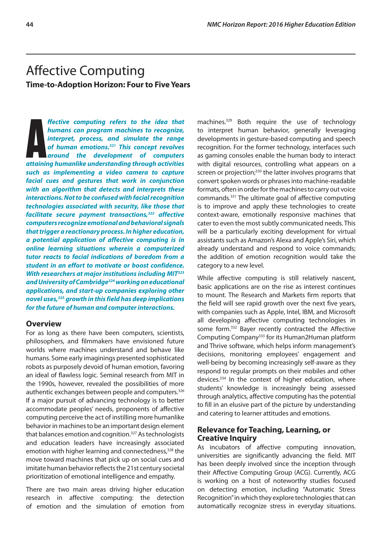# <span id="page-47-0"></span>Affective Computing **Time-to-Adoption Horizon: Four to Five Years**

**A** *attaining humanlike understanding through activities ffective computing refers to the idea that humans can program machines to recognize, interpret, process, and simulate the range of human emotions.321 This concept revolves around the development of computers such as implementing a video camera to capture facial cues and gestures that work in conjunction with an algorithm that detects and interprets these interactions. Not to be confused with facial recognition technologies associated with security, like those that facilitate secure payment transactions,322 affective computers recognize emotional and behavioral signals that trigger a reactionary process. In higher education, a potential application of affective computing is in online learning situations wherein a computerized tutor reacts to facial indications of boredom from a student in an effort to motivate or boost confidence. With researchers at major institutions including MIT323 and University of Cambridge324 working on educational applications, and start-up companies exploring other novel uses,325 growth in this field has deep implications for the future of human and computer interactions.*

#### **Overview**

For as long as there have been computers, scientists, philosophers, and filmmakers have envisioned future worlds where machines understand and behave like humans. Some early imaginings presented sophisticated robots as purposely devoid of human emotion, favoring an ideal of flawless logic. Seminal research from MIT in the 1990s, however, revealed the possibilities of more authentic exchanges between people and computers.<sup>326</sup> If a major pursuit of advancing technology is to better accommodate peoples' needs, proponents of affective computing perceive the act of instilling more humanlike behavior in machines to be an important design element that balances emotion and cognition.<sup>327</sup> As technologists and education leaders have increasingly associated emotion with higher learning and connectedness,<sup>328</sup> the move toward machines that pick up on social cues and imitate human behavior reflects the 21st century societal prioritization of emotional intelligence and empathy.

There are two main areas driving higher education research in affective computing: the detection of emotion and the simulation of emotion from machines.329 Both require the use of technology to interpret human behavior, generally leveraging developments in gesture-based computing and speech recognition. For the former technology, interfaces such as gaming consoles enable the human body to interact with digital resources, controlling what appears on a screen or projection;<sup>330</sup> the latter involves programs that convert spoken words or phrases into machine-readable formats, often in order for the machines to carry out voice commands.331 The ultimate goal of affective computing is to improve and apply these technologies to create context-aware, emotionally responsive machines that cater to even the most subtly communicated needs. This will be a particularly exciting development for virtual assistants such as Amazon's Alexa and Apple's Siri, which already understand and respond to voice commands; the addition of emotion recognition would take the category to a new level.

While affective computing is still relatively nascent, basic applications are on the rise as interest continues to mount. The Research and Markets firm reports that the field will see rapid growth over the next five years, with companies such as Apple, Intel, IBM, and Microsoft all developing affective computing technologies in some form.<sup>332</sup> Bayer recently contracted the Affective Computing Company333 for its Human2Human platform and Thrive software, which helps inform management's decisions, monitoring employees' engagement and well-being by becoming increasingly self-aware as they respond to regular prompts on their mobiles and other devices.334 In the context of higher education, where students' knowledge is increasingly being assessed through analytics, affective computing has the potential to fill in an elusive part of the picture by understanding and catering to learner attitudes and emotions.

# **Relevance for Teaching, Learning, or Creative Inquiry**

As incubators of affective computing innovation, universities are significantly advancing the field. MIT has been deeply involved since the inception through their Affective Computing Group (ACG). Currently, ACG is working on a host of noteworthy studies focused on detecting emotion, including "Automatic Stress Recognition" in which they explore technologies that can automatically recognize stress in everyday situations.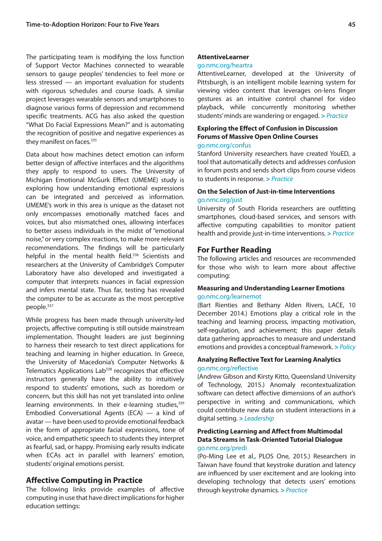The participating team is modifying the loss function of Support Vector Machines connected to wearable sensors to gauge peoples' tendencies to feel more or less stressed — an important evaluation for students with rigorous schedules and course loads. A similar project leverages wearable sensors and smartphones to diagnose various forms of depression and recommend specific treatments. ACG has also asked the question "What Do Facial Expressions Mean?" and is automating the recognition of positive and negative experiences as they manifest on faces.<sup>335</sup>

Data about how machines detect emotion can inform better design of affective interfaces and the algorithms they apply to respond to users. The University of Michigan Emotional McGurk Effect (UMEME) study is exploring how understanding emotional expressions can be integrated and perceived as information. UMEME's work in this area is unique as the dataset not only encompasses emotionally matched faces and voices, but also mismatched ones, allowing interfaces to better assess individuals in the midst of "emotional noise," or very complex reactions, to make more relevant recommendations. The findings will be particularly helpful in the mental health field.<sup>336</sup> Scientists and researchers at the University of Cambridge's Computer Laboratory have also developed and investigated a computer that interprets nuances in facial expression and infers mental state. Thus far, testing has revealed the computer to be as accurate as the most perceptive people.<sup>337</sup>

While progress has been made through university-led projects, affective computing is still outside mainstream implementation. Thought leaders are just beginning to harness their research to test direct applications for teaching and learning in higher education. In Greece, the University of Macedonia's Computer Networks & Telematics Applications Lab<sup>338</sup> recognizes that effective instructors generally have the ability to intuitively respond to students' emotions, such as boredom or concern, but this skill has not yet translated into online learning environments. In their e-learning studies, 339 Embodied Conversational Agents (ECA) — a kind of avatar — have been used to provide emotional feedback in the form of appropriate facial expressions, tone of voice, and empathetic speech to students they interpret as fearful, sad, or happy. Promising early results indicate when ECAs act in parallel with learners' emotion, students' original emotions persist.

#### **Affective Computing in Practice**

The following links provide examples of affective computing in use that have direct implications for higher education settings:

#### **AttentiveLearner**

#### [go.nmc.org/heartra](http://go.nmc.org/heartra)

AttentiveLearner, developed at the University of Pittsburgh, is an intelligent mobile learning system for viewing video content that leverages on-lens finger gestures as an intuitive control channel for video playback, while concurrently monitoring whether students' minds are wandering or engaged. **>** *Practice*

# **Exploring the Effect of Confusion in Discussion Forums of Massive Open Online Courses**

#### [go.nmc.org/confus](http://go.nmc.org/confus)

Stanford University researchers have created YouED, a tool that automatically detects and addresses confusion in forum posts and sends short clips from course videos to students in response. **>** *Practice*

#### **On the Selection of Just-in-time Interventions**  [go.nmc.org/just](http://go.nmc.org/just)

University of South Florida researchers are outfitting smartphones, cloud-based services, and sensors with affective computing capabilities to monitor patient health and provide just-in-time interventions. **>** *Practice*

### **For Further Reading**

The following articles and resources are recommended for those who wish to learn more about affective computing:

#### **Measuring and Understanding Learner Emotions**  [go.nmc.org/learnemot](http://go.nmc.org/learnemot)

(Bart Rienties and Bethany Alden Rivers, LACE, 10 December 2014.) Emotions play a critical role in the teaching and learning process, impacting motivation, self-regulation, and achievement; this paper details data gathering approaches to measure and understand emotions and provides a conceptual framework. **>** *Policy*

# **Analyzing Reflective Text for Learning Analytics** [go.nmc.org/reflective](http://go.nmc.org/reflective)

(Andrew Gibson and Kirsty Kitto, Queensland University of Technology, 2015.) Anomaly recontextualization software can detect affective dimensions of an author's perspective in writing and communications, which could contribute new data on student interactions in a digital setting. **>** *Leadership*

#### **Predicting Learning and Affect from Multimodal Data Streams in Task-Oriented Tutorial Dialogue** [go.nmc.org/predi](http://go.nmc.org/predi)

(Po-Ming Lee et al., PLOS One, 2015.) Researchers in Taiwan have found that keystroke duration and latency are influenced by user excitement and are looking into developing technology that detects users' emotions through keystroke dynamics. **>** *Practice*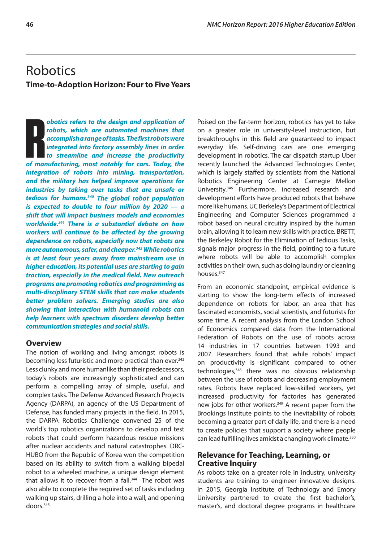# <span id="page-49-0"></span>**Robotics Time-to-Adoption Horizon: Four to Five Years**

**botics refers to the design and application of robots, which are automated machines that accomplish a range of tasks. The first robots were integrated into factory assembly lines in order to streamline and increase the pr** *obotics refers to the design and application of robots, which are automated machines that accomplish a range of tasks. The first robots were integrated into factory assembly lines in order to streamline and increase the productivity integration of robots into mining, transportation, and the military has helped improve operations for industries by taking over tasks that are unsafe or tedious for humans.340 The global robot population is expected to double to four million by 2020 — a shift that will impact business models and economies worldwide.341 There is a substantial debate on how workers will continue to be affected by the growing dependence on robots, especially now that robots are more autonomous, safer, and cheaper.342 While robotics is at least four years away from mainstream use in higher education, its potential uses are starting to gain traction, especially in the medical field. New outreach programs are promoting robotics and programming as multi-disciplinary STEM skills that can make students better problem solvers. Emerging studies are also showing that interaction with humanoid robots can help learners with spectrum disorders develop better communication strategies and social skills.*

### **Overview**

The notion of working and living amongst robots is becoming less futuristic and more practical than ever.<sup>343</sup> Less clunky and more humanlike than their predecessors, today's robots are increasingly sophisticated and can perform a compelling array of simple, useful, and complex tasks. The Defense Advanced Research Projects Agency (DARPA), an agency of the US Department of Defense, has funded many projects in the field. In 2015, the DARPA Robotics Challenge convened 25 of the world's top robotics organizations to develop and test robots that could perform hazardous rescue missions after nuclear accidents and natural catastrophes. DRC-HUBO from the Republic of Korea won the competition based on its ability to switch from a walking bipedal robot to a wheeled machine, a unique design element that allows it to recover from a fall.<sup>344</sup> The robot was also able to complete the required set of tasks including walking up stairs, drilling a hole into a wall, and opening doors.345

Poised on the far-term horizon, robotics has yet to take on a greater role in university-level instruction, but breakthroughs in this field are guaranteed to impact everyday life. Self-driving cars are one emerging development in robotics. The car dispatch startup Uber recently launched the Advanced Technologies Center, which is largely staffed by scientists from the National Robotics Engineering Center at Carnegie Mellon University.346 Furthermore, increased research and development efforts have produced robots that behave more like humans. UC Berkeley's Department of Electrical Engineering and Computer Sciences programmed a robot based on neural circuitry inspired by the human brain, allowing it to learn new skills with practice. BRETT, the Berkeley Robot for the Elimination of Tedious Tasks, signals major progress in the field, pointing to a future where robots will be able to accomplish complex activities on their own, such as doing laundry or cleaning houses.347

From an economic standpoint, empirical evidence is starting to show the long-term effects of increased dependence on robots for labor, an area that has fascinated economists, social scientists, and futurists for some time. A recent analysis from the London School of Economics compared data from the International Federation of Robots on the use of robots across 14 industries in 17 countries between 1993 and 2007. Researchers found that while robots' impact on productivity is significant compared to other technologies,<sup>348</sup> there was no obvious relationship between the use of robots and decreasing employment rates. Robots have replaced low-skilled workers, yet increased productivity for factories has generated new jobs for other workers.<sup>349</sup> A recent paper from the Brookings Institute points to the inevitability of robots becoming a greater part of daily life, and there is a need to create policies that support a society where people can lead fulfilling lives amidst a changing work climate.<sup>350</sup>

# **Relevance for Teaching, Learning, or Creative Inquiry**

As robots take on a greater role in industry, university students are training to engineer innovative designs. In 2015, Georgia Institute of Technology and Emory University partnered to create the first bachelor's, master's, and doctoral degree programs in healthcare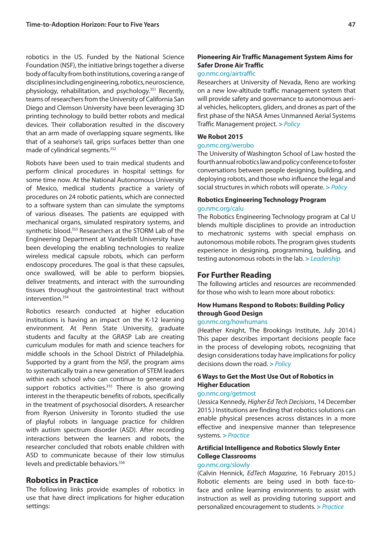robotics in the US. Funded by the National Science Foundation (NSF), the initiative brings together a diverse body of faculty from both institutions, covering a range of disciplines including engineering, robotics, neuroscience, physiology, rehabilitation, and psychology.351 Recently, teams of researchers from the University of California San Diego and Clemson University have been leveraging 3D printing technology to build better robots and medical devices. Their collaboration resulted in the discovery that an arm made of overlapping square segments, like that of a seahorse's tail, grips surfaces better than one made of cylindrical segments.352

Robots have been used to train medical students and perform clinical procedures in hospital settings for some time now. At the National Autonomous University of Mexico, medical students practice a variety of procedures on 24 robotic patients, which are connected to a software system than can simulate the symptoms of various diseases. The patients are equipped with mechanical organs, simulated respiratory systems, and synthetic blood.353 Researchers at the STORM Lab of the Engineering Department at Vanderbilt University have been developing the enabling technologies to realize wireless medical capsule robots, which can perform endoscopy procedures. The goal is that these capsules, once swallowed, will be able to perform biopsies, deliver treatments, and interact with the surrounding tissues throughout the gastrointestinal tract without intervention<sup>354</sup>

Robotics research conducted at higher education institutions is having an impact on the K-12 learning environment. At Penn State University, graduate students and faculty at the GRASP Lab are creating curriculum modules for math and science teachers for middle schools in the School District of Philadelphia. Supported by a grant from the NSF, the program aims to systematically train a new generation of STEM leaders within each school who can continue to generate and support robotics activities.<sup>355</sup> There is also growing interest in the therapeutic benefits of robots, specifically in the treatment of psychosocial disorders. A researcher from Ryerson University in Toronto studied the use of playful robots in language practice for children with autism spectrum disorder (ASD). After recording interactions between the learners and robots, the researcher concluded that robots enable children with ASD to communicate because of their low stimulus levels and predictable behaviors.<sup>356</sup>

# **Robotics in Practice**

The following links provide examples of robotics in use that have direct implications for higher education settings:

# **Pioneering Air Traffic Management System Aims for Safer Drone Air Traffic**

# [go.nmc.org/airtraffic](http://go.nmc.org/airtraffic)

Researchers at University of Nevada, Reno are working on a new low-altitude traffic management system that will provide safety and governance to autonomous aerial vehicles, helicopters, gliders, and drones as part of the first phase of the NASA Ames Unmanned Aerial Systems Traffic Management project. **>** *Policy*

#### **We Robot 2015**

#### [go.nmc.org/werobo](http://go.nmc.org/werobo)

The University of Washington School of Law hosted the fourth annual robotics law and policy conference to foster conversations between people designing, building, and deploying robots, and those who influence the legal and social structures in which robots will operate. **>** *Policy*

#### **Robotics Engineering Technology Program**  [go.nmc.org/calu](http://go.nmc.org/calu)

The Robotics Engineering Technology program at Cal U blends multiple disciplines to provide an introduction to mechatronic systems with special emphasis on autonomous mobile robots. The program gives students experience in designing, programming, building, and testing autonomous robots in the lab. **>** *Leadership*

### **For Further Reading**

The following articles and resources are recommended for those who wish to learn more about robotics:

### **How Humans Respond to Robots: Building Policy through Good Design**

#### [go.nmc.org/howhumans](http://go.nmc.org/howhumans)

(Heather Knight, The Brookings Institute, July 2014.) This paper describes important decisions people face in the process of developing robots, recognizing that design considerations today have implications for policy decisions down the road. **>** *Policy*

#### **6 Ways to Get the Most Use Out of Robotics in Higher Education**

#### [go.nmc.org/getmost](http://go.nmc.org/getmost)

(Jessica Kennedy, *Higher Ed Tech Decisions*, 14 December 2015.) Institutions are finding that robotics solutions can enable physical presences across distances in a more effective and inexpensive manner than telepresence systems. **>** *Practice*

# **Artificial Intelligence and Robotics Slowly Enter College Classrooms**

#### [go.nmc.org/slowly](http://go.nmc.org/slowly)

(Calvin Hennick, *EdTech Magazine*, 16 February 2015.) Robotic elements are being used in both face-toface and online learning environments to assist with instruction as well as providing tutoring support and personalized encouragement to students. **>** *Practice*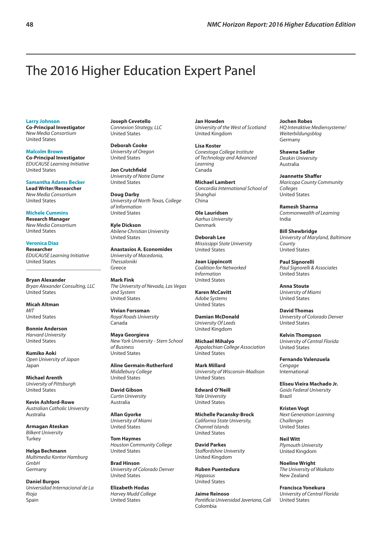# <span id="page-51-0"></span>The 2016 Higher Education Expert Panel

**Larry Johnson**

**Co-Principal Investigator** *New Media Consortium* United States

**Malcolm Brown Co-Principal Investigator** *EDUCAUSE Learning Initiative* United States

**Samantha Adams Becker Lead Writer/Researcher** *New Media Consortium* United States

**Michele Cummins Research Manager** *New Media Consortium* United States

**Veronica Diaz Researcher** *EDUCAUSE Learning Initiative* United States

**Bryan Alexander** *Bryan Alexander Consulting, LLC* United States

\_\_\_\_\_\_\_\_\_\_\_\_\_\_\_\_\_\_\_\_\_\_\_\_\_\_\_\_\_\_\_

**Micah Altman** *MIT* United States

**Bonnie Anderson** *Harvard University* United States

**Kumiko Aoki** *Open University of Japan* Japan

**Michael Arenth** *University of Pittsburgh* United States

**Kevin Ashford-Rowe** *Australian Catholic University* Australia

**Armagan Ateskan** *Bilkent University* **Turkey** 

**Helga Bechmann** *Multimedia Kontor Hamburg GmbH* Germany

**Daniel Burgos** *Universidad Internacional de La Rioja* Spain

**Joseph Cevetello** *Connexion Strategy, LLC* United States

**Deborah Cooke** *University of Oregon* United States

**Jon Crutchfield** *University of Notre Dame* United States

**Doug Darby** *University of North Texas, College of Information* United States

**Kyle Dickson** *Abilene Christian University* United States

**Anastasios A. Economides** *University of Macedonia, Thessaloniki* Greece

**Mark Fink** *The University of Nevada, Las Vegas and System* United States

**Vivian Forssman** *Royal Roads University* Canada

**Maya Georgieva** *New York University - Stern School of Business* United States

**Aline Germain-Rutherford** *Middlebury College* United States

**David Gibson** *Curtin University* Australia

**Allan Gyorke** *University of Miami* United States

**Tom Haymes** *Houston Community College* United States

**Brad Hinson** *University of Colorado Denver* United States

**Elizabeth Hodas** *Harvey Mudd College* United States

**Jan Howden** *University of the West of Scotland* United Kingdom

**Lisa Koster** *Conestoga College Institute of Technology and Advanced Learning* Canada

**Michael Lambert** *Concordia International School of Shanghai* China

**Ole Lauridsen** *Aarhus University* Denmark

**Deborah Lee** *Mississippi State University* United States

**Joan Lippincott** *Coalition for Networked Information* United States

**Karen McCavitt** *Adobe Systems* United States

**Damian McDonald** *University Of Leeds* United Kingdom

**Michael Mihalyo** *Appalachian College Association* United States

**Mark Millard** *University of Wisconsin-Madison* United States

**Edward O'Neill** *Yale University* United States

**Michelle Pacansky-Brock** *California State University, Channel Islands* United States

**David Parkes** *Staffordshire University* United Kingdom

**Ruben Puentedura** *Hippasus* United States

**Jaime Reinoso** *Pontificia Universidad Javeriana, Cali* Colombia

**Jochen Robes** *HQ Interaktive Mediensysteme/ Weiterbildungsblog* Germany

**Shawna Sadler** *Deakin University* Australia

**Jeannette Shaffer** *Maricopa County Community Colleges* United States

**Ramesh Sharma** *Commonwealth of Learning* India

**Bill Shewbridge** *University of Maryland, Baltimore County* United States

**Paul Signorelli** *Paul Signorelli & Associates* United States

**Anna Stoute** *University of Miami* United States

**David Thomas** *University of Colorado Denver* United States

**Kelvin Thompson** *University of Central Florida* United States

**Fernando Valenzuela** *Cengage* International

**Eliseu Vieira Machado Jr.** *Goiás Federal University* Brazil

**Kristen Vogt** *Next Generation Learning Challenges* United States

**Neil Witt** *Plymouth University* United Kingdom

**Noeline Wright** *The University of Waikato* New Zealand

**Francisca Yonekura** *University of Central Florida* United States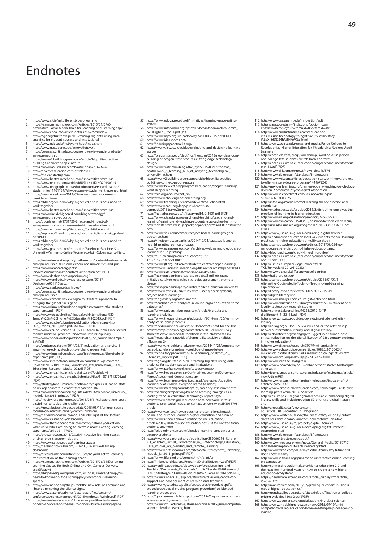# <span id="page-52-0"></span>**Endnotes**

- 
- 1 http://www.cit.ie/rpl.differenttypesoflearning<br>2 https://campustechnology.com/Articles/2015/01/07/6-<br>Alternative-Social-Media-Tools-for-Teaching-and-Learning.aspx<br>3 http://www.ehea.info/article-details.aspx?ArticleId=5
- 4 http://agb.org/trusteeship/2015/taming-big-data-using-data-analytics-for-student-success-and-institutional
- 5 http://www.udel.edu/inst/workshops/index.html 6 http://www.gse.upenn.edu/innovation/volt 7 http://courses.curtin.edu.au/course\_overview/undergraduate/
- 
- entrepreneurship<br>
8 https://www.z.buildinggreen.com/article/biophilia-practice-<br>
buildings-connect-people-nature<br>
9 https://www.aau.edu/research/article.aspx?ID=9266<br>
10 https://www.aau.edu/research/article.aspx?ID=9266<br>
1
- 
- 
- 
- 12 http://www.bestvalueschools.com/universities-startups/ 13 http://www.reuters.com/article/idUSL1N11K16Q20150915
- 14 http://www.telegraph.co.uk/education/universityeducation/
- student-life/11161134/Why-become-a-student-entrepreneur.html 15 http://www.wired.com/2014/03/universities-moocs-need-consider-culture/ 16 https://hbr.org/2015/07/why-higher-ed-and-business-need-to-
- work-together
- 17 http://www.bestvalueschools.com/universities-startups/
- 18 https://www.insidehighered.com/blogs/stratedgy/<br>entrepreneurship-education<br>19 http://docplayer.net/2731720-Effects-and-impact-of-<br>entrepreneurship-programmes-in-higher-education.html<br>20 http://www.entre-ed.org/Standards
- 
- 
- 21 http://sephe.eu/fileadmin/sephe/documents/kozminski\_poland. pdf (PDF)
- 22 https://hbr.org/2015/07/why-higher-ed-and-business-need-to-
- work-together 23 http://www.govtech.com/education/Facebook-San-Jose-State-University-Partner-to-Entice-Women-to-Join-Cybersecurity-Field.
- html<br>
https://www.innovationpolicyplatform.org/content/business-and-<br>
entrepreneurship-skills-and-epyreience-universities-and-pris<br>
25 https://www.amacad.org/pdfs/<br>
InnovationAmericanImperativeCalltoAction.pdf (PDF)<br>
Innov
- 
- 
- 
- 
- 28 http://www.clarkson.edu/shipley<br>29 http://courses.curtin.edu.au/cour 29 http://courses.curtin.edu.au/course\_overview/undergraduate/
- entrepreneurship 30 http://www.cornellhrreview.org/a-multilateral-approach-to-bridging-the-global-skills-gap/ 31 https://www.luminafoundation.org/files/resources/the-student-
- experience.pdf (PDF)
- 32 https://www.ox.ac.uk/sites/files/oxford/International%20 Trends%20in%20Higher%20Education%202015.pdf (PDF)
- 
- 
- 33 http://www.eu.abe/Libraries/publications-homepage-list/<br>EUA\_Trends\_2015\_web.pdf?sfvrsn=18 (PDF)<br>34 http://www.ceu.edu/article/2015-11-16/ceu-launches-intellectual-<br>themes-initiative-promote-innovative-interdisciplinary<br>
- ZMrKgR
- 36 http://venturebeat.com/2014/05/11/education-as-a-service-5- ways-higher-ed-must-adapt-to-a-changing-market/ 37 https://www.luminafoundation.org/files/resources/the-student-experience.pdf (PDF)
- 38 http://www.internationalinnovation.com/build/wp-content/
- uploads/2015/10/Lumina\_Foundation\_Intl\_Innovation\_STEM\_<br>Education\_Research\_Media\_02.pdf (PDF)<br>39 http://www.ehea.info/article-details.aspx?ArticleId=5<br>40 http://www.ehea.info/Uploads/SubmitedFiles/5\_2015/112705.pdf
- 
- (PDF) 41 http://strategylabs.luminafoundation.org/higher-education-state-policy-agenda/core-element-three/action-18/
- 42 https://www.britishcouncil.org/sites/default/files/new\_university
- models\_jan2015\_print.pdf (PDF)<br>43 http://inquiry.research.umn.edu/2015/08/11/collaborations-cross-<br>44 http://inquiry.research.umn.edu/2015/08/11/unique-course-<br>44 https://news.boisestate.edu/update/2015/06/11/unique-course
- 
- 45 http://harvardmagazine.com/2012/03/twilight-of-the-lecture 46 http://www.csusm.edu/classrooms/
- 
- 47 http://www.theglobeandmail.com/news/national/education/<br>what-universitie-are-doing-to-create-a-more-exciting-learning-<br>experience/article2117092<br>48 http://blog.amx.com/2015/03/23/innovative-learning-spaces-<br>driving-forc
- 
- 
- 50 http://hereandnow.wbur.org/2014/05/08/active-learning-
- 
- classrooms<br>
S1 http://er.educause.edu/articles/2015/6/beyond-active-learning-<br>
transformation-of-the-learning-space<br>
S2 https://campustechnology.com/Articles/2015/06/24/Designing-<br>
Learning-Spaces-for-Both-Online-and-On-Ca
- 53 https://higherediq.wordpress.com/2015/01/28/everything-youed-to-know-about-designing-polysynchronous-learnin
- 
- 
- spaces/<br>spaces/<br>status//www.nebhe.org/thejournal/the-new-role-of-librarians-and-<br>libraries-removing-the-silence-signs/<br>stat/site/sila.org/act/files/content/<br>conferences/confsandpreconfs/2015/Andrews\_Wright.pdf (PDF)<br>56 htt

57 http://www.educause.edu/eli/initiatives/learning-space-rating-system

**49**

112 http://www.gse.upenn.edu/innovation/volt 113 https://arabou.edu.kw/index.php?option=com\_ k2&view=item&layout=item&id=85&Itemid=446 114 http://www.hindustantimes.com/education/ iits-iims-use-technology-to-fight-faculty-crisis/story-iALqX1bIDD34hMTHFoVGxI.html 115 https://www.peirce.edu/news-and-media/Peirce-College-to-Revolutionize-Higher-Education-for-Philadelphia-Regions-Adult-Learners 116 http://chronicle.com/blogs/wiredcampus/online-or-in-personone-college-lets-students-switch-back-and-forth 117 http://eacea.ec.europa.eu/education/eurydice/documents/focuson/152.pdf (PDF) 118 http://www.ei-ie.org/en/news/news\_details/3761 119 http://www.ala.org/acrl/standards/ilframework 120 http://www.wsj.com/articles/education-startup-minerva-project-to-offer-masters-degree-program-1449679243 121 http://nextgenlearning.org/grantee/society-teaching-psychology-division-2-american-psychological-association 122 http://www.sciencedirect.com/science/article/pii/

123 http://infed.org/mobi/informal-learning-theory-practice-and-experience 124 http://er.educause.edu/articles/2012/3/disrupting-ourselves-theproblem-of-learning-in-higher-education 125 http://www.aia.org/education/providers/AIAB095831 126 http://www.cnn.com/2015/03/30/opinions/laitinen-credit-hour/ 127 http://unesdoc.unesco.org/images/0023/002336/233655E.pdf (PDF) 128 https://www.jisc.ac.uk/guides/evaluating-digital-services 129 http://er.educause.edu/articles/2015/6/students-mobile-learning-

practices-in-higher-education-a-multivear-study<br>130 https://campustechnology.com/articles/2015/08/05/how-<br>131 http://blog.cred/js.com/articles/2015/08/05/how-<br>131 http://blog.credly.com/credly-linkedin-profiles/<br>132 http:/

137 http://library.iated.org/view/MERILAINEN2015OPE<br>138 http://digitalliteracy.us/<br>198 http://www.library.illinois.edu/digit/definition.html<br>140 http://www.leducause.edu/library/resources/2014-student-and-<br>141 http://conne

digilitreport\_1\_22\_13.pdf (PDF) 142 https://www.jisc.ac.uk/guides/developing-students-digital-

literacy<br>
Hastapy/acrlog.org/2015/10/20/versus-and-or-the-relationship-<br>
between-information-literacy-and-digital-literacy/<br>
144 http://edcontext.org/pedagogy/plugged-in-or-turned-off-a-<br>
critical-reflection-on-the-digital

145 http://www.ets.org/s/research/30079/millennials.html<br>146 http://www.ischoolguide.com/articles/10825/20150424/<br>millennials-digital-literacy-skills-rasmussen-college-study.htm<br>147 http://www.ecdl.org/index.jp?p=2417&n=30 149 https://www.heacademy.ac.uk/enhancement/starter-tools/digital-curation-0 150 http://journal.media-culture.org.au/index.php/mcjournal/article/ viewArticle/987 151 http://www.researchinlearningtechnology.net/index.php/rlt/ article/view/28337 152 https://www.timeshighereducation.com/news/digital-skills-crisis-

153 http://ec.europa.eu/digital-agenda/en/pillar-vi-enhancing-digital-literacy-skills-and-inclusion/action-59-prioritise-digital-literacy-

155 https://www.whitehouse.gov/the-press-office/2015/03/09/factsheet president-obama-launches-new-technine-initiative<br>156 https://www.jisc.ac.uk/d/projects/digital-literacies<br>157 https://www.jisc.ac.uk/dyides/developing-digital-literacies/<br>157 https://www.jisc.ac.uk/guides/developing-

digital-learning-for-21st-century-literacy.html 161 http://www.wired.com/2014/09/digital-literacy-key-future-still-dont-know-means/ 162 http://www.sr.ithaka.org/publications/interactive-online-learning-

163 http://connectingcredentials.org/higher-education-2-0-and-the-next-few-hundred-years-or-how-to-create-a-new-highereducation-ecosystem/<br>education-ecosystem/<br>https://newsroom.accenture.com/article\_display.cfm?article\_

164 https://newsroom.accenture.com/article\_display.cfm?article\_<br>d=62618rel<br>fmg//monitorief.com/2015/02/growing-questions-business-<br>model-higher-education-us/<br>fmg model-higher-education-us/<br>fmg model-higher-education-us/<br>f

looming-peers-warn/2018572.article<br>153 http://ec.europa.eu/digital-agenda/en<br>literary.ckills.and.inclusion/action-56

154 http://arrow.dit.ie/cgi/viewcontent. cgi?article=1013&context=buschgracon

and

on-campus-2/

 http://eur-lex.europa.eu/legal-content/EN/ TXT/?uri=celex:32012H1222(01) http://www.cit.ie/rpl.differenttypesoflearning 135 http://trailerproject.eu/ https://campustechnology.com/Articles/2015/01/07/6- Alternative-Social-Media-Tools-for-Teaching-and-Learning.

aspx?Page=2

S0747563213003075

- 58 http://www.infocomm.org/cps/rde/xbcr/infocomm/InfoComm\_ AVITHighEd\_Dec14.pdf (PDF)
- 59 http://www.aqav.org/uploads/Why-AV9000-2015.pdf (PDF) 60 http://www.ideaspaces.net/
- 
- 61 http://learningspacetoolkit.org/ 62 https://www.jisc.ac.uk/guides/evaluating-and-designing-learningspaces
- 63 http://oregonstate.edu/dept/ncs/lifeatosu/2015/new-classroom-building-at-oregon-state-features-cutting-edge-technology-
- design/<br>design/www.slate.com/blogs/the\_eye/2015/03/12/thomas\_heatherwick\_s\_learning\_hub\_at\_nanyang\_technological\_<br>university\_in.html<br>65 https://www.zbuildinggreen.com/article/biophilia-practice-<br>buildings-connect-people-na
- 
- 66 http://www.hewlett.org/programs/education/deeper-learning/ what-deeper-learning
- 
- 
- 
- 
- 67 http://bie.org/about/what\_pbl<br>68 https://www.challengebasedlearning.org<br>69 http://www.teachinquiry.com/index/introduction.html<br>70 https://www.aacu.org/leap/presidentstrust/<br>compact/2013SurveySummary<br>71 http://net.educau
- 
- 72 http://www.uts.edu.au/research-and-teaching/teaching-and-learning/learning-and-teaching/students-approaches-learning 73 http://ldt.stanford.edu/~jeepark/jeepark+portfolio/PBL/instructor. htm
- 1...<br>http://www.shsu.edu/centers/project-based-learning/higher-<br>education.html
- education.html<br>
reducation.html<br>
retails and proportional communities/2014/12/04/stratasys-launches-<br>
free-3d-printing-curriculum.aspx<br>
76 https://www.exampusrews.com/archived-webinars/project-based-<br>
http://eur-lex-texnop
- 
- 
- 78 http://www.jff.org/initiatives/students-center/deeper-learning
- 
- 79 https://www.luminafoundation.org/files/resources/dqp.pdf (PDF)<br>80 http://www.udel.edu/inst/workshops/index.html<br>81 http://nextgenlearning.org/press-release/2-million-grant-<br>initiative-catalyze-new-roles-strategies-asses
- deeper
- 82 http://nextgenlearning.org/grantee/abilene-christian-university<br>83 https://www.rmit.edu.au/study-with-us/engineering/about/ 83 https://www.rmit.edu.au/study-with-us/engineering/about/<br>| project-based-learning/<br>84 http://edglossary.org/assessment/<br>85 http://acrobatiq.com/analytics-in-online-higher-education-three-<br>85 http://acrobatiq.com/analyti
- 
- categories/
- 86 http://www.universitybusiness.com/article/big-data-and-
- learning-analytics<br>
are the material compeducation/2014/mar/26/learning-analytics-student-progress<br>
analytics-student-progress<br>
88 http://eww.utheguardian.com/education/2015/11/02/survey-<br>
89 https://campustechnology.com/a
- 
- 
- 
- a4learning-2/
- 91 Intras://www.insidehighered.com/news/2014/11/26/competency-<br>based-bachelors-brandman-could-be-glimpse-future<br>22 http://repository.jisc.ac.uk/5661/1/Learning\_Analytics\_A-\_<br>literature\_Review.pdf (PDF)<br>33 http://agborg/tru
- 
- 
- 
- 
- 
- 
- 94 http://www.parframework.org/category/news/<br>95 http://www.parco.ca/en-ca/OurPriorities/LearningOutcomes/<br>96 http://www.learningservices.is.ed.ac.uk/wordpress/adaptive-<br>86 http://www.learningservices.is.ed.ac.uk/wordpress
- 
- 98 http://hechingerreport.org/blended-learning-emerges-as-a-<br>leading-trend-in-education-technology-report-says/<br>99 https://www.timeshighereducation.com/news/one-in-four-<br>students-uses-social-media-to-contact-university-sta article
- 100 https://www.col.org/news/speeches-presentations/impact-online-and-distance-learning-higher-education-and-training 101 http://www.usnews.com/education/online-education/
- articles/2015/10/07/online-education-not-just-for-nontraditional-
- students-anymore 102 http://blog.edmentum.com/blended-learning-engaging-21st-century-students 103 https://www.researchgate.net/publication/280066016\_Role\_of\_

ICT\_enabled\_Virtual\_Laboratories\_in\_Biotechnology\_Education\_ Case\_studies\_on\_blended\_and\_remote\_learning 104 https://www.britishcouncil.org/sites/default/files/new\_university\_ models\_jan2015\_print.pdf (PDF)<br>105 http://www.lifescied.org/content/14/4/ar36.full<br>106 http://inixresearchlab.org/PreparingDigitalUniversity.pdf (PDF)<br>107 https://online.usc.edu.au/bbcswebdav/orgs/Learning\_and\_<br>Teaching/Do

BL%20Strategy%20Full%20Document%20Feb%202014.pdf (PDF)<br>108 http://www.usc\_edu.au/explore/structure/divisions/centre-for-<br>support-and-advancement-of-learning-and-teaching<br>109 https://www.jcu.edu.au/policy/procedures/procedu learning-procedures 110 http://googleresearch.blogspot.com/2015/03/google-computer-

111 http://www.cmu.edu/news/stories/archives/2015/june/computer-

science-capacity-awards.html

science-blended-learning.html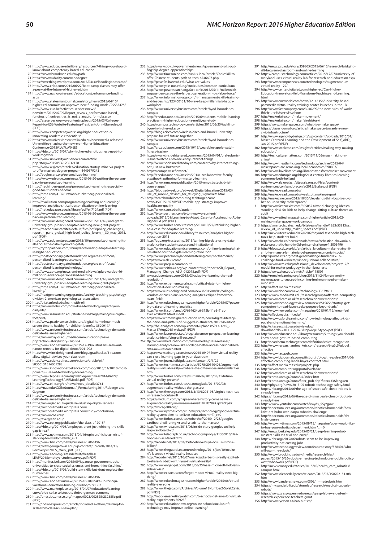- 169 http://www.educause.edu/library/resources/7-things-you-should-know-about-competency-based-education 170 https://www.brandman.edu/mypath 171 https://www.udacity.com/nanodegree
- 
- 
- 172 https://wcetblog.wordpress.com/2015/04/30/lhcodingbootcamp/ 173 http://www.cnbc.com/2015/06/22/boot-camp-classes-may-offer-
- a-peek-at-the-future-of-higher-ed.html 174 http://www.ncsl.org/research/education/performance-funding.
- aspx 175 http://www.statesmanjournal.com/story/news/2015/04/10/ higher-ed-commission-approves-new-funding-model/25553475/
- 176 http://www.eua.be/activities-services/news/ newsitem/2015/07/09/Report\_reveals\_performance-based\_
- funding\_of\_universities\_is\_not\_a\_magic\_formula.aspx 177 http://eseserves.org/wp-content/uploads/2015/03/Colleges-Report-for-ESE-Website-Featuring-President-John-Ebersole.pdf (PDF)
- 178 http://www.competencyworks.org/higher-education-2/
- innovating-academic-credentials/ 179 https://www.universitiesaustralia.edu.au/news/media-releases/
- Universities-shaping-the-new-era--Higher-Education-Conference-2015#.Vo7ksV0rJE5 180 https://hbr.org/2015/07/why-higher-ed-and-business-need-to-work-together
- 181 http://www.universityworldnews.com/article. php?story=20150506120632178
- 
- 
- 182 http://www.wsj.com/articles/education-startup-minerva-project-<br>to-offer-masters-degree-program-1449679243<br>183 http://edglossary.org/personalized-learning/<br>184 https://www.edsurge.com/news/2015-08-20-putting-the-person-
- 185 http://hechingerreport.org/personalized-learning-is-especially-good-for-students-of-color
- 186 http://time.com/4132619/mark-zuckerberg-personalized-
- learning/ 187 http://evolllution.com/programming/teaching-and-learning/ improved-analytics-critical-personalization-online-learning 188 http://net.educause.edu/ir/library/pdf/eli7124.pdf (PDF)
- 
- 
- 
- 189 https://www.edsurge.com/news/2015-08-20-putting-the-person-<br>backin-personalized-learning<br>190 https://www.insidehighered.com/news/2015/11/16/land-grant-<br>university-group-backs-adaptive-learning-new-prant-project<br>191 htt
- 
- 192 http://www.eduventures.com/2015/10/personalized-learning-its-<br>tla-bout-the-data-if-you-can-get-it/<br>193 http://tytonpartners.com/library/accelerating-adaptive-learning-<br>in-higher-education/<br>194 http://postsecondary.gate
- 
- 
- personalized-learning/technology/<br>196 http://www.aplu.org/news-and-media/News/aplu-awarded-46-<br>million-to-advance-personalized-learning<br>197 https://www.insidehighered.com/news/2015/11/16/land-grant-
- university-group-backs-adaptive-learning-new-grant-project 198 http://time.com/4132619/mark-zuckerberg-personalized-
- learning/
- 199 http://nextgenlearning.org/grantee/society-teaching-psychology-<br>division-2-american-psychological-association<br>200 http://oli.stanford.edu/learn-with-oli<br>201 https://www.motus.com/how-does-technology-impact-your-<br>daily-
- 202 http://www.rasmussen.edu/student-life/blogs/main/your-digital-
- footprint/<br>203 http://www.pcadvisor.co.uk/feature/digital-home/how-much-
- 
- 203 http://www.pcadvisor.co.uk/feature/digital-home/how-much-2018/ttp://www.pcadvisor.co.uk/feature-benefits-3520917/<br>204 http://www.universitybusiness.com/article/technology-demands-<br>delicate-balance-higher-ed<br>205 https:/
- 
- 
- nature-retreats-for-digital-detox/7041902 207 https://www.insidehighered.com/blogs/gradhacker/5-reasons-allow-digital-devices-your-classroom 208 http://www.sciencedirect.com/science/article/pii/ S0360131514001298
- 
- 
- 
- 209 http://www.innovationexeellence.com/blog/2015/03/30/10-most-<br>nowerful-uses-of-technology-for-leaming/<br>210 http://www.bippasus.com/rrpweblog/archives/2014/06/29/<br>LeamingTechnologySAMRModeLpdf (PDF)<br>211 http://www.ei-ie.
- 213 http://www.universitybusiness.com/article/technology-demands-
- delicate-balance-higher-ed 214 https://www.jisc.ac.uk/guides/evaluating-digital-services 215 https://withoutmedia.wordpress.com/ 216 https://withoutmedia.wordpress.com/study-conclusions/ 217 https://www.coa.edu/
- 
- 
- 
- 
- 218 http://ewergeen.edu/<br>219 http://www.epi.org/publication/the-class-of-2015/<br>220 https://hbr.org/2014/08/employers-arent-just-whining-the-skills-<br>231 http://www.nytimes.com/2015/04/16/opinion/nicholas-kristof-<br>231 http:/
- 
- 
- 
- 
- 223 https://cew.georgetown.edu/wp-content/uploads/2014/11/<br>Recovery2020.ES\_Web\_pdf (PDF)<br>224 http://www.aacu.org/sites/default/files/files/<br>LEAP/2015employerstudentsurvey.pdf (PDF)<br>225 http://monitor.icef.com/2015/09/japan
- humanities
- 
- 
- 227 http://www.bbc.com/news/business-35061496<br>228 http://www.abc.net.au/news/2015-10-28/shake-up-for-cqu-<br>- vocational-education-training-division/6891352<br>229 http://www.marketplace.org/2015/04/07/education/learning-<br>- cur
- 230 http://unesdoc.unesco.org/images/0023/002325/232555e.pdf  $(DDE)$ 231 http://indianexpress.com/article/india/india-others/training-for-
- skills-from-class-ix-is-new-plan/

232 https://www.gov.uk/government/news/government-rolls-out-flagship-degree-apprenticeships 233 http://www.timesunion.com/tuplus-local/article/Cobleskill-to-offer-Chinese-students-path-to-tech-6746607.php

291 http://news.psu.edu/story/359805/2015/06/15/research/bridging-<br>ift-between-classroom-and-online-learning<br>202 https://campustechnology.com/articles/2015/12/07/university-of-<br>maryland-uses-virtual-reality-lab-for-researc 293 http://www.ecampusnews.com/technologies/augmentarium-

294 http://www.centerdigitaled.com/higher-ed/Can-Higher-Education-Innovators-Help-Transform-Teaching-and-Learning. html 295 http://www.emsworld.com/news/12143356/university-basedparamedic-virtual-reality-training-center-launches-in-the-uk 296 http://www.fastcompany.com/3046299/the-new-rules-of-work/ this-is-the-future-of-college 297 http://makerfaire.com/maker-movement/ 298 http://makerfaire.com/makerfairehistory/ 299 https://www.makerspaces.com/what-is-a-makerspace/ 300 https://placesjournal.org/article/makerspace-towards-a-new-civic-infrastructure/ 301 http://www.agencybydesign.org/wp-content/uploads/2015/01/ Maker-Centered-Learning-and-the-Development-of-Self\_AbD\_ Jan-2015.pdf (PDF) 302 http://www.steelcase.com/insights/articles/making-way-making-

303 http://techculturematters.com/2015/11/06/mass-making-in-

tools-help-students-build<br>1315 http://www.cbc.ca/news/canada/ottawa/sebastian-chavaria-6-<br>1316 http://blogs.rocal.ca/news/canada/ottawa/sebastian-chavaria-6-<br>1316 http://blogs.cccb.org/lab/en/article\_la-cultura-maker-a-xin

model-for-maker-pedagogy-in-the-liberal-arts<br>319 https://www.elon.edu/e-net/Article/118501<br>320 http://remakelearning.org/blog/2015/11/24/for-university-<br>makerspaces-to-succeed-incoming-freshman-need-a-maker-

322 https://www.bbc.com/news/technology-3337946<br>1323 https://www.bcam.ac.uk/research/yaroups/affective-computing<br>325 http://www.cl.com.ac.uk/research/rainbow/emotions/<br>1325 http://www.technologyreview.com/news/519656/start

 http://affect.media.mit.edu/ 328 http://www.oxfordlearning.com/how-technology-affects-kids-social-and-emotional-learning/ 329 http://citeseerx.ist.psu.edu/viewdoc/ download?doi=10.1.1.29.428&rep=rep1&type=pdf (PDF) http://www.educause.edu/library/resources/7-things-you-should-know-about-gesture-based-computing http://searchcrm.techtarget.com/definition/voice-recognition 332 http://www.researchandmarkets.com/research/6rq2c5/global\_ affective http://www.taccpgh.com/ 334 http://www.bizjournals.com/pittsburgh/blog/the-pulse/2014/06/ affective-computing-lands-bayer-contract.html

335 http://afroct.media.mit.edu/projects.php<br>336 http://www.compute.org/portal/web/tac<br>337 http://www.cl.cam.ac.uk/research/rainbow/emotions/<br>337 http://conta.uom.gr/conta/filter\_pub.php?filter=33&lang=en<br>339 http://conta.

already-here<br>342 https://hbr.org/2015/06/the-age-of-smart-safe-cheap-robots-is-<br>already-here<br>343 https://www.youtube.com/watch?v=yds\_55yzgAw 344 http://spectrum.ieee.org/automaton/robotics/humanoids/howkaist-drc-hubo-won-darpa-robotics-challenge 345 http://spectrum.ieee.org/automaton/robotics/humanoids/drcfinals-course 346 http://www.nytimes.com/2015/09/13/magazine/uber-would-like-to-buy-your-robotics-department.html?\_r=0 347 http://news.berkeley.edu/2015/05/21/deep-learning-robot-masters-skills-via-trial-and-error/

348 https://hbr.org/2015/06/robots-seem-to-be-improving-productivity-not-costing-jobs 349 http://www.technologyreview.com/featuredstory/538401/who-will-own-the-robots/ 350 http://www.brookings.edu/~/media/research/files/ papers/2015/10/26-robots-emerging-technologies-public-policy-west/robotwork.pdf (PDF) 351 http://news.emory.edu/stories/2015/10/health\_care\_robotics/

352 http://www.sciencedaily.com/releases/2015/07/150702151308. htm 353 http://www.banderasnews.com/0509/nr-medrobots.htm 354 https://my.vanderbilt.edu/stormlab/research/medical-capsule-

355 https://www.grasp.upenn.edu/news/grasp-lab-awarded-nsf-research-experience-teachers-grant

campus.html

<sub>research experience teachers</sub>

robots/

304 http://www.theatlantic.com/technology/archive/2015/04/ makerspaces-are-remaking-local-economies/390807/ 305 http://www.ilovelibraries.org/librariestransform/maker-movement 306 http://www.edutopia.org/blog/21st-century-libraries-learning-commons-beth-holland 307 http://www.ala.org/acrl/sites/ala.org.acrl/files/content/ conferences/confsandpreconfs/2015/Burke.pdf (PDF) 308 http://make.xsead.cmu.edu/week.<br>309 http://make.xsead.cmu.edu/week.of\_making/report<br>310 http://makezine.com/2015/10/30/clevelands-thinkbox-is-a-big-<br>bet-on-university-makerspaces/<br>311 http://www.fastcoexist.com/3050523 standing-desk-for-kids-to-help-change-sitting-culture-theres-anadult<br>312 http://www.edtechmagazine.com/higher/article/2015/02/<br>313 https://smakerspaces-work-campus<br>1313 https://smartech.gatech.edu/bitstream/handle/1853/53813/a\_<br>review\_of\_university\_maker\_spaces.pdf (PDF)<br>314 http://ne

virtual-reality-122/

education/

china/

mindset/ 321 http://affect.media.mit.edu/

**50** *NMC Horizon Report: 2016 Higher Education Edition*

- 
- 
- 234 http://aww.fas.harvard.edu/what-are-values<br>235 http://www.pale-nus.edu.sg/curriculum/common-curriculum/<br>236 http://www.pewesearch.org/fact-tank/2015/05/11/millennials<br>235 http://www.pewesearch.org/fact-tank/2015/05/11/
- 
- workplace 238 http://www.universitybusiness.com/article/byod-boundaries-
- campus 239 http://er.educause.edu/articles/2015/6/students-mobile-learning-
- practices-in-higher-education-a-multiyear-study 240 https://campustechnology.com/articles/2015/06/25/tackling-byoe-in-higher-ed.aspx
- 241 http://blogs.cisco.com/wireless/cisco-and-brunel-university-
- prepare-for-wifi-future-together 242 http://www.universitybusiness.com/article/byod-boundaries-
- campus 243 http://arc.applause.com/2015/10/15/wearables-apple-watchfitness-tracker/
- 244 https://www.insidehighered.com/news/2015/04/01/oral-roberts-u-smartwatches-provide-entry-internet-things 245 http://www.socialmediatoday.com/content/why-internet-things-
- not-just-new-buzzword 246 https://europe.wiseflow.net/
- 
- 247 http://er.educause.edu/articles/2014/1/collaborative-faculty-etextbook-authoring-for-mastery-learning 248 http://www.nmc.org/publication/2015-nmc-strategic-brief-
- 
- 
- course-aps/<br>
2015 Coupsedweek.org/edweek/DigitalEducation/2015/03<br>
1929 http://blogs.edweek.org/edweek/DigitalEducation/2015/03<br>
1925 http://searchmobile.computing.techtarget.com/<br>
healthcare-quality<br>
mews/4500251597/BYO
- 
- 252 http://tytonpartners.com/tyton-wp/wp-content/ uploads/2015/01/Learning-to-Adapt\_Case-for-Accelerating-AL-in-Higher-Ed.pdf (PDF) 253 http://www.forbes.com/sites/ccap/2014/10/22/rethinking-higher-
- ed-a-case-for-adaptive-learning/ 254 http://www.educause.edu/library/resources/analytics-higher-
- education-2015
- 255 http://agb.org/trusteeship/2015/taming-big-data-using-data-analytics-for-student-success-and-institutional
- 256 http://www.educationandcareernews.com/online-learning/what-lies-ahead-for-the-digital-learning-revolution 257 http://www.pearsonmylabandmastering.com/northamerica/ 258 https://www.aleks.com/
- 
- 259 http://www.prep-u.com/about/
- 260 http://www.sr.ithaka.org/wp-content/mig/reports/SR\_Report\_ Managing\_Change\_ASU\_012015.pdf (PDF) 261 www.eduventures.com/2015/03/adaptive-learning-the-real-revolution/
- 262 http://www.extremenetworks.com/critical-data-for-higher-
- education-it-decision-making
- 263 https://www.insidehighered.com/news/2015/08/06/colleges-vendors-discuss-plans-learning-analytics-caliper-framework-
- nears-finish<br>264 http://www.edtechmagazine.com/higher/article/2015/07/power-<br>big-data-and-learning-analytics<br>265 http://www.ft.com/cms/s/2/634624c6-312b-11e5-91ac-<br>55e17d9b4cff.html#slide0
- 
- 266 https://www.timeshighereducation.com/news/digital-literacy-
- the-perks-and-pitfalls-of-plugged-in-students/2019246.article<br>267 http://he-analytics.com/wp-content/uploads/SP13-3249\_-<br>Master17Aug2015-web.pdf (PDF)<br>268 http://www.laceproject.eu/blog/taiwanese-perspective-learning-
- analytics-identifying-will-succeed/ 269 ttp://www.mheducation.com/news-media/press-releases/
- learning-analytics-new-likes-college-better-access-personalized-
- data-new-research.html<br>270 https://www.edsurge.com/news/2015-09-07-how-virtual-reality-<br>271 https://www.jouraldofbigdata.com/content/2/1/22<br>271 http://www.ieurhitiofbigdata.com/content/2/1/22<br>272 http://www.techtimes.com/a
- reality-vs-virtual-reality-what-are-the-differences-and-similarities. htm
- 273 http://www.forbes.com/sites/curtissilver/2015/08/31/future-
- virtual-reality-present/ 274 http://www.forbes.com/sites/alanmcglade/2015/02/08/ augmented-reality-without-the-glasses/ 275 http://www.theverge.com/2015/3/13/8204193/virginia-tech-icat-

billion/

sidekick-iss/

reality-experiments-50923/<br>290 http://www.educationnews

vr-research-oculus-rift 276 https://medium.com/synapse/where-history-comes-alive-augmented-reality-in-museums-64a81825b799#.q8f20kp97

277 http://chicago00.org/<br>278 http://www.nytrimes.com/2015/09/29/technology/google-virtual-<br>mality-system-aims-to-enliven-education.html?\_r=0<br>279 http://www.forbes.com/sites/roberthof/2015/1/2/23/googles-<br>cardboard-will-br 280 http://www.wired.com/2015/06/inside-story-googles-unlikelyleap-cardboard-vr/ 281 http://www.telegraph.co.uk/technology/google/11350810/Has-Google-Glass-failed.html 282 http://recode.net/2014/03/25/facebook-buys-oculus-vr-for-2-

283 http://www.theguardian.com/technology/2016/jan/10/oculus-rift-facebook-virtual-reality-headset 284 http://recode.net/2015/10/07/mark-zuckerberg-is-really-excited-to-share-his-baby-with-you-in-virtual-reality/ 285 http://www.engadget.com/2015/06/25/nasa-microsoft-hololens-

 http://www.expartus.com/forget-moocs-virtual-reality-next-bigthing/<br>287 http://www.edtechmagazine.com/higher/article/2015/08/virtual http://www.edtechmagazine.com/higher/article/2015/08/virtual-reality-everyone 288 http://www.thejeo.com/Archives/Volume12Number2/SolakCakir. pdf (PDF) http://mobilemarketingwatch.com/b-schools-get-an-a-for-virtual-

290 http://www.educationnews.org/online-schools/oculus-rift-technology-may-improve-online-learning/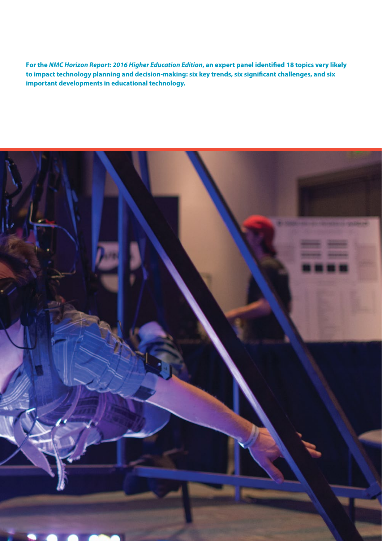**For the** *NMC Horizon Report: 2016 Higher Education Edition***, an expert panel identified 18 topics very likely to impact technology planning and decision-making: six key trends, six significant challenges, and six important developments in educational technology.**